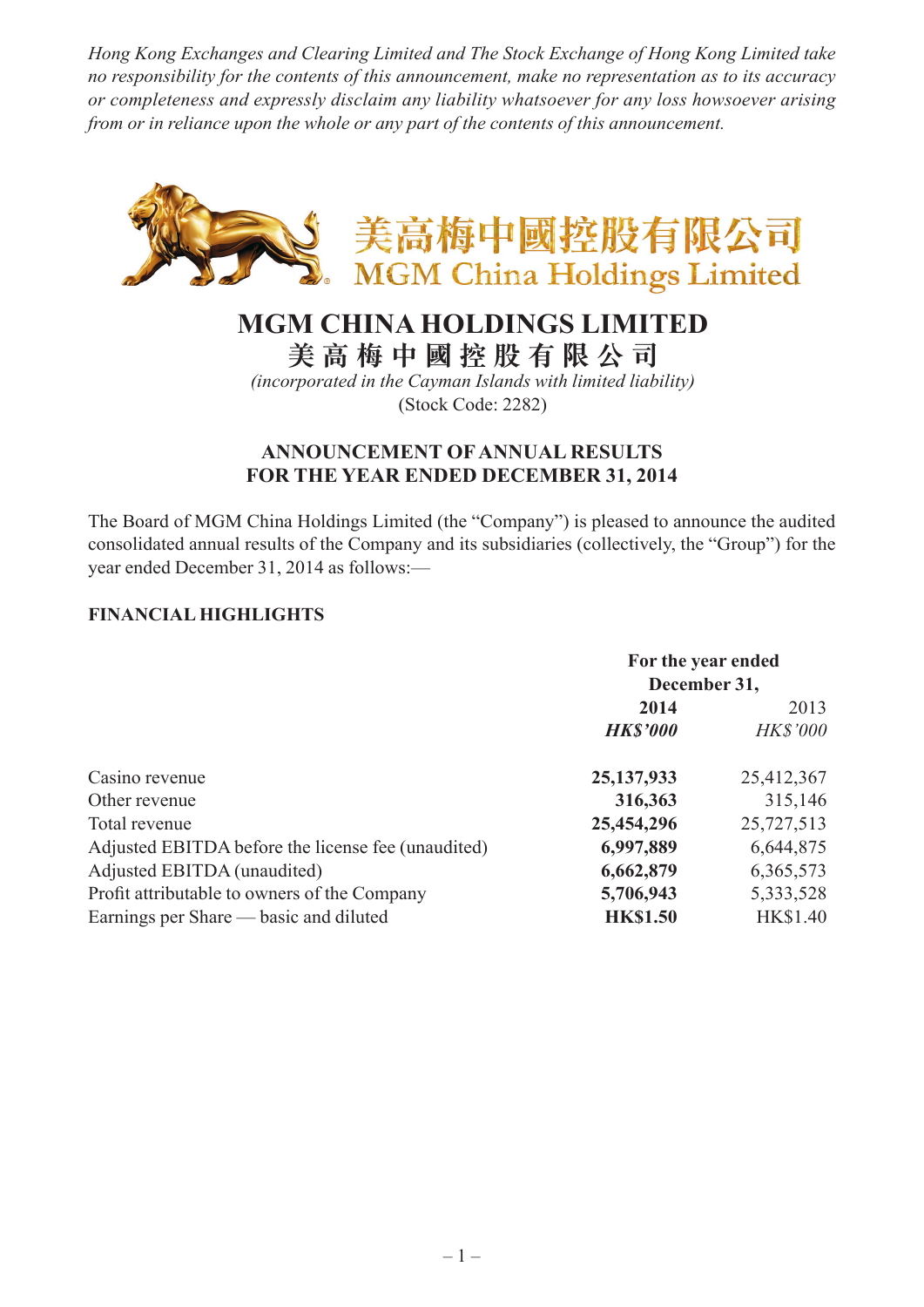*Hong Kong Exchanges and Clearing Limited and The Stock Exchange of Hong Kong Limited take no responsibility for the contents of this announcement, make no representation as to its accuracy or completeness and expressly disclaim any liability whatsoever for any loss howsoever arising from or in reliance upon the whole or any part of the contents of this announcement.*



# **MGM CHINA HOLDINGS LIMITED**

**美 高 梅 中 國 控 股 有 限 公 司**

*(incorporated in the Cayman Islands with limited liability)* (Stock Code: 2282)

### **ANNOUNCEMENT OF ANNUAL RESULTS FOR THE YEAR ENDED DECEMBER 31, 2014**

The Board of MGM China Holdings Limited (the "Company") is pleased to announce the audited consolidated annual results of the Company and its subsidiaries (collectively, the "Group") for the year ended December 31, 2014 as follows:—

### **FINANCIAL HIGHLIGHTS**

|                                                    | For the year ended<br>December 31, |                 |
|----------------------------------------------------|------------------------------------|-----------------|
|                                                    | 2014                               | 2013            |
|                                                    | <b>HK\$'000</b>                    | <b>HK\$'000</b> |
| Casino revenue                                     | 25, 137, 933                       | 25,412,367      |
| Other revenue                                      | 316,363                            | 315,146         |
| Total revenue                                      | 25,454,296                         | 25,727,513      |
| Adjusted EBITDA before the license fee (unaudited) | 6,997,889                          | 6,644,875       |
| Adjusted EBITDA (unaudited)                        | 6,662,879                          | 6,365,573       |
| Profit attributable to owners of the Company       | 5,706,943                          | 5, 333, 528     |
| Earnings per Share — basic and diluted             | <b>HK\$1.50</b>                    | <b>HK\$1.40</b> |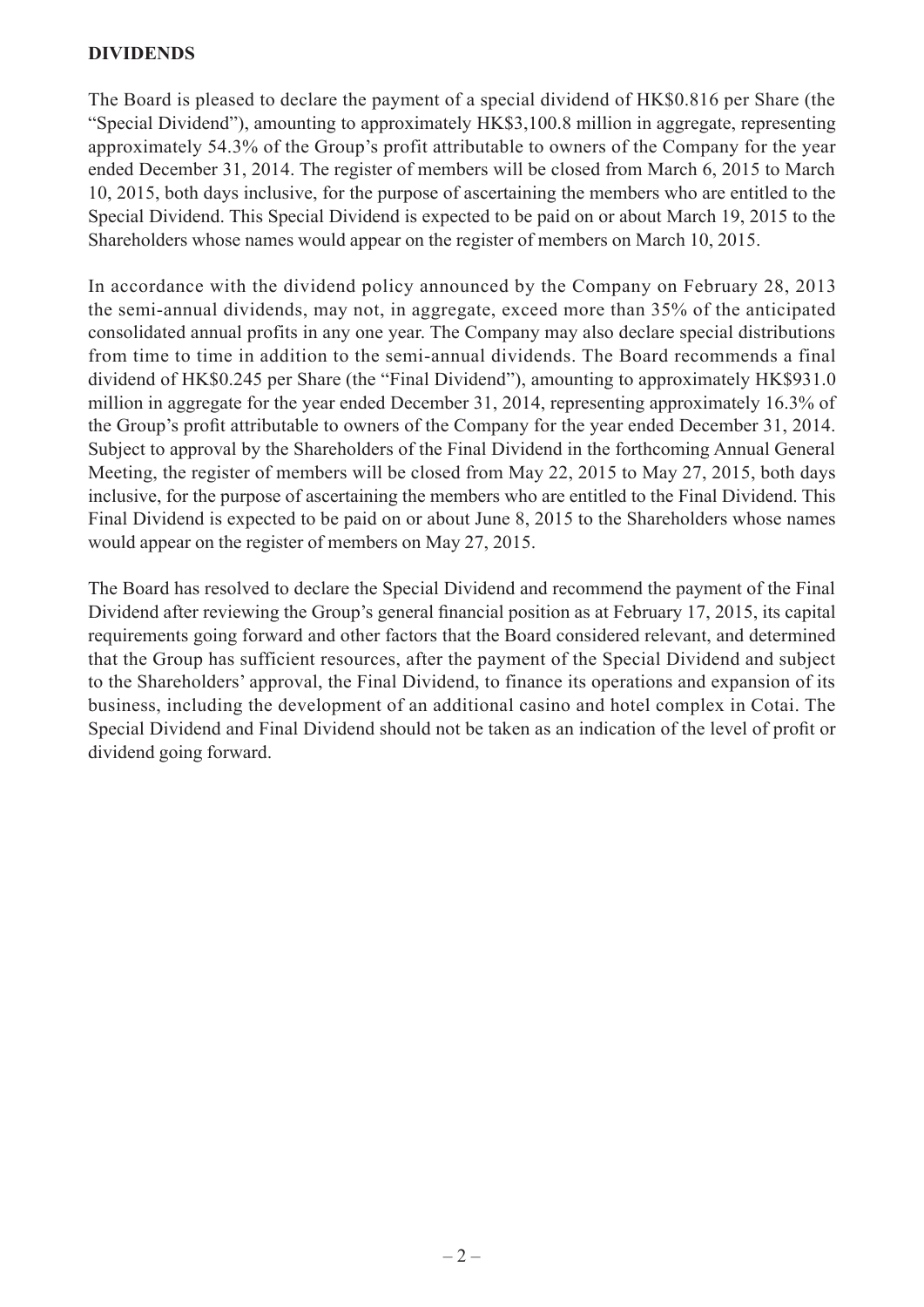#### **DIVIDENDS**

The Board is pleased to declare the payment of a special dividend of HK\$0.816 per Share (the "Special Dividend"), amounting to approximately HK\$3,100.8 million in aggregate, representing approximately 54.3% of the Group's profit attributable to owners of the Company for the year ended December 31, 2014. The register of members will be closed from March 6, 2015 to March 10, 2015, both days inclusive, for the purpose of ascertaining the members who are entitled to the Special Dividend. This Special Dividend is expected to be paid on or about March 19, 2015 to the Shareholders whose names would appear on the register of members on March 10, 2015.

In accordance with the dividend policy announced by the Company on February 28, 2013 the semi-annual dividends, may not, in aggregate, exceed more than 35% of the anticipated consolidated annual profits in any one year. The Company may also declare special distributions from time to time in addition to the semi-annual dividends. The Board recommends a final dividend of HK\$0.245 per Share (the "Final Dividend"), amounting to approximately HK\$931.0 million in aggregate for the year ended December 31, 2014, representing approximately 16.3% of the Group's profit attributable to owners of the Company for the year ended December 31, 2014. Subject to approval by the Shareholders of the Final Dividend in the forthcoming Annual General Meeting, the register of members will be closed from May 22, 2015 to May 27, 2015, both days inclusive, for the purpose of ascertaining the members who are entitled to the Final Dividend. This Final Dividend is expected to be paid on or about June 8, 2015 to the Shareholders whose names would appear on the register of members on May 27, 2015.

The Board has resolved to declare the Special Dividend and recommend the payment of the Final Dividend after reviewing the Group's general financial position as at February 17, 2015, its capital requirements going forward and other factors that the Board considered relevant, and determined that the Group has sufficient resources, after the payment of the Special Dividend and subject to the Shareholders' approval, the Final Dividend, to finance its operations and expansion of its business, including the development of an additional casino and hotel complex in Cotai. The Special Dividend and Final Dividend should not be taken as an indication of the level of profit or dividend going forward.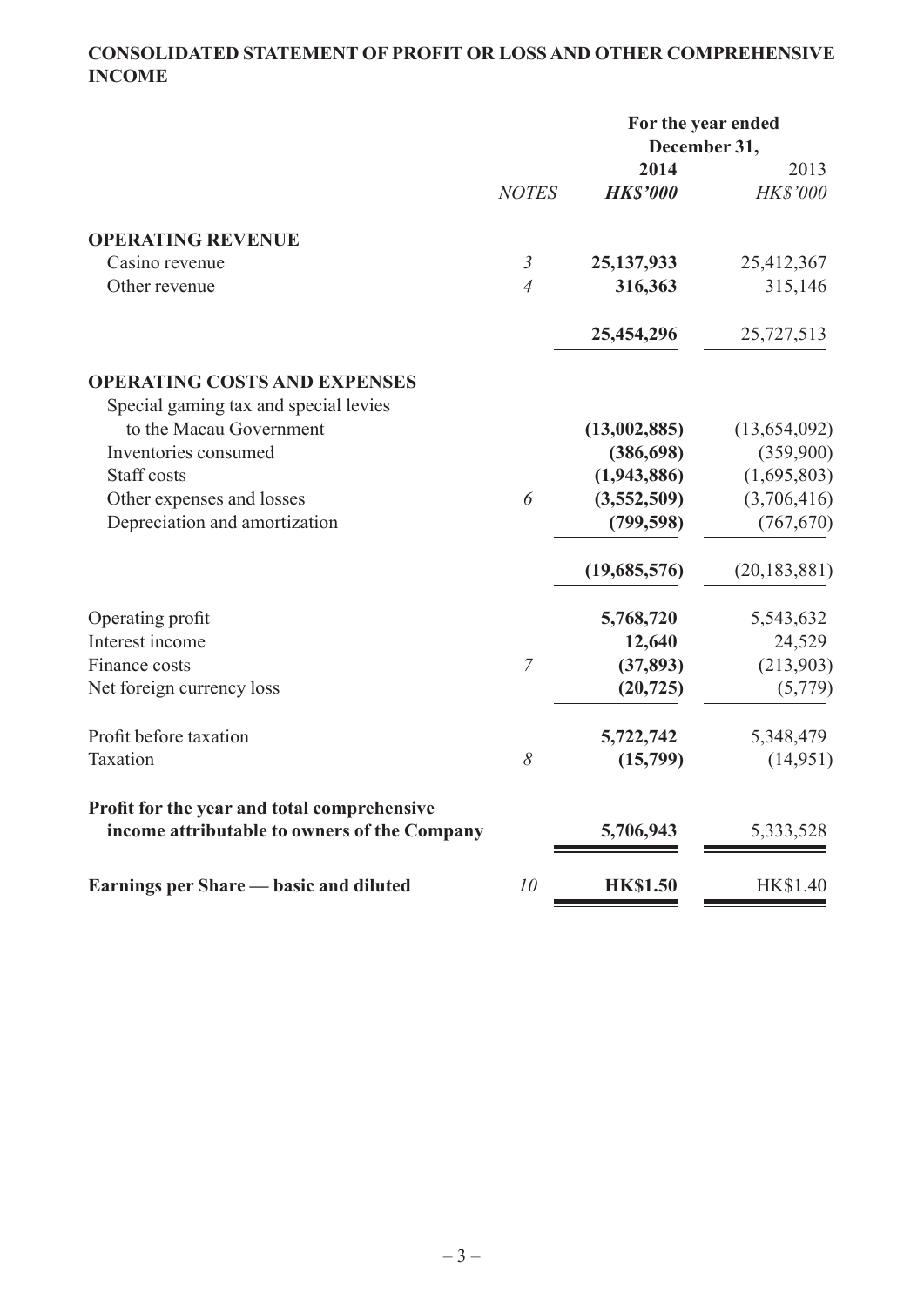# **CONSOLIDATED STATEMENT OF PROFIT OR LOSS AND OTHER COMPREHENSIVE INCOME**

|                                                                                             |                | For the year ended<br>December 31, |                |
|---------------------------------------------------------------------------------------------|----------------|------------------------------------|----------------|
|                                                                                             |                | 2014                               | 2013           |
|                                                                                             | <b>NOTES</b>   | <b>HK\$'000</b>                    | HK\$'000       |
| <b>OPERATING REVENUE</b>                                                                    |                |                                    |                |
| Casino revenue                                                                              | $\mathfrak{Z}$ | 25, 137, 933                       | 25,412,367     |
| Other revenue                                                                               | $\overline{4}$ | 316,363                            | 315,146        |
|                                                                                             |                | 25,454,296                         | 25,727,513     |
| <b>OPERATING COSTS AND EXPENSES</b>                                                         |                |                                    |                |
| Special gaming tax and special levies                                                       |                |                                    |                |
| to the Macau Government                                                                     |                | (13,002,885)                       | (13, 654, 092) |
| Inventories consumed                                                                        |                | (386, 698)                         | (359,900)      |
| Staff costs                                                                                 |                | (1,943,886)                        | (1,695,803)    |
| Other expenses and losses                                                                   | 6              | (3,552,509)                        | (3,706,416)    |
| Depreciation and amortization                                                               |                | (799, 598)                         | (767, 670)     |
|                                                                                             |                | (19,685,576)                       | (20, 183, 881) |
| Operating profit                                                                            |                | 5,768,720                          | 5,543,632      |
| Interest income                                                                             |                | 12,640                             | 24,529         |
| Finance costs                                                                               | $\overline{7}$ | (37, 893)                          | (213,903)      |
| Net foreign currency loss                                                                   |                | (20, 725)                          | (5,779)        |
| Profit before taxation                                                                      |                | 5,722,742                          | 5,348,479      |
| Taxation                                                                                    | 8              | (15,799)                           | (14, 951)      |
| Profit for the year and total comprehensive<br>income attributable to owners of the Company |                | 5,706,943                          | 5,333,528      |
| Earnings per Share — basic and diluted                                                      | 10             | <b>HK\$1.50</b>                    | HK\$1.40       |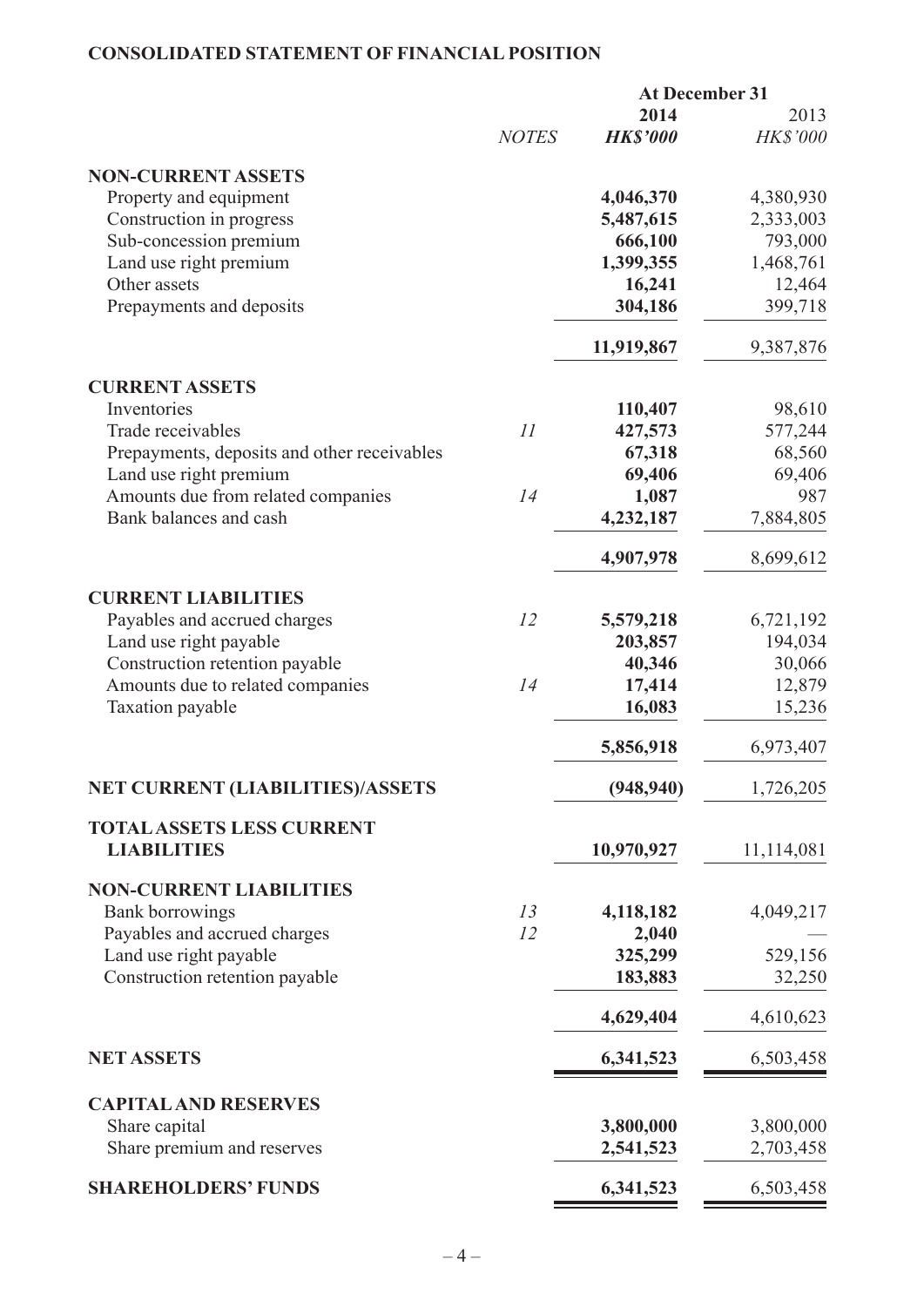# **CONSOLIDATED STATEMENT OF FINANCIAL POSITION**

|                                             |              | <b>At December 31</b>   |                         |
|---------------------------------------------|--------------|-------------------------|-------------------------|
|                                             | <b>NOTES</b> | 2014<br><b>HK\$'000</b> | 2013<br><b>HK\$'000</b> |
| <b>NON-CURRENT ASSETS</b>                   |              |                         |                         |
| Property and equipment                      |              | 4,046,370               | 4,380,930               |
| Construction in progress                    |              | 5,487,615               | 2,333,003               |
| Sub-concession premium                      |              | 666,100                 | 793,000                 |
| Land use right premium                      |              | 1,399,355               | 1,468,761               |
| Other assets                                |              | 16,241                  | 12,464                  |
| Prepayments and deposits                    |              | 304,186                 | 399,718                 |
|                                             |              | 11,919,867              | 9,387,876               |
| <b>CURRENT ASSETS</b>                       |              |                         |                         |
| Inventories                                 |              | 110,407                 | 98,610                  |
| Trade receivables                           | II           | 427,573                 | 577,244                 |
| Prepayments, deposits and other receivables |              | 67,318                  | 68,560                  |
| Land use right premium                      |              | 69,406                  | 69,406                  |
| Amounts due from related companies          | 14           | 1,087                   | 987                     |
| Bank balances and cash                      |              | 4,232,187               | 7,884,805               |
|                                             |              | 4,907,978               | 8,699,612               |
| <b>CURRENT LIABILITIES</b>                  |              |                         |                         |
| Payables and accrued charges                | 12           | 5,579,218               | 6,721,192               |
| Land use right payable                      |              | 203,857                 | 194,034                 |
| Construction retention payable              |              | 40,346                  | 30,066                  |
| Amounts due to related companies            | 14           | 17,414                  | 12,879                  |
| Taxation payable                            |              | 16,083                  | 15,236                  |
|                                             |              | 5,856,918               | 6,973,407               |
| <b>NET CURRENT (LIABILITIES)/ASSETS</b>     |              | (948, 940)              | 1,726,205               |
| <b>TOTAL ASSETS LESS CURRENT</b>            |              |                         |                         |
| <b>LIABILITIES</b>                          |              | 10,970,927              | 11,114,081              |
| <b>NON-CURRENT LIABILITIES</b>              |              |                         |                         |
| <b>Bank borrowings</b>                      | 13           | 4,118,182               | 4,049,217               |
| Payables and accrued charges                | 12           | 2,040                   |                         |
| Land use right payable                      |              | 325,299                 | 529,156                 |
| Construction retention payable              |              | 183,883                 | 32,250                  |
|                                             |              | 4,629,404               | 4,610,623               |
| <b>NET ASSETS</b>                           |              | 6,341,523               | 6,503,458               |
| <b>CAPITAL AND RESERVES</b>                 |              |                         |                         |
| Share capital                               |              | 3,800,000               | 3,800,000               |
| Share premium and reserves                  |              | 2,541,523               | 2,703,458               |
| <b>SHAREHOLDERS' FUNDS</b>                  |              | 6,341,523               | 6,503,458               |
|                                             |              |                         |                         |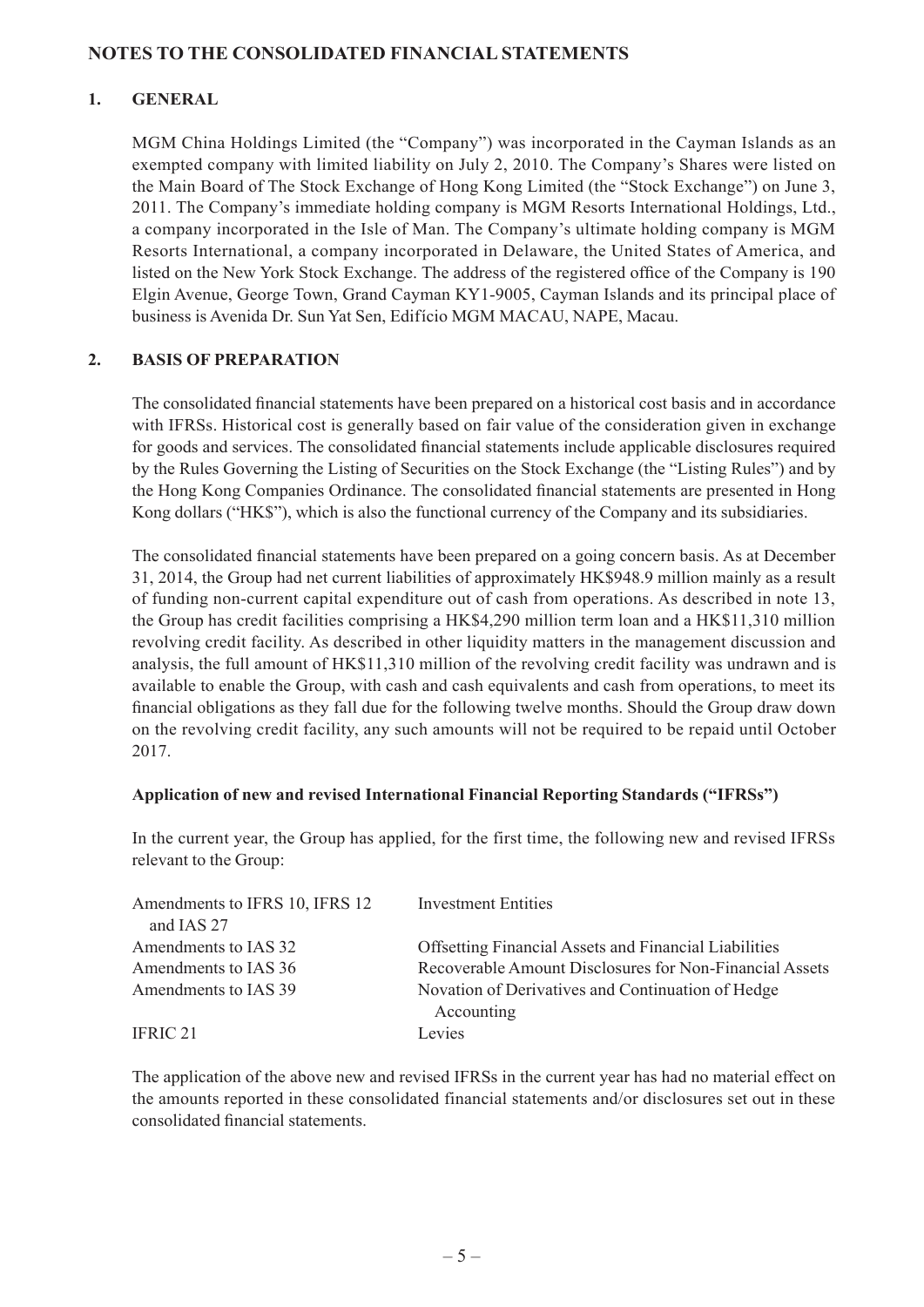#### **NOTES TO THE CONSOLIDATED FINANCIAL STATEMENTS**

#### **1. GENERAL**

MGM China Holdings Limited (the "Company") was incorporated in the Cayman Islands as an exempted company with limited liability on July 2, 2010. The Company's Shares were listed on the Main Board of The Stock Exchange of Hong Kong Limited (the "Stock Exchange") on June 3, 2011. The Company's immediate holding company is MGM Resorts International Holdings, Ltd., a company incorporated in the Isle of Man. The Company's ultimate holding company is MGM Resorts International, a company incorporated in Delaware, the United States of America, and listed on the New York Stock Exchange. The address of the registered office of the Company is 190 Elgin Avenue, George Town, Grand Cayman KY1-9005, Cayman Islands and its principal place of business is Avenida Dr. Sun Yat Sen, Edifício MGM MACAU, NAPE, Macau.

#### **2. BASIS OF PREPARATION**

The consolidated financial statements have been prepared on a historical cost basis and in accordance with IFRSs. Historical cost is generally based on fair value of the consideration given in exchange for goods and services. The consolidated financial statements include applicable disclosures required by the Rules Governing the Listing of Securities on the Stock Exchange (the "Listing Rules") and by the Hong Kong Companies Ordinance. The consolidated financial statements are presented in Hong Kong dollars ("HK\$"), which is also the functional currency of the Company and its subsidiaries.

The consolidated financial statements have been prepared on a going concern basis. As at December 31, 2014, the Group had net current liabilities of approximately HK\$948.9 million mainly as a result of funding non-current capital expenditure out of cash from operations. As described in note 13, the Group has credit facilities comprising a HK\$4,290 million term loan and a HK\$11,310 million revolving credit facility. As described in other liquidity matters in the management discussion and analysis, the full amount of HK\$11,310 million of the revolving credit facility was undrawn and is available to enable the Group, with cash and cash equivalents and cash from operations, to meet its financial obligations as they fall due for the following twelve months. Should the Group draw down on the revolving credit facility, any such amounts will not be required to be repaid until October 2017.

#### **Application of new and revised International Financial Reporting Standards ("IFRSs")**

In the current year, the Group has applied, for the first time, the following new and revised IFRSs relevant to the Group:

| Amendments to IFRS 10, IFRS 12 | <b>Investment Entities</b>                                      |
|--------------------------------|-----------------------------------------------------------------|
| and IAS 27                     |                                                                 |
| Amendments to IAS 32           | <b>Offsetting Financial Assets and Financial Liabilities</b>    |
| Amendments to IAS 36           | Recoverable Amount Disclosures for Non-Financial Assets         |
| Amendments to IAS 39           | Novation of Derivatives and Continuation of Hedge<br>Accounting |
| IFRIC <sub>21</sub>            | Levies                                                          |

The application of the above new and revised IFRSs in the current year has had no material effect on the amounts reported in these consolidated financial statements and/or disclosures set out in these consolidated financial statements.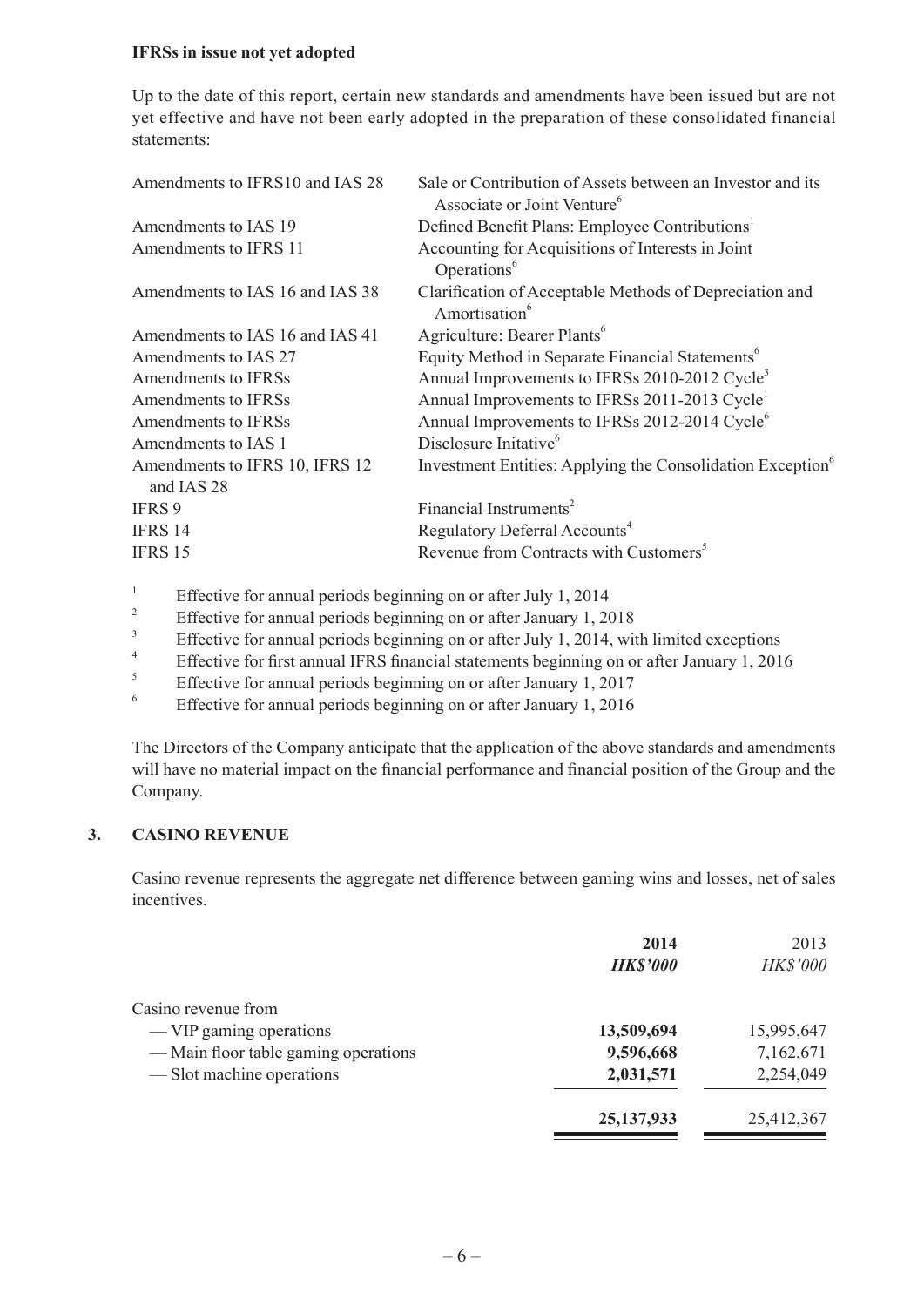#### **IFRSs in issue not yet adopted**

Up to the date of this report, certain new standards and amendments have been issued but are not yet effective and have not been early adopted in the preparation of these consolidated financial statements:

| Amendments to IFRS10 and IAS 28              | Sale or Contribution of Assets between an Investor and its<br>Associate or Joint Venture <sup>6</sup> |
|----------------------------------------------|-------------------------------------------------------------------------------------------------------|
| Amendments to IAS 19                         | Defined Benefit Plans: Employee Contributions <sup>1</sup>                                            |
| Amendments to IFRS 11                        | Accounting for Acquisitions of Interests in Joint<br>Operations <sup>6</sup>                          |
| Amendments to IAS 16 and IAS 38              | Clarification of Acceptable Methods of Depreciation and<br>Amortisation <sup>6</sup>                  |
| Amendments to IAS 16 and IAS 41              | Agriculture: Bearer Plants <sup>6</sup>                                                               |
| Amendments to IAS 27                         | Equity Method in Separate Financial Statements <sup>6</sup>                                           |
| Amendments to IFRSs                          | Annual Improvements to IFRSs 2010-2012 Cycle <sup>3</sup>                                             |
| Amendments to IFRSs                          | Annual Improvements to IFRSs 2011-2013 Cycle <sup>1</sup>                                             |
| <b>Amendments to IFRSs</b>                   | Annual Improvements to IFRSs 2012-2014 Cycle <sup>6</sup>                                             |
| Amendments to IAS 1                          | Disclosure Initative <sup>6</sup>                                                                     |
| Amendments to IFRS 10, IFRS 12<br>and IAS 28 | Investment Entities: Applying the Consolidation Exception <sup>6</sup>                                |
| IFRS 9                                       | Financial Instruments <sup>2</sup>                                                                    |
| <b>IFRS 14</b>                               | Regulatory Deferral Accounts <sup>4</sup>                                                             |
| <b>IFRS 15</b>                               | Revenue from Contracts with Customers <sup>5</sup>                                                    |
|                                              |                                                                                                       |

<sup>1</sup> Effective for annual periods beginning on or after July 1, 2014<br><sup>2</sup> Effective for annual periods beginning on a after January 1, 20

- <sup>2</sup> Effective for annual periods beginning on or after January 1, 2018
- $\frac{3}{4}$  Effective for annual periods beginning on or after July 1, 2014, with limited exceptions
- <sup>4</sup> Effective for first annual IFRS financial statements beginning on or after January 1, 2016
- <sup>5</sup><br>Effective for annual periods beginning on or after January 1, 2017<br>Effective for annual periods beginning on or after January 1, 2016
- <sup>6</sup> Effective for annual periods beginning on or after January 1, 2016

The Directors of the Company anticipate that the application of the above standards and amendments will have no material impact on the financial performance and financial position of the Group and the Company.

#### **3. CASINO REVENUE**

Casino revenue represents the aggregate net difference between gaming wins and losses, net of sales incentives.

|                                      | 2014            | 2013       |
|--------------------------------------|-----------------|------------|
|                                      | <b>HK\$'000</b> | HK\$'000   |
| Casino revenue from                  |                 |            |
| — VIP gaming operations              | 13,509,694      | 15,995,647 |
| — Main floor table gaming operations | 9,596,668       | 7,162,671  |
| — Slot machine operations            | 2,031,571       | 2,254,049  |
|                                      | 25, 137, 933    | 25,412,367 |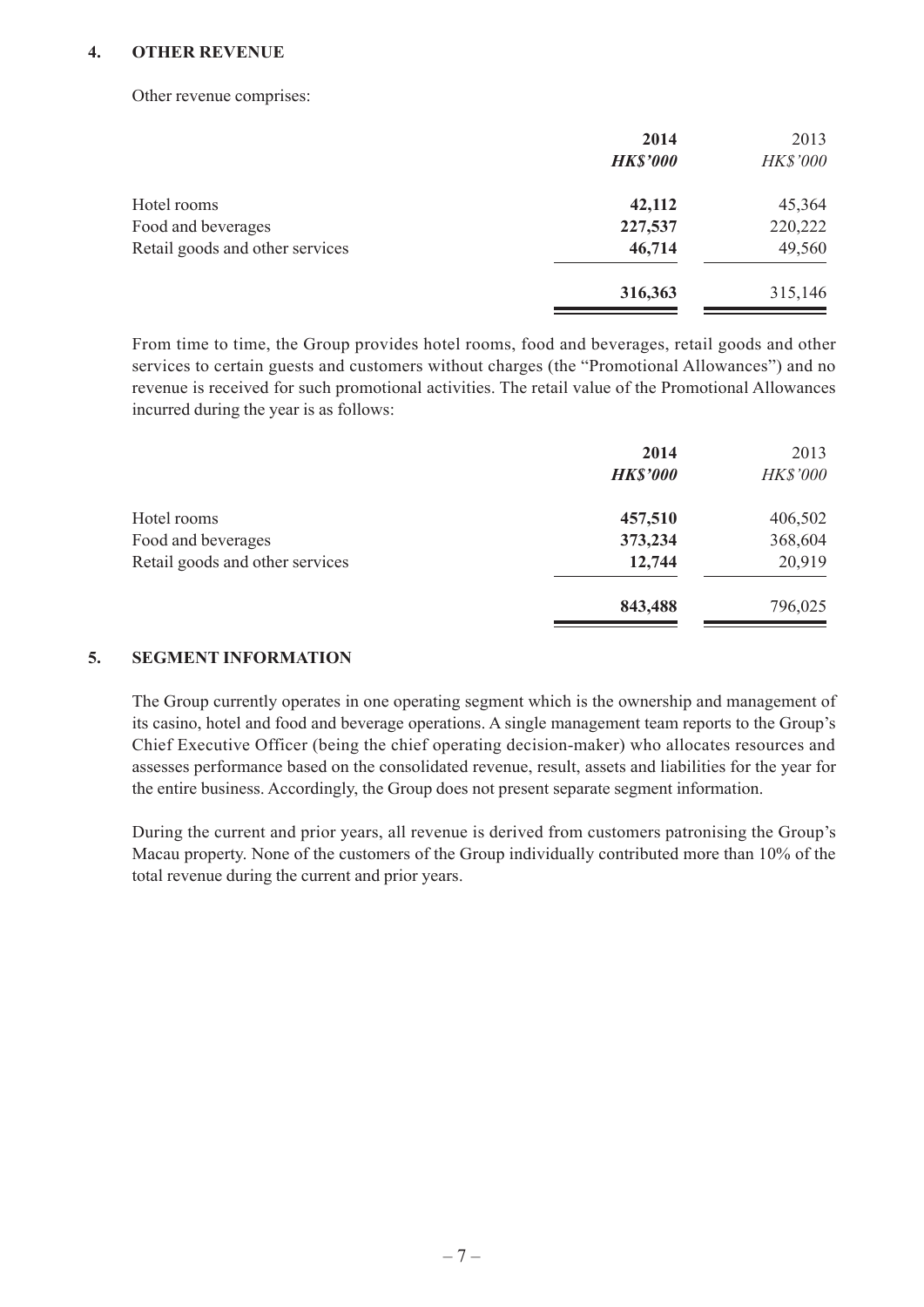#### **4. OTHER REVENUE**

Other revenue comprises:

|                                 | 2014            | 2013     |
|---------------------------------|-----------------|----------|
|                                 | <b>HK\$'000</b> | HK\$'000 |
| Hotel rooms                     | 42,112          | 45,364   |
| Food and beverages              | 227,537         | 220,222  |
| Retail goods and other services | 46,714          | 49,560   |
|                                 | 316,363         | 315,146  |

From time to time, the Group provides hotel rooms, food and beverages, retail goods and other services to certain guests and customers without charges (the "Promotional Allowances") and no revenue is received for such promotional activities. The retail value of the Promotional Allowances incurred during the year is as follows:

|                                 | 2014            | 2013     |
|---------------------------------|-----------------|----------|
|                                 | <b>HK\$'000</b> | HK\$'000 |
| Hotel rooms                     | 457,510         | 406,502  |
| Food and beverages              | 373,234         | 368,604  |
| Retail goods and other services | 12,744          | 20,919   |
|                                 | 843,488         | 796,025  |
|                                 |                 |          |

#### **5. SEGMENT INFORMATION**

The Group currently operates in one operating segment which is the ownership and management of its casino, hotel and food and beverage operations. A single management team reports to the Group's Chief Executive Officer (being the chief operating decision-maker) who allocates resources and assesses performance based on the consolidated revenue, result, assets and liabilities for the year for the entire business. Accordingly, the Group does not present separate segment information.

During the current and prior years, all revenue is derived from customers patronising the Group's Macau property. None of the customers of the Group individually contributed more than 10% of the total revenue during the current and prior years.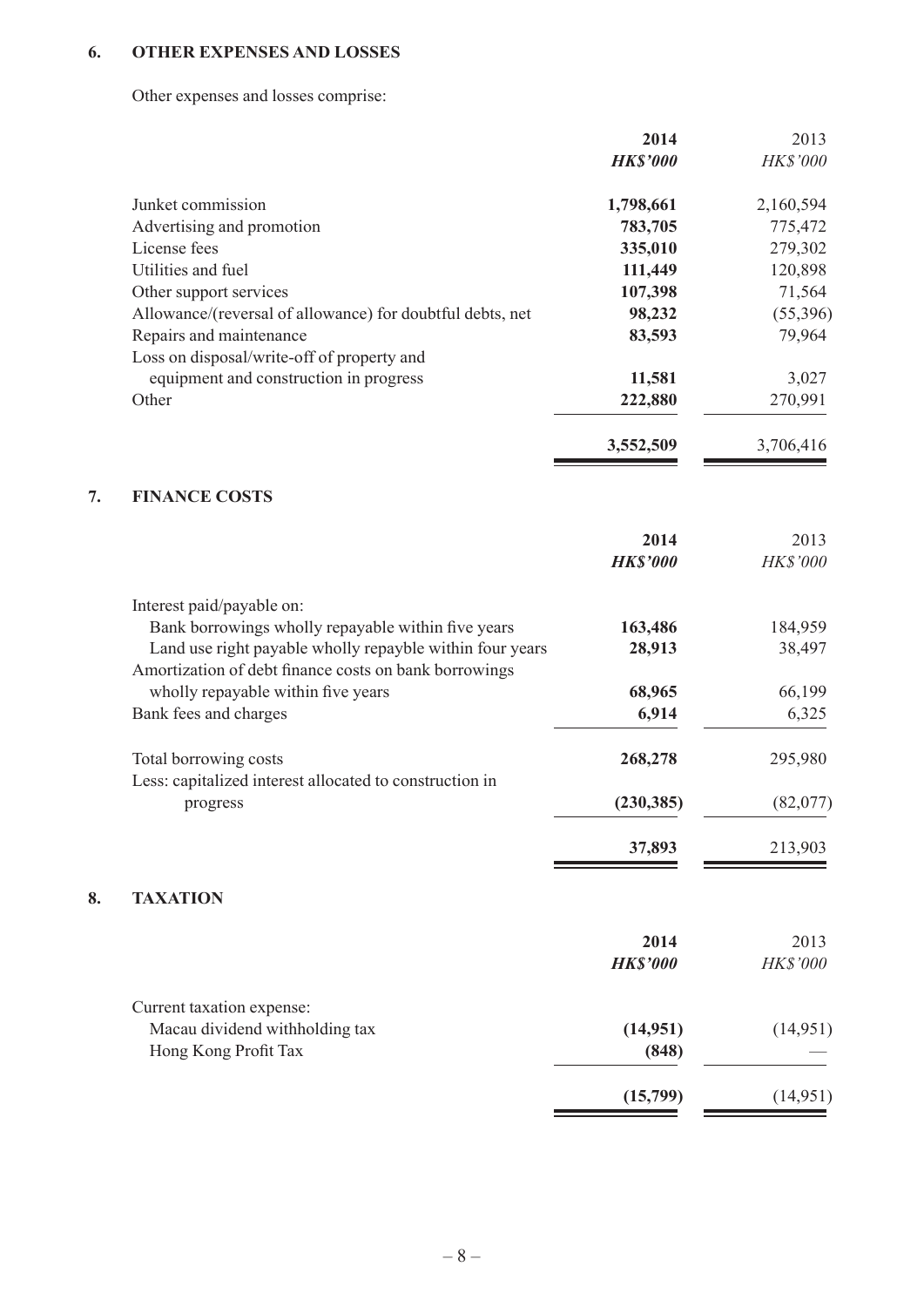# **6. OTHER EXPENSES AND LOSSES**

**8.** 

Other expenses and losses comprise:

|    |                                                                                                                   | 2014            | 2013      |
|----|-------------------------------------------------------------------------------------------------------------------|-----------------|-----------|
|    |                                                                                                                   | <b>HK\$'000</b> | HK\$'000  |
|    | Junket commission                                                                                                 | 1,798,661       | 2,160,594 |
|    | Advertising and promotion                                                                                         | 783,705         | 775,472   |
|    | License fees                                                                                                      | 335,010         | 279,302   |
|    | Utilities and fuel                                                                                                | 111,449         | 120,898   |
|    | Other support services                                                                                            | 107,398         | 71,564    |
|    | Allowance/(reversal of allowance) for doubtful debts, net                                                         | 98,232          | (55,396)  |
|    | Repairs and maintenance                                                                                           | 83,593          | 79,964    |
|    | Loss on disposal/write-off of property and                                                                        |                 |           |
|    | equipment and construction in progress                                                                            | 11,581          | 3,027     |
|    | Other                                                                                                             | 222,880         | 270,991   |
|    |                                                                                                                   | 3,552,509       | 3,706,416 |
| 7. | <b>FINANCE COSTS</b>                                                                                              |                 |           |
|    |                                                                                                                   | 2014            | 2013      |
|    |                                                                                                                   | <b>HK\$'000</b> | HK\$'000  |
|    | Interest paid/payable on:                                                                                         |                 |           |
|    | Bank borrowings wholly repayable within five years                                                                | 163,486         | 184,959   |
|    | Land use right payable wholly repayble within four years<br>Amortization of debt finance costs on bank borrowings | 28,913          | 38,497    |
|    | wholly repayable within five years                                                                                | 68,965          | 66,199    |
|    | Bank fees and charges                                                                                             | 6,914           | 6,325     |
|    | Total borrowing costs                                                                                             | 268,278         | 295,980   |
|    | Less: capitalized interest allocated to construction in<br>progress                                               | (230, 385)      | (82,077)  |
|    |                                                                                                                   |                 |           |
|    |                                                                                                                   | 37,893          | 213,903   |
| 8. | <b>TAXATION</b>                                                                                                   |                 |           |
|    |                                                                                                                   | 2014            | 2013      |
|    |                                                                                                                   | <b>HK\$'000</b> | HK\$'000  |
|    | Current taxation expense:                                                                                         |                 |           |
|    | Macau dividend withholding tax                                                                                    | (14, 951)       | (14, 951) |
|    | Hong Kong Profit Tax                                                                                              | (848)           |           |
|    |                                                                                                                   | (15,799)        | (14, 951) |
|    |                                                                                                                   |                 |           |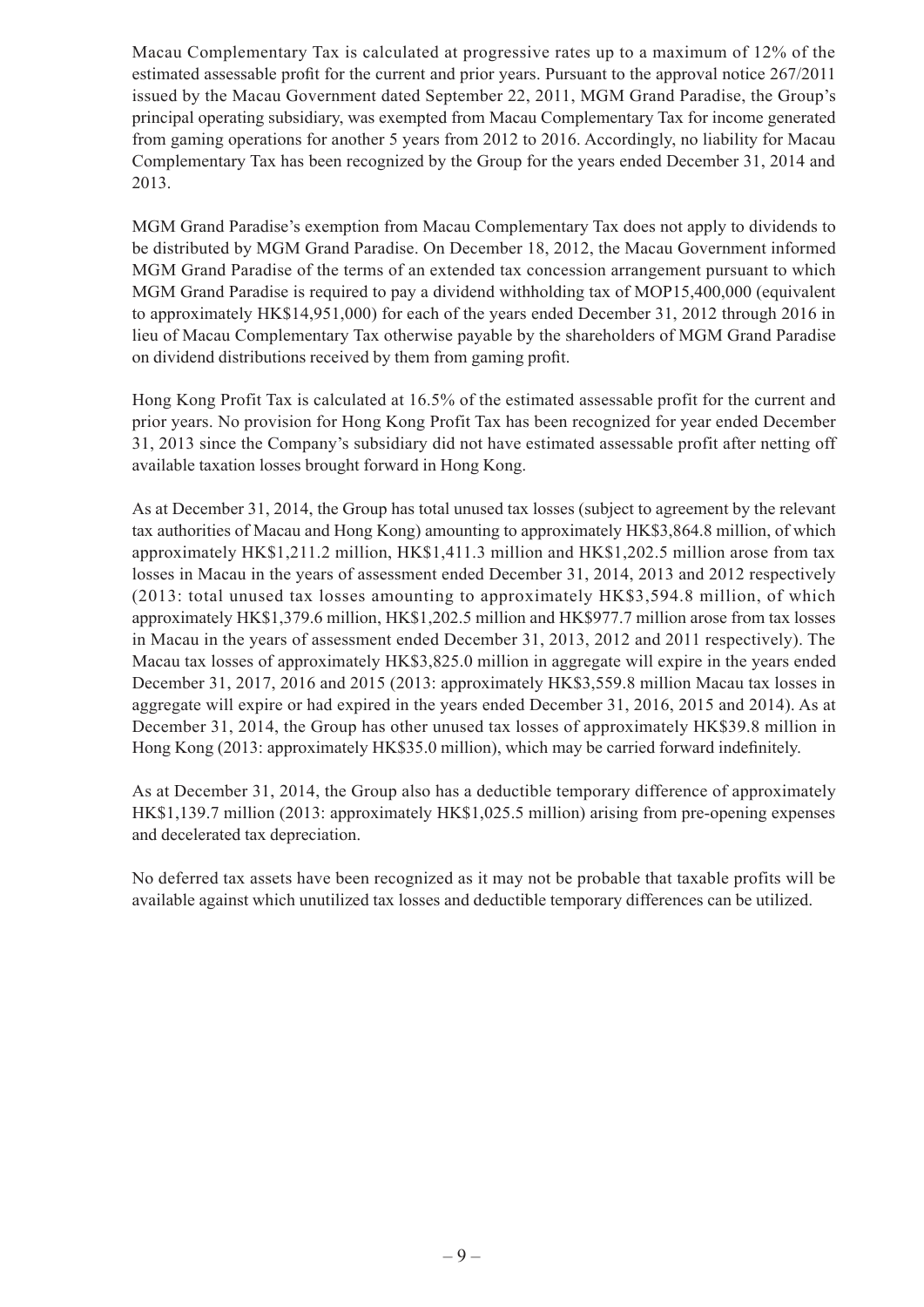Macau Complementary Tax is calculated at progressive rates up to a maximum of 12% of the estimated assessable profit for the current and prior years. Pursuant to the approval notice 267/2011 issued by the Macau Government dated September 22, 2011, MGM Grand Paradise, the Group's principal operating subsidiary, was exempted from Macau Complementary Tax for income generated from gaming operations for another 5 years from 2012 to 2016. Accordingly, no liability for Macau Complementary Tax has been recognized by the Group for the years ended December 31, 2014 and 2013.

MGM Grand Paradise's exemption from Macau Complementary Tax does not apply to dividends to be distributed by MGM Grand Paradise. On December 18, 2012, the Macau Government informed MGM Grand Paradise of the terms of an extended tax concession arrangement pursuant to which MGM Grand Paradise is required to pay a dividend withholding tax of MOP15,400,000 (equivalent to approximately HK\$14,951,000) for each of the years ended December 31, 2012 through 2016 in lieu of Macau Complementary Tax otherwise payable by the shareholders of MGM Grand Paradise on dividend distributions received by them from gaming profit.

Hong Kong Profit Tax is calculated at 16.5% of the estimated assessable profit for the current and prior years. No provision for Hong Kong Profit Tax has been recognized for year ended December 31, 2013 since the Company's subsidiary did not have estimated assessable profit after netting off available taxation losses brought forward in Hong Kong.

As at December 31, 2014, the Group has total unused tax losses (subject to agreement by the relevant tax authorities of Macau and Hong Kong) amounting to approximately HK\$3,864.8 million, of which approximately HK\$1,211.2 million, HK\$1,411.3 million and HK\$1,202.5 million arose from tax losses in Macau in the years of assessment ended December 31, 2014, 2013 and 2012 respectively (2013: total unused tax losses amounting to approximately HK\$3,594.8 million, of which approximately HK\$1,379.6 million, HK\$1,202.5 million and HK\$977.7 million arose from tax losses in Macau in the years of assessment ended December 31, 2013, 2012 and 2011 respectively). The Macau tax losses of approximately HK\$3,825.0 million in aggregate will expire in the years ended December 31, 2017, 2016 and 2015 (2013: approximately HK\$3,559.8 million Macau tax losses in aggregate will expire or had expired in the years ended December 31, 2016, 2015 and 2014). As at December 31, 2014, the Group has other unused tax losses of approximately HK\$39.8 million in Hong Kong (2013: approximately HK\$35.0 million), which may be carried forward indefinitely.

As at December 31, 2014, the Group also has a deductible temporary difference of approximately HK\$1,139.7 million (2013: approximately HK\$1,025.5 million) arising from pre-opening expenses and decelerated tax depreciation.

No deferred tax assets have been recognized as it may not be probable that taxable profits will be available against which unutilized tax losses and deductible temporary differences can be utilized.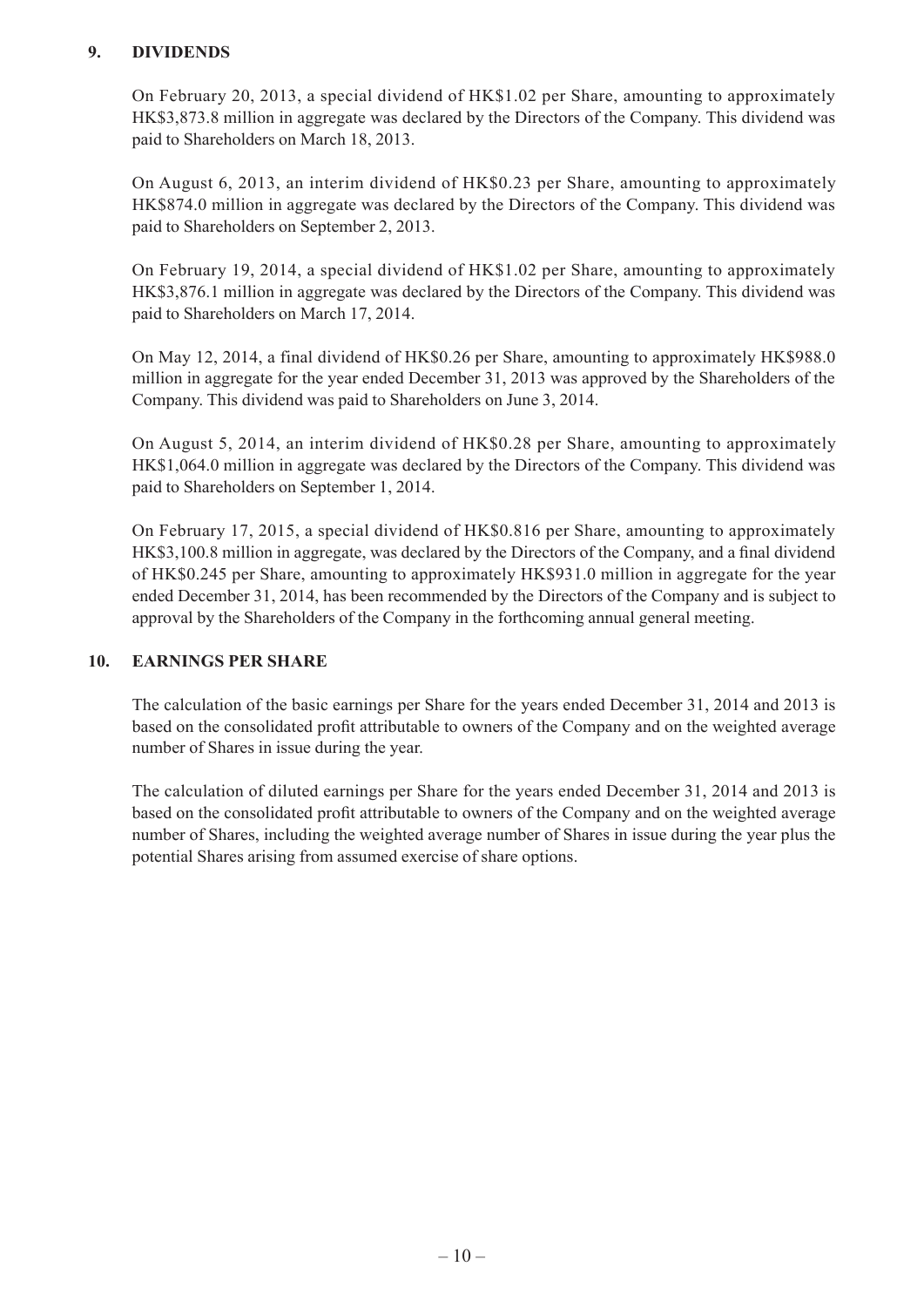#### **9. DIVIDENDS**

On February 20, 2013, a special dividend of HK\$1.02 per Share, amounting to approximately HK\$3,873.8 million in aggregate was declared by the Directors of the Company. This dividend was paid to Shareholders on March 18, 2013.

On August 6, 2013, an interim dividend of HK\$0.23 per Share, amounting to approximately HK\$874.0 million in aggregate was declared by the Directors of the Company. This dividend was paid to Shareholders on September 2, 2013.

On February 19, 2014, a special dividend of HK\$1.02 per Share, amounting to approximately HK\$3,876.1 million in aggregate was declared by the Directors of the Company. This dividend was paid to Shareholders on March 17, 2014.

On May 12, 2014, a final dividend of HK\$0.26 per Share, amounting to approximately HK\$988.0 million in aggregate for the year ended December 31, 2013 was approved by the Shareholders of the Company. This dividend was paid to Shareholders on June 3, 2014.

On August 5, 2014, an interim dividend of HK\$0.28 per Share, amounting to approximately HK\$1,064.0 million in aggregate was declared by the Directors of the Company. This dividend was paid to Shareholders on September 1, 2014.

On February 17, 2015, a special dividend of HK\$0.816 per Share, amounting to approximately HK\$3,100.8 million in aggregate, was declared by the Directors of the Company, and a final dividend of HK\$0.245 per Share, amounting to approximately HK\$931.0 million in aggregate for the year ended December 31, 2014, has been recommended by the Directors of the Company and is subject to approval by the Shareholders of the Company in the forthcoming annual general meeting.

#### **10. EARNINGS PER SHARE**

The calculation of the basic earnings per Share for the years ended December 31, 2014 and 2013 is based on the consolidated profit attributable to owners of the Company and on the weighted average number of Shares in issue during the year.

The calculation of diluted earnings per Share for the years ended December 31, 2014 and 2013 is based on the consolidated profit attributable to owners of the Company and on the weighted average number of Shares, including the weighted average number of Shares in issue during the year plus the potential Shares arising from assumed exercise of share options.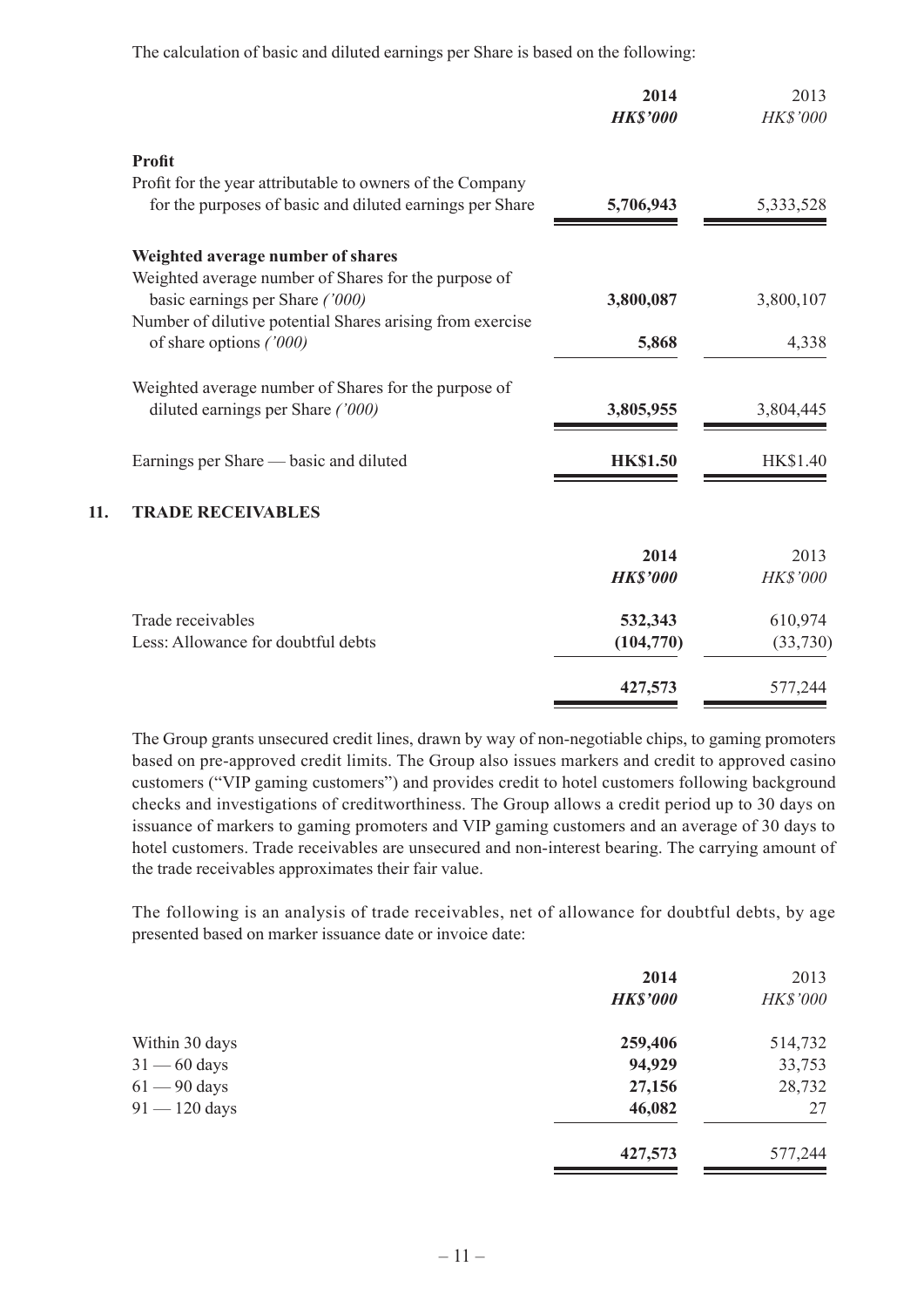The calculation of basic and diluted earnings per Share is based on the following:

|     |                                                           | 2014<br><b>HK\$'000</b> | 2013<br><b>HK\$'000</b> |
|-----|-----------------------------------------------------------|-------------------------|-------------------------|
|     | <b>Profit</b>                                             |                         |                         |
|     | Profit for the year attributable to owners of the Company |                         |                         |
|     | for the purposes of basic and diluted earnings per Share  | 5,706,943               | 5,333,528               |
|     | Weighted average number of shares                         |                         |                         |
|     | Weighted average number of Shares for the purpose of      |                         |                         |
|     | basic earnings per Share ('000)                           | 3,800,087               | 3,800,107               |
|     | Number of dilutive potential Shares arising from exercise |                         |                         |
|     | of share options ('000)                                   | 5,868                   | 4,338                   |
|     | Weighted average number of Shares for the purpose of      |                         |                         |
|     | diluted earnings per Share ('000)                         | 3,805,955               | 3,804,445               |
|     | Earnings per Share — basic and diluted                    | <b>HK\$1.50</b>         | HK\$1.40                |
| 11. | <b>TRADE RECEIVABLES</b>                                  |                         |                         |
|     |                                                           | 2014                    | 2013                    |
|     |                                                           | <b>HK\$'000</b>         | HK\$'000                |
|     | Trade receivables                                         | 532,343                 | 610,974                 |
|     | Less: Allowance for doubtful debts                        | (104, 770)              | (33,730)                |
|     |                                                           | 427,573                 | 577,244                 |

The Group grants unsecured credit lines, drawn by way of non-negotiable chips, to gaming promoters based on pre-approved credit limits. The Group also issues markers and credit to approved casino customers ("VIP gaming customers") and provides credit to hotel customers following background checks and investigations of creditworthiness. The Group allows a credit period up to 30 days on issuance of markers to gaming promoters and VIP gaming customers and an average of 30 days to hotel customers. Trade receivables are unsecured and non-interest bearing. The carrying amount of the trade receivables approximates their fair value.

The following is an analysis of trade receivables, net of allowance for doubtful debts, by age presented based on marker issuance date or invoice date:

|                 | 2014<br><b>HK\$'000</b> | 2013<br><b>HK\$'000</b> |
|-----------------|-------------------------|-------------------------|
| Within 30 days  | 259,406                 | 514,732                 |
| $31 - 60$ days  | 94,929                  | 33,753                  |
| $61 - 90$ days  | 27,156                  | 28,732                  |
| $91 - 120$ days | 46,082                  | 27                      |
|                 | 427,573                 | 577,244                 |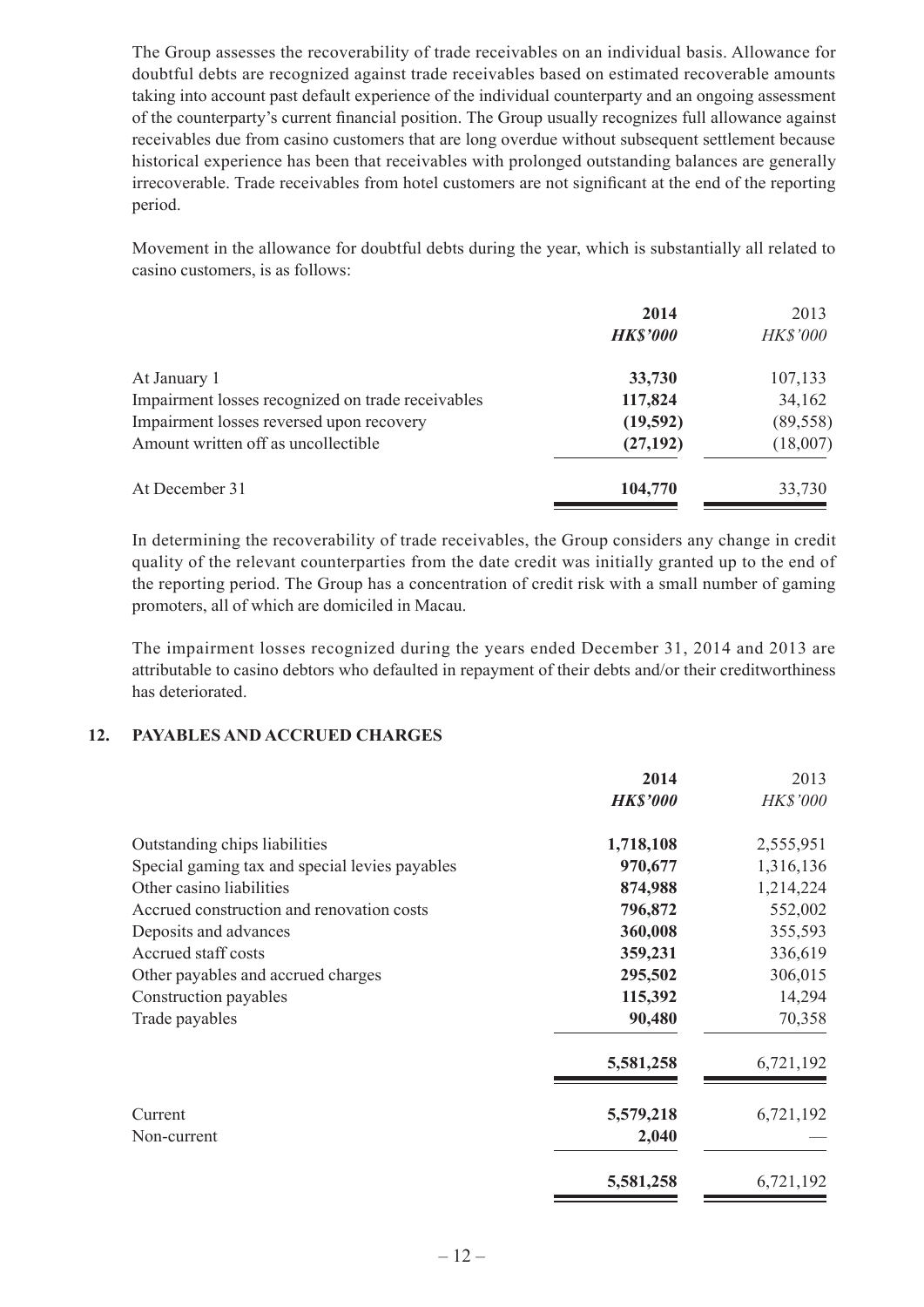The Group assesses the recoverability of trade receivables on an individual basis. Allowance for doubtful debts are recognized against trade receivables based on estimated recoverable amounts taking into account past default experience of the individual counterparty and an ongoing assessment of the counterparty's current financial position. The Group usually recognizes full allowance against receivables due from casino customers that are long overdue without subsequent settlement because historical experience has been that receivables with prolonged outstanding balances are generally irrecoverable. Trade receivables from hotel customers are not significant at the end of the reporting period.

Movement in the allowance for doubtful debts during the year, which is substantially all related to casino customers, is as follows:

| 2014            | 2013            |
|-----------------|-----------------|
| <b>HK\$'000</b> | <b>HK\$'000</b> |
| 33,730          | 107,133         |
| 117,824         | 34,162          |
| (19,592)        | (89, 558)       |
| (27, 192)       | (18,007)        |
| 104,770         | 33,730          |
|                 |                 |

In determining the recoverability of trade receivables, the Group considers any change in credit quality of the relevant counterparties from the date credit was initially granted up to the end of the reporting period. The Group has a concentration of credit risk with a small number of gaming promoters, all of which are domiciled in Macau.

The impairment losses recognized during the years ended December 31, 2014 and 2013 are attributable to casino debtors who defaulted in repayment of their debts and/or their creditworthiness has deteriorated.

#### **12. PAYABLES AND ACCRUED CHARGES**

|                                                | 2014<br><b>HK\$'000</b> | 2013<br><b>HK\$'000</b> |
|------------------------------------------------|-------------------------|-------------------------|
| Outstanding chips liabilities                  | 1,718,108               | 2,555,951               |
| Special gaming tax and special levies payables | 970,677                 | 1,316,136               |
| Other casino liabilities                       | 874,988                 | 1,214,224               |
| Accrued construction and renovation costs      | 796,872                 | 552,002                 |
| Deposits and advances                          | 360,008                 | 355,593                 |
| Accrued staff costs                            | 359,231                 | 336,619                 |
| Other payables and accrued charges             | 295,502                 | 306,015                 |
| Construction payables                          | 115,392                 | 14,294                  |
| Trade payables                                 | 90,480                  | 70,358                  |
|                                                | 5,581,258               | 6,721,192               |
| Current                                        | 5,579,218               | 6,721,192               |
| Non-current                                    | 2,040                   |                         |
|                                                | 5,581,258               | 6,721,192               |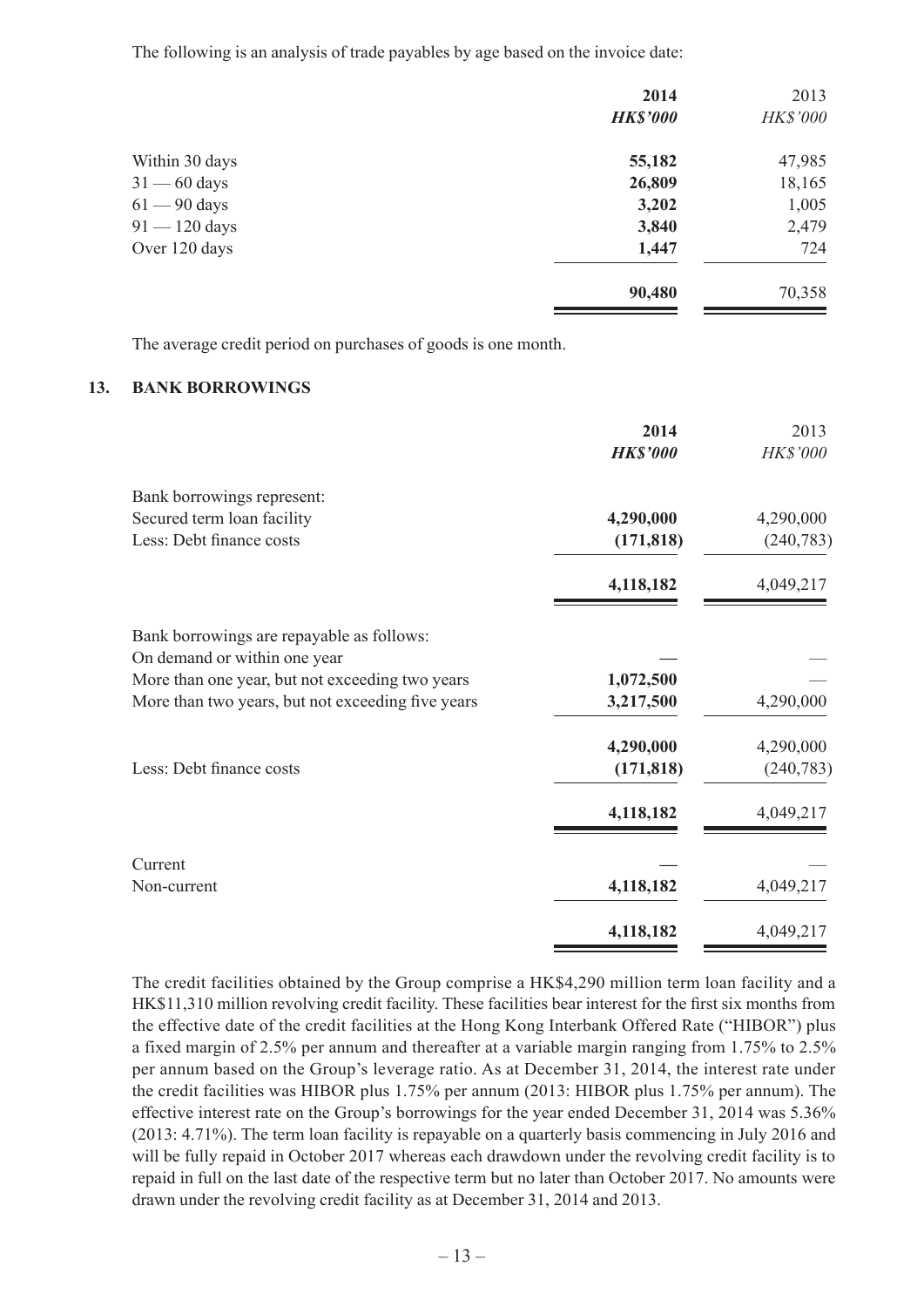The following is an analysis of trade payables by age based on the invoice date:

|                 | 2014            | 2013     |
|-----------------|-----------------|----------|
|                 | <b>HK\$'000</b> | HK\$'000 |
| Within 30 days  | 55,182          | 47,985   |
| $31 - 60$ days  | 26,809          | 18,165   |
| $61 - 90$ days  | 3,202           | 1,005    |
| $91 - 120$ days | 3,840           | 2,479    |
| Over 120 days   | 1,447           | 724      |
|                 | 90,480          | 70,358   |

The average credit period on purchases of goods is one month.

#### **13. BANK BORROWINGS**

|                                                   | 2014<br><b>HK\$'000</b> | 2013<br>HK\$'000 |
|---------------------------------------------------|-------------------------|------------------|
| Bank borrowings represent:                        |                         |                  |
| Secured term loan facility                        | 4,290,000               | 4,290,000        |
| Less: Debt finance costs                          | (171, 818)              | (240, 783)       |
|                                                   | 4,118,182               | 4,049,217        |
| Bank borrowings are repayable as follows:         |                         |                  |
| On demand or within one year                      |                         |                  |
| More than one year, but not exceeding two years   | 1,072,500               |                  |
| More than two years, but not exceeding five years | 3,217,500               | 4,290,000        |
|                                                   | 4,290,000               | 4,290,000        |
| Less: Debt finance costs                          | (171, 818)              | (240, 783)       |
|                                                   | 4,118,182               | 4,049,217        |
| Current                                           |                         |                  |
| Non-current                                       | 4,118,182               | 4,049,217        |
|                                                   | 4,118,182               | 4,049,217        |

The credit facilities obtained by the Group comprise a HK\$4,290 million term loan facility and a HK\$11,310 million revolving credit facility. These facilities bear interest for the first six months from the effective date of the credit facilities at the Hong Kong Interbank Offered Rate ("HIBOR") plus a fixed margin of 2.5% per annum and thereafter at a variable margin ranging from 1.75% to 2.5% per annum based on the Group's leverage ratio. As at December 31, 2014, the interest rate under the credit facilities was HIBOR plus 1.75% per annum (2013: HIBOR plus 1.75% per annum). The effective interest rate on the Group's borrowings for the year ended December 31, 2014 was 5.36% (2013: 4.71%). The term loan facility is repayable on a quarterly basis commencing in July 2016 and will be fully repaid in October 2017 whereas each drawdown under the revolving credit facility is to repaid in full on the last date of the respective term but no later than October 2017. No amounts were drawn under the revolving credit facility as at December 31, 2014 and 2013.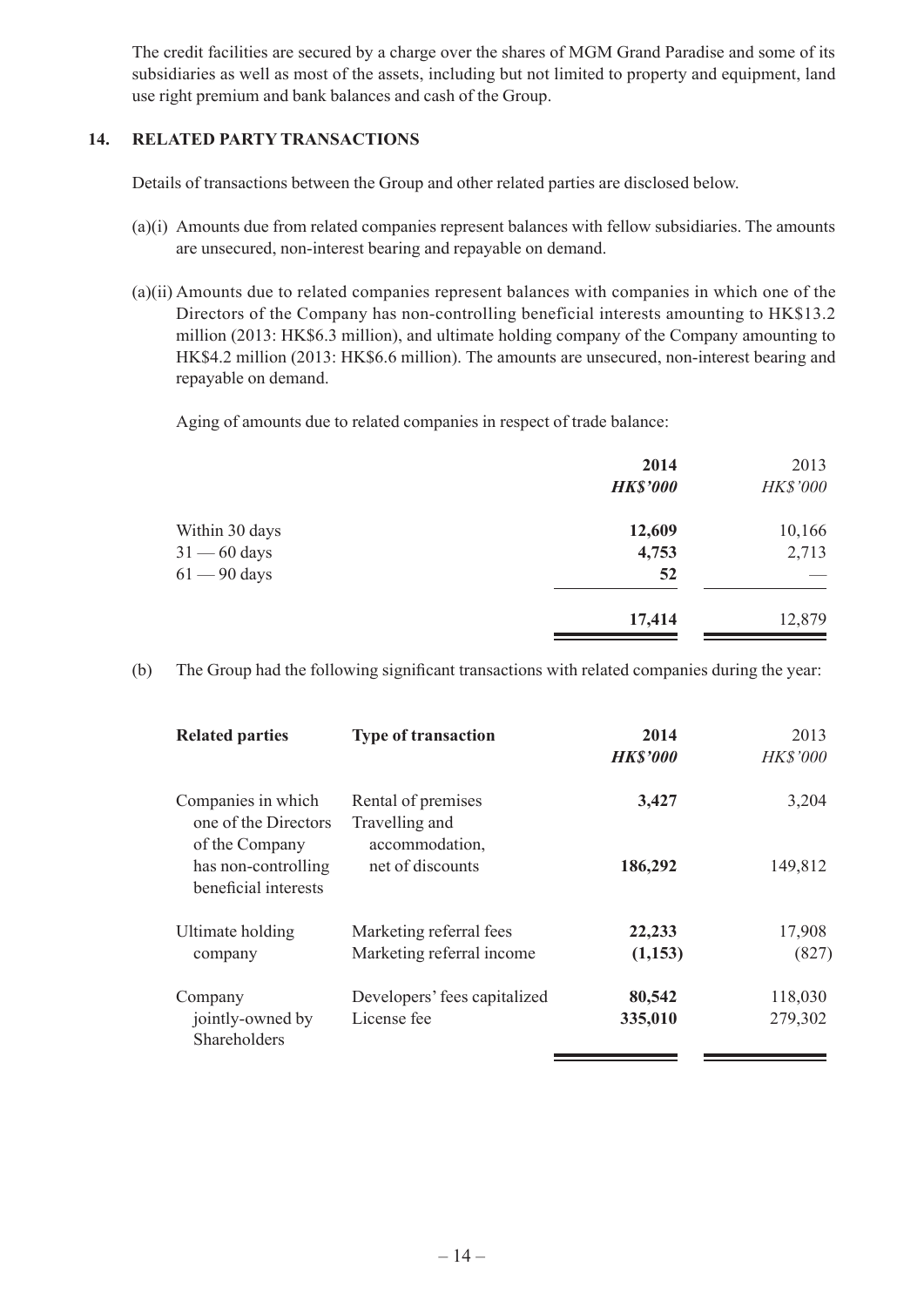The credit facilities are secured by a charge over the shares of MGM Grand Paradise and some of its subsidiaries as well as most of the assets, including but not limited to property and equipment, land use right premium and bank balances and cash of the Group.

#### **14. RELATED PARTY TRANSACTIONS**

Details of transactions between the Group and other related parties are disclosed below.

- (a)(i) Amounts due from related companies represent balances with fellow subsidiaries. The amounts are unsecured, non-interest bearing and repayable on demand.
- (a)(ii) Amounts due to related companies represent balances with companies in which one of the Directors of the Company has non-controlling beneficial interests amounting to HK\$13.2 million (2013: HK\$6.3 million), and ultimate holding company of the Company amounting to HK\$4.2 million (2013: HK\$6.6 million). The amounts are unsecured, non-interest bearing and repayable on demand.

Aging of amounts due to related companies in respect of trade balance:

|                | 2014            | 2013            |
|----------------|-----------------|-----------------|
|                | <b>HK\$'000</b> | <b>HK\$'000</b> |
| Within 30 days | 12,609          | 10,166          |
| $31 - 60$ days | 4,753           | 2,713           |
| $61 - 90$ days | 52              |                 |
|                | 17,414          | 12,879          |

(b) The Group had the following significant transactions with related companies during the year:

| <b>Related parties</b>                                       | <b>Type of transaction</b>                             | 2014<br><b>HK\$'000</b> | 2013<br><b>HK\$'000</b> |
|--------------------------------------------------------------|--------------------------------------------------------|-------------------------|-------------------------|
| Companies in which<br>one of the Directors<br>of the Company | Rental of premises<br>Travelling and<br>accommodation, | 3,427                   | 3,204                   |
| has non-controlling<br>beneficial interests                  | net of discounts                                       | 186,292                 | 149,812                 |
| Ultimate holding                                             | Marketing referral fees                                | 22,233                  | 17,908                  |
| company                                                      | Marketing referral income                              | (1,153)                 | (827)                   |
| Company                                                      | Developers' fees capitalized                           | 80,542                  | 118,030                 |
| jointly-owned by<br>Shareholders                             | License fee                                            | 335,010                 | 279,302                 |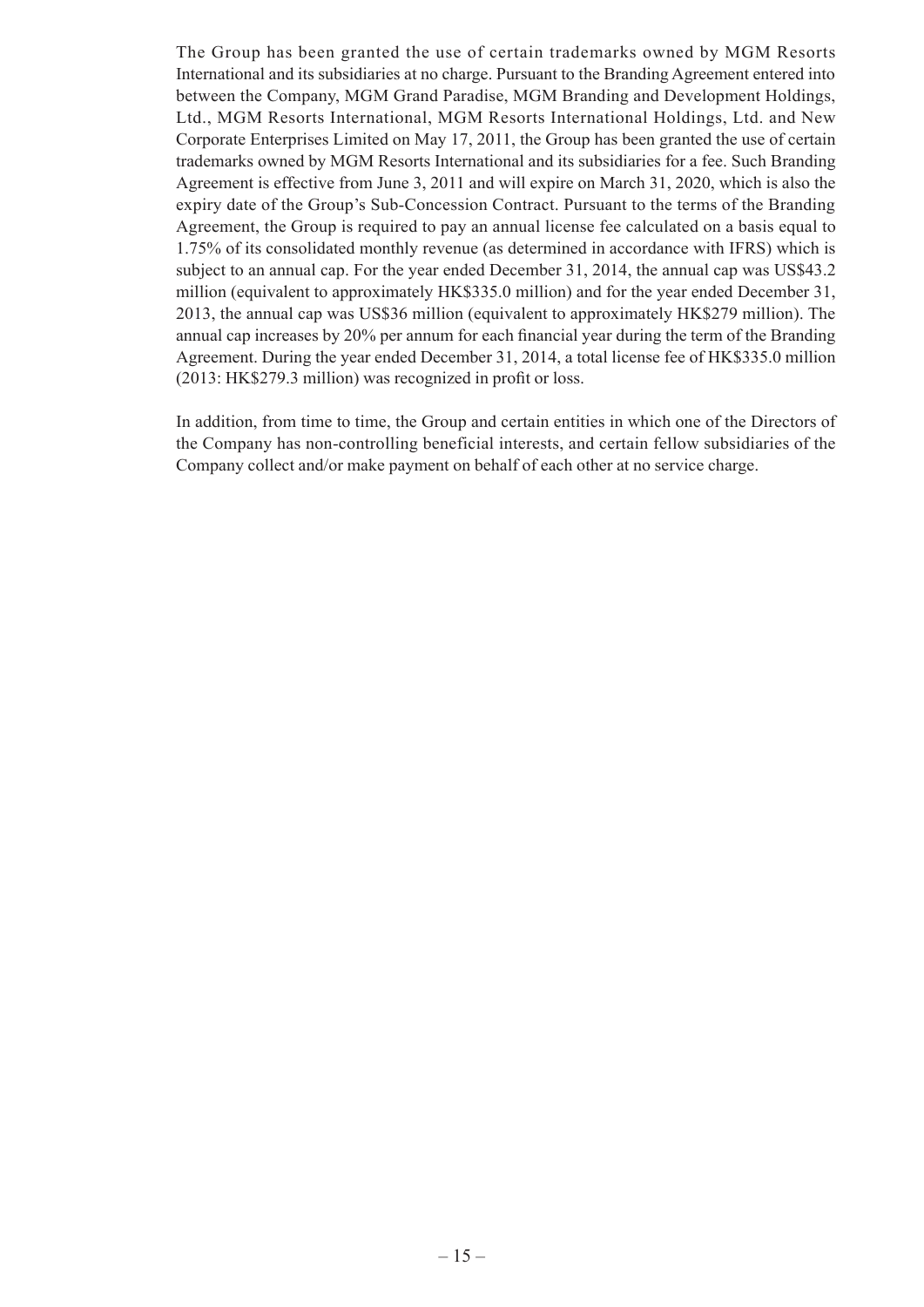The Group has been granted the use of certain trademarks owned by MGM Resorts International and its subsidiaries at no charge. Pursuant to the Branding Agreement entered into between the Company, MGM Grand Paradise, MGM Branding and Development Holdings, Ltd., MGM Resorts International, MGM Resorts International Holdings, Ltd. and New Corporate Enterprises Limited on May 17, 2011, the Group has been granted the use of certain trademarks owned by MGM Resorts International and its subsidiaries for a fee. Such Branding Agreement is effective from June 3, 2011 and will expire on March 31, 2020, which is also the expiry date of the Group's Sub-Concession Contract. Pursuant to the terms of the Branding Agreement, the Group is required to pay an annual license fee calculated on a basis equal to 1.75% of its consolidated monthly revenue (as determined in accordance with IFRS) which is subject to an annual cap. For the year ended December 31, 2014, the annual cap was US\$43.2 million (equivalent to approximately HK\$335.0 million) and for the year ended December 31, 2013, the annual cap was US\$36 million (equivalent to approximately HK\$279 million). The annual cap increases by 20% per annum for each financial year during the term of the Branding Agreement. During the year ended December 31, 2014, a total license fee of HK\$335.0 million (2013: HK\$279.3 million) was recognized in profit or loss.

In addition, from time to time, the Group and certain entities in which one of the Directors of the Company has non-controlling beneficial interests, and certain fellow subsidiaries of the Company collect and/or make payment on behalf of each other at no service charge.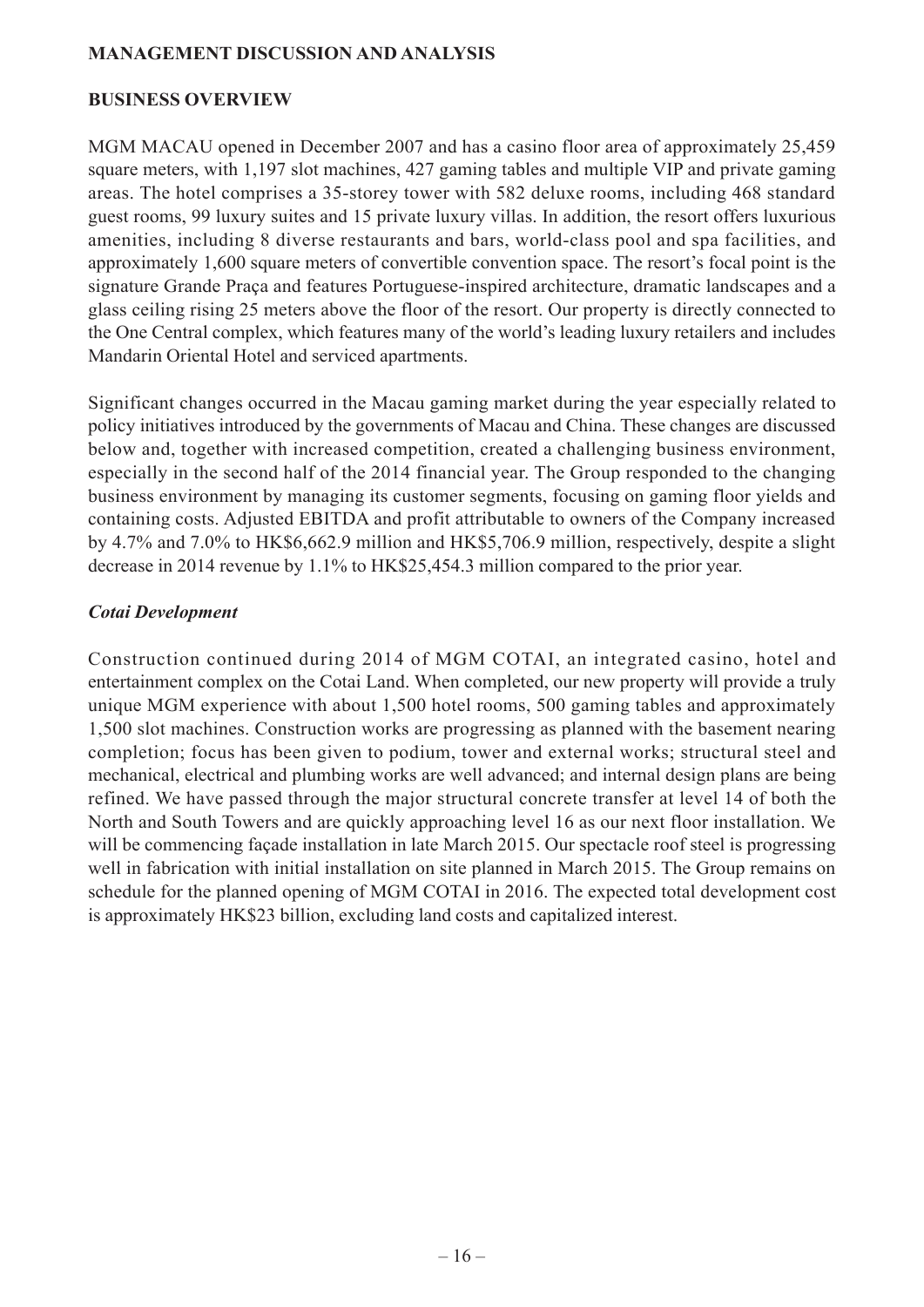#### **MANAGEMENT DISCUSSION AND ANALYSIS**

#### **BUSINESS OVERVIEW**

MGM MACAU opened in December 2007 and has a casino floor area of approximately 25,459 square meters, with 1,197 slot machines, 427 gaming tables and multiple VIP and private gaming areas. The hotel comprises a 35-storey tower with 582 deluxe rooms, including 468 standard guest rooms, 99 luxury suites and 15 private luxury villas. In addition, the resort offers luxurious amenities, including 8 diverse restaurants and bars, world-class pool and spa facilities, and approximately 1,600 square meters of convertible convention space. The resort's focal point is the signature Grande Praça and features Portuguese-inspired architecture, dramatic landscapes and a glass ceiling rising 25 meters above the floor of the resort. Our property is directly connected to the One Central complex, which features many of the world's leading luxury retailers and includes Mandarin Oriental Hotel and serviced apartments.

Significant changes occurred in the Macau gaming market during the year especially related to policy initiatives introduced by the governments of Macau and China. These changes are discussed below and, together with increased competition, created a challenging business environment, especially in the second half of the 2014 financial year. The Group responded to the changing business environment by managing its customer segments, focusing on gaming floor yields and containing costs. Adjusted EBITDA and profit attributable to owners of the Company increased by 4.7% and 7.0% to HK\$6,662.9 million and HK\$5,706.9 million, respectively, despite a slight decrease in 2014 revenue by 1.1% to HK\$25,454.3 million compared to the prior year.

#### *Cotai Development*

Construction continued during 2014 of MGM COTAI, an integrated casino, hotel and entertainment complex on the Cotai Land. When completed, our new property will provide a truly unique MGM experience with about 1,500 hotel rooms, 500 gaming tables and approximately 1,500 slot machines. Construction works are progressing as planned with the basement nearing completion; focus has been given to podium, tower and external works; structural steel and mechanical, electrical and plumbing works are well advanced; and internal design plans are being refined. We have passed through the major structural concrete transfer at level 14 of both the North and South Towers and are quickly approaching level 16 as our next floor installation. We will be commencing facade installation in late March 2015. Our spectacle roof steel is progressing well in fabrication with initial installation on site planned in March 2015. The Group remains on schedule for the planned opening of MGM COTAI in 2016. The expected total development cost is approximately HK\$23 billion, excluding land costs and capitalized interest.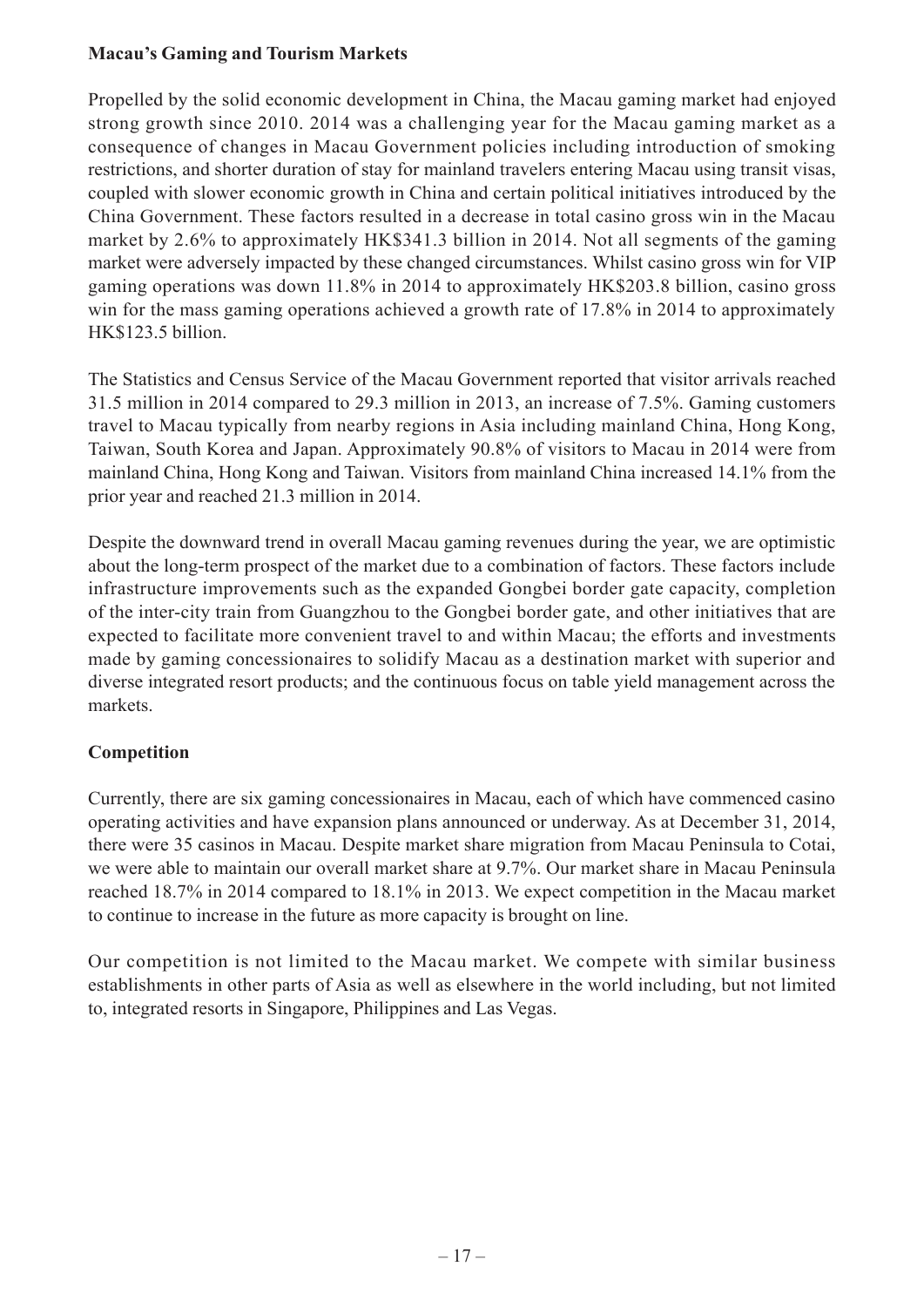### **Macau's Gaming and Tourism Markets**

Propelled by the solid economic development in China, the Macau gaming market had enjoyed strong growth since 2010. 2014 was a challenging year for the Macau gaming market as a consequence of changes in Macau Government policies including introduction of smoking restrictions, and shorter duration of stay for mainland travelers entering Macau using transit visas, coupled with slower economic growth in China and certain political initiatives introduced by the China Government. These factors resulted in a decrease in total casino gross win in the Macau market by 2.6% to approximately HK\$341.3 billion in 2014. Not all segments of the gaming market were adversely impacted by these changed circumstances. Whilst casino gross win for VIP gaming operations was down 11.8% in 2014 to approximately HK\$203.8 billion, casino gross win for the mass gaming operations achieved a growth rate of 17.8% in 2014 to approximately HK\$123.5 billion.

The Statistics and Census Service of the Macau Government reported that visitor arrivals reached 31.5 million in 2014 compared to 29.3 million in 2013, an increase of 7.5%. Gaming customers travel to Macau typically from nearby regions in Asia including mainland China, Hong Kong, Taiwan, South Korea and Japan. Approximately 90.8% of visitors to Macau in 2014 were from mainland China, Hong Kong and Taiwan. Visitors from mainland China increased 14.1% from the prior year and reached 21.3 million in 2014.

Despite the downward trend in overall Macau gaming revenues during the year, we are optimistic about the long-term prospect of the market due to a combination of factors. These factors include infrastructure improvements such as the expanded Gongbei border gate capacity, completion of the inter-city train from Guangzhou to the Gongbei border gate, and other initiatives that are expected to facilitate more convenient travel to and within Macau; the efforts and investments made by gaming concessionaires to solidify Macau as a destination market with superior and diverse integrated resort products; and the continuous focus on table yield management across the markets.

# **Competition**

Currently, there are six gaming concessionaires in Macau, each of which have commenced casino operating activities and have expansion plans announced or underway. As at December 31, 2014, there were 35 casinos in Macau. Despite market share migration from Macau Peninsula to Cotai, we were able to maintain our overall market share at 9.7%. Our market share in Macau Peninsula reached 18.7% in 2014 compared to 18.1% in 2013. We expect competition in the Macau market to continue to increase in the future as more capacity is brought on line.

Our competition is not limited to the Macau market. We compete with similar business establishments in other parts of Asia as well as elsewhere in the world including, but not limited to, integrated resorts in Singapore, Philippines and Las Vegas.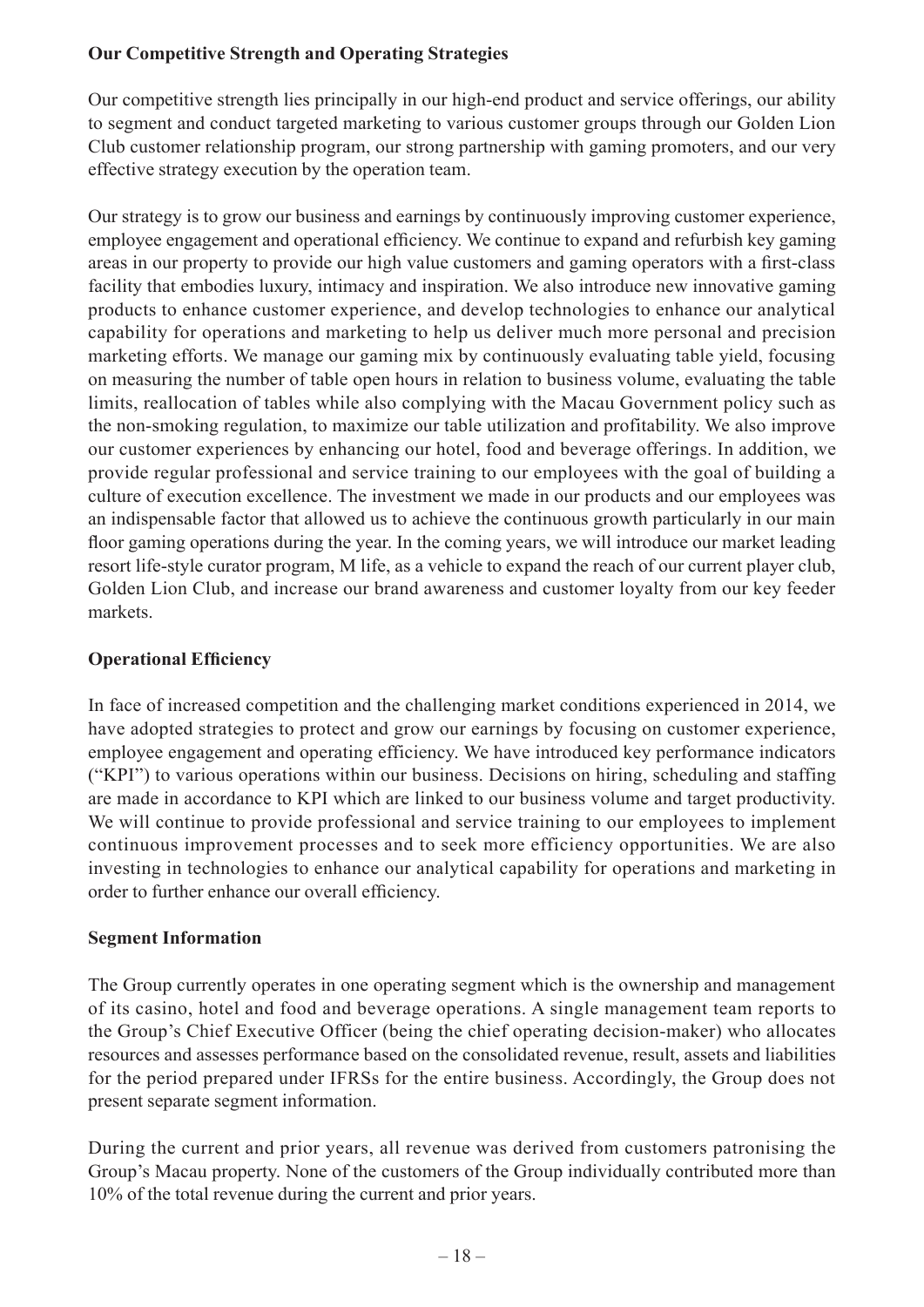# **Our Competitive Strength and Operating Strategies**

Our competitive strength lies principally in our high-end product and service offerings, our ability to segment and conduct targeted marketing to various customer groups through our Golden Lion Club customer relationship program, our strong partnership with gaming promoters, and our very effective strategy execution by the operation team.

Our strategy is to grow our business and earnings by continuously improving customer experience, employee engagement and operational efficiency. We continue to expand and refurbish key gaming areas in our property to provide our high value customers and gaming operators with a first-class facility that embodies luxury, intimacy and inspiration. We also introduce new innovative gaming products to enhance customer experience, and develop technologies to enhance our analytical capability for operations and marketing to help us deliver much more personal and precision marketing efforts. We manage our gaming mix by continuously evaluating table yield, focusing on measuring the number of table open hours in relation to business volume, evaluating the table limits, reallocation of tables while also complying with the Macau Government policy such as the non-smoking regulation, to maximize our table utilization and profitability. We also improve our customer experiences by enhancing our hotel, food and beverage offerings. In addition, we provide regular professional and service training to our employees with the goal of building a culture of execution excellence. The investment we made in our products and our employees was an indispensable factor that allowed us to achieve the continuous growth particularly in our main floor gaming operations during the year. In the coming years, we will introduce our market leading resort life-style curator program, M life, as a vehicle to expand the reach of our current player club, Golden Lion Club, and increase our brand awareness and customer loyalty from our key feeder markets.

# **Operational Efficiency**

In face of increased competition and the challenging market conditions experienced in 2014, we have adopted strategies to protect and grow our earnings by focusing on customer experience, employee engagement and operating efficiency. We have introduced key performance indicators ("KPI") to various operations within our business. Decisions on hiring, scheduling and staffing are made in accordance to KPI which are linked to our business volume and target productivity. We will continue to provide professional and service training to our employees to implement continuous improvement processes and to seek more efficiency opportunities. We are also investing in technologies to enhance our analytical capability for operations and marketing in order to further enhance our overall efficiency.

### **Segment Information**

The Group currently operates in one operating segment which is the ownership and management of its casino, hotel and food and beverage operations. A single management team reports to the Group's Chief Executive Officer (being the chief operating decision-maker) who allocates resources and assesses performance based on the consolidated revenue, result, assets and liabilities for the period prepared under IFRSs for the entire business. Accordingly, the Group does not present separate segment information.

During the current and prior years, all revenue was derived from customers patronising the Group's Macau property. None of the customers of the Group individually contributed more than 10% of the total revenue during the current and prior years.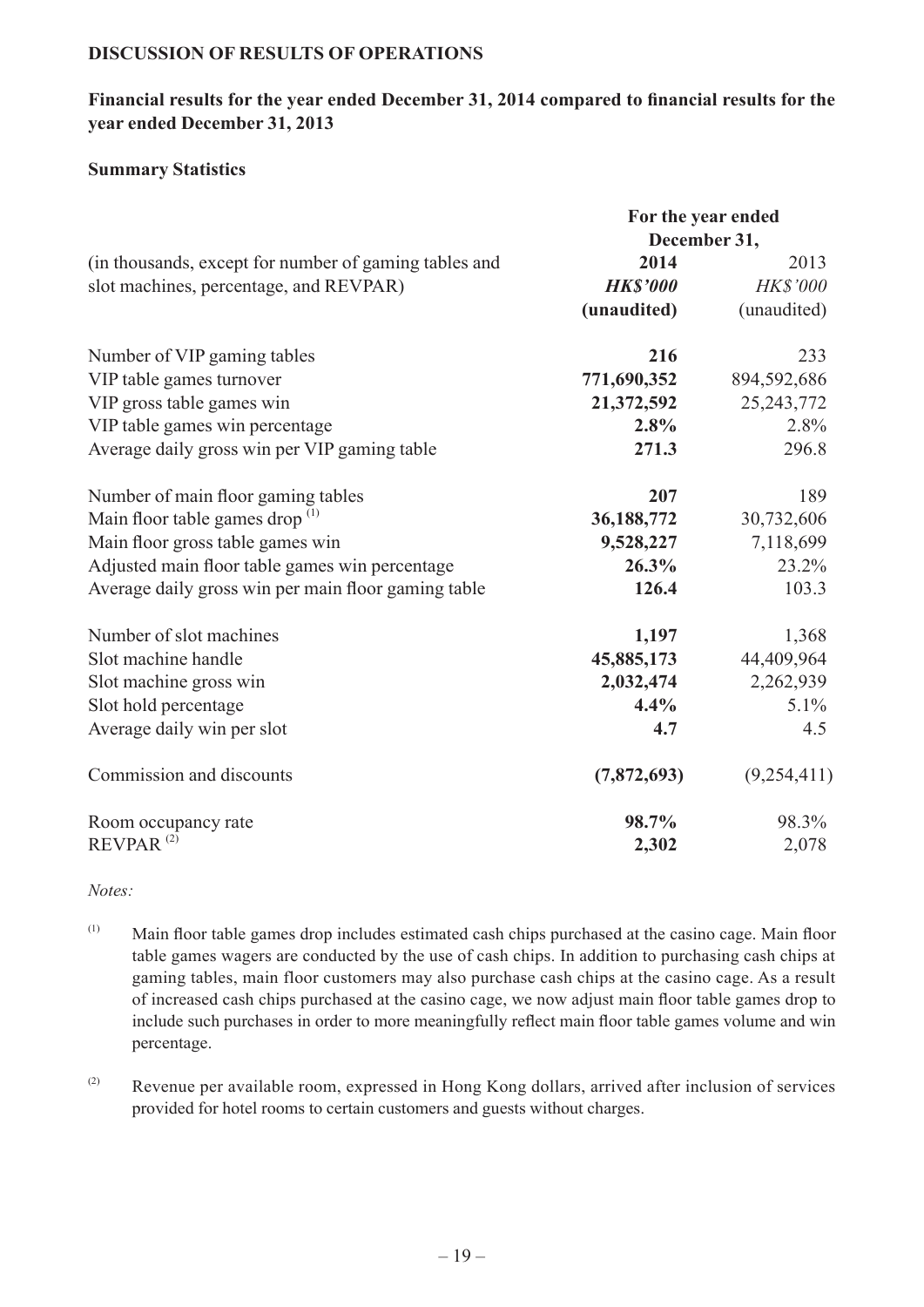#### **DISCUSSION OF RESULTS OF OPERATIONS**

#### **Financial results for the year ended December 31, 2014 compared to financial results for the year ended December 31, 2013**

#### **Summary Statistics**

|                                                       | For the year ended |                 |
|-------------------------------------------------------|--------------------|-----------------|
|                                                       | December 31,       |                 |
| (in thousands, except for number of gaming tables and | 2014               | 2013            |
| slot machines, percentage, and REVPAR)                | <b>HK\$'000</b>    | <b>HK\$'000</b> |
|                                                       | (unaudited)        | (unaudited)     |
| Number of VIP gaming tables                           | 216                | 233             |
| VIP table games turnover                              | 771,690,352        | 894,592,686     |
| VIP gross table games win                             | 21,372,592         | 25, 243, 772    |
| VIP table games win percentage                        | $2.8\%$            | 2.8%            |
| Average daily gross win per VIP gaming table          | 271.3              | 296.8           |
| Number of main floor gaming tables                    | 207                | 189             |
| Main floor table games drop $(1)$                     | 36,188,772         | 30,732,606      |
| Main floor gross table games win                      | 9,528,227          | 7,118,699       |
| Adjusted main floor table games win percentage        | 26.3%              | 23.2%           |
| Average daily gross win per main floor gaming table   | 126.4              | 103.3           |
| Number of slot machines                               | 1,197              | 1,368           |
| Slot machine handle                                   | 45,885,173         | 44,409,964      |
| Slot machine gross win                                | 2,032,474          | 2,262,939       |
| Slot hold percentage                                  | 4.4%               | 5.1%            |
| Average daily win per slot                            | 4.7                | 4.5             |
| Commission and discounts                              | (7,872,693)        | (9,254,411)     |
| Room occupancy rate                                   | 98.7%              | 98.3%           |
| REVPAR <sup>(2)</sup>                                 | 2,302              | 2,078           |

*Notes:*

- (1) Main floor table games drop includes estimated cash chips purchased at the casino cage. Main floor table games wagers are conducted by the use of cash chips. In addition to purchasing cash chips at gaming tables, main floor customers may also purchase cash chips at the casino cage. As a result of increased cash chips purchased at the casino cage, we now adjust main floor table games drop to include such purchases in order to more meaningfully reflect main floor table games volume and win percentage.
- (2) Revenue per available room, expressed in Hong Kong dollars, arrived after inclusion of services provided for hotel rooms to certain customers and guests without charges.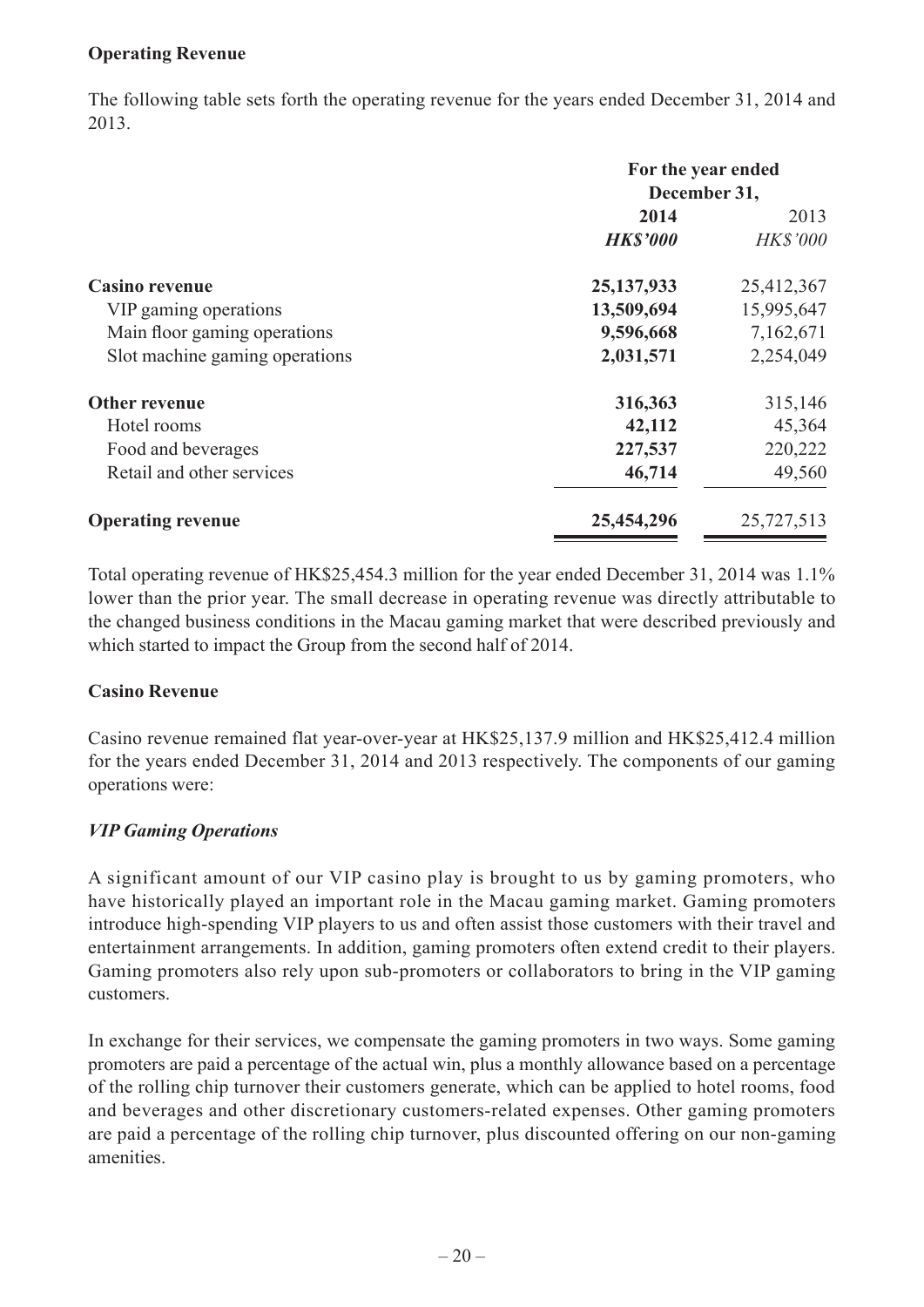### **Operating Revenue**

The following table sets forth the operating revenue for the years ended December 31, 2014 and 2013.

|                                | For the year ended |                 |
|--------------------------------|--------------------|-----------------|
|                                | December 31,       |                 |
|                                | 2014               | 2013            |
|                                | <b>HK\$'000</b>    | <b>HK\$'000</b> |
| <b>Casino revenue</b>          | 25, 137, 933       | 25,412,367      |
| VIP gaming operations          | 13,509,694         | 15,995,647      |
| Main floor gaming operations   | 9,596,668          | 7,162,671       |
| Slot machine gaming operations | 2,031,571          | 2,254,049       |
| Other revenue                  | 316,363            | 315,146         |
| Hotel rooms                    | 42,112             | 45,364          |
| Food and beverages             | 227,537            | 220,222         |
| Retail and other services      | 46,714             | 49,560          |
| <b>Operating revenue</b>       | 25,454,296         | 25,727,513      |

Total operating revenue of HK\$25,454.3 million for the year ended December 31, 2014 was 1.1% lower than the prior year. The small decrease in operating revenue was directly attributable to the changed business conditions in the Macau gaming market that were described previously and which started to impact the Group from the second half of 2014.

#### **Casino Revenue**

Casino revenue remained flat year-over-year at HK\$25,137.9 million and HK\$25,412.4 million for the years ended December 31, 2014 and 2013 respectively. The components of our gaming operations were:

### *VIP Gaming Operations*

A significant amount of our VIP casino play is brought to us by gaming promoters, who have historically played an important role in the Macau gaming market. Gaming promoters introduce high-spending VIP players to us and often assist those customers with their travel and entertainment arrangements. In addition, gaming promoters often extend credit to their players. Gaming promoters also rely upon sub-promoters or collaborators to bring in the VIP gaming customers.

In exchange for their services, we compensate the gaming promoters in two ways. Some gaming promoters are paid a percentage of the actual win, plus a monthly allowance based on a percentage of the rolling chip turnover their customers generate, which can be applied to hotel rooms, food and beverages and other discretionary customers-related expenses. Other gaming promoters are paid a percentage of the rolling chip turnover, plus discounted offering on our non-gaming amenities.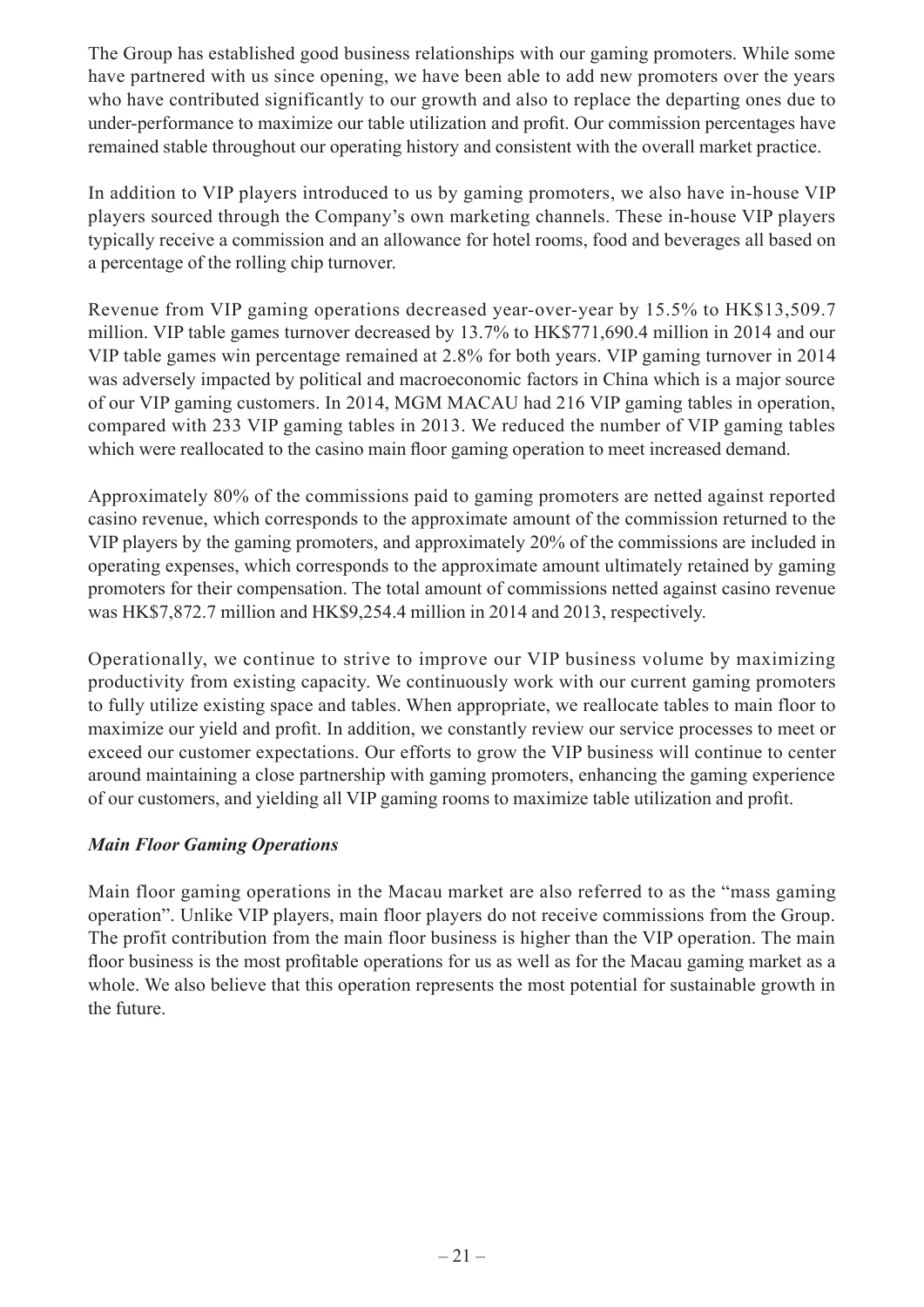The Group has established good business relationships with our gaming promoters. While some have partnered with us since opening, we have been able to add new promoters over the years who have contributed significantly to our growth and also to replace the departing ones due to under-performance to maximize our table utilization and profit. Our commission percentages have remained stable throughout our operating history and consistent with the overall market practice.

In addition to VIP players introduced to us by gaming promoters, we also have in-house VIP players sourced through the Company's own marketing channels. These in-house VIP players typically receive a commission and an allowance for hotel rooms, food and beverages all based on a percentage of the rolling chip turnover.

Revenue from VIP gaming operations decreased year-over-year by 15.5% to HK\$13,509.7 million. VIP table games turnover decreased by 13.7% to HK\$771,690.4 million in 2014 and our VIP table games win percentage remained at 2.8% for both years. VIP gaming turnover in 2014 was adversely impacted by political and macroeconomic factors in China which is a major source of our VIP gaming customers. In 2014, MGM MACAU had 216 VIP gaming tables in operation, compared with 233 VIP gaming tables in 2013. We reduced the number of VIP gaming tables which were reallocated to the casino main floor gaming operation to meet increased demand.

Approximately 80% of the commissions paid to gaming promoters are netted against reported casino revenue, which corresponds to the approximate amount of the commission returned to the VIP players by the gaming promoters, and approximately 20% of the commissions are included in operating expenses, which corresponds to the approximate amount ultimately retained by gaming promoters for their compensation. The total amount of commissions netted against casino revenue was HK\$7,872.7 million and HK\$9,254.4 million in 2014 and 2013, respectively.

Operationally, we continue to strive to improve our VIP business volume by maximizing productivity from existing capacity. We continuously work with our current gaming promoters to fully utilize existing space and tables. When appropriate, we reallocate tables to main floor to maximize our yield and profit. In addition, we constantly review our service processes to meet or exceed our customer expectations. Our efforts to grow the VIP business will continue to center around maintaining a close partnership with gaming promoters, enhancing the gaming experience of our customers, and yielding all VIP gaming rooms to maximize table utilization and profit.

### *Main Floor Gaming Operations*

Main floor gaming operations in the Macau market are also referred to as the "mass gaming operation". Unlike VIP players, main floor players do not receive commissions from the Group. The profit contribution from the main floor business is higher than the VIP operation. The main floor business is the most profitable operations for us as well as for the Macau gaming market as a whole. We also believe that this operation represents the most potential for sustainable growth in the future.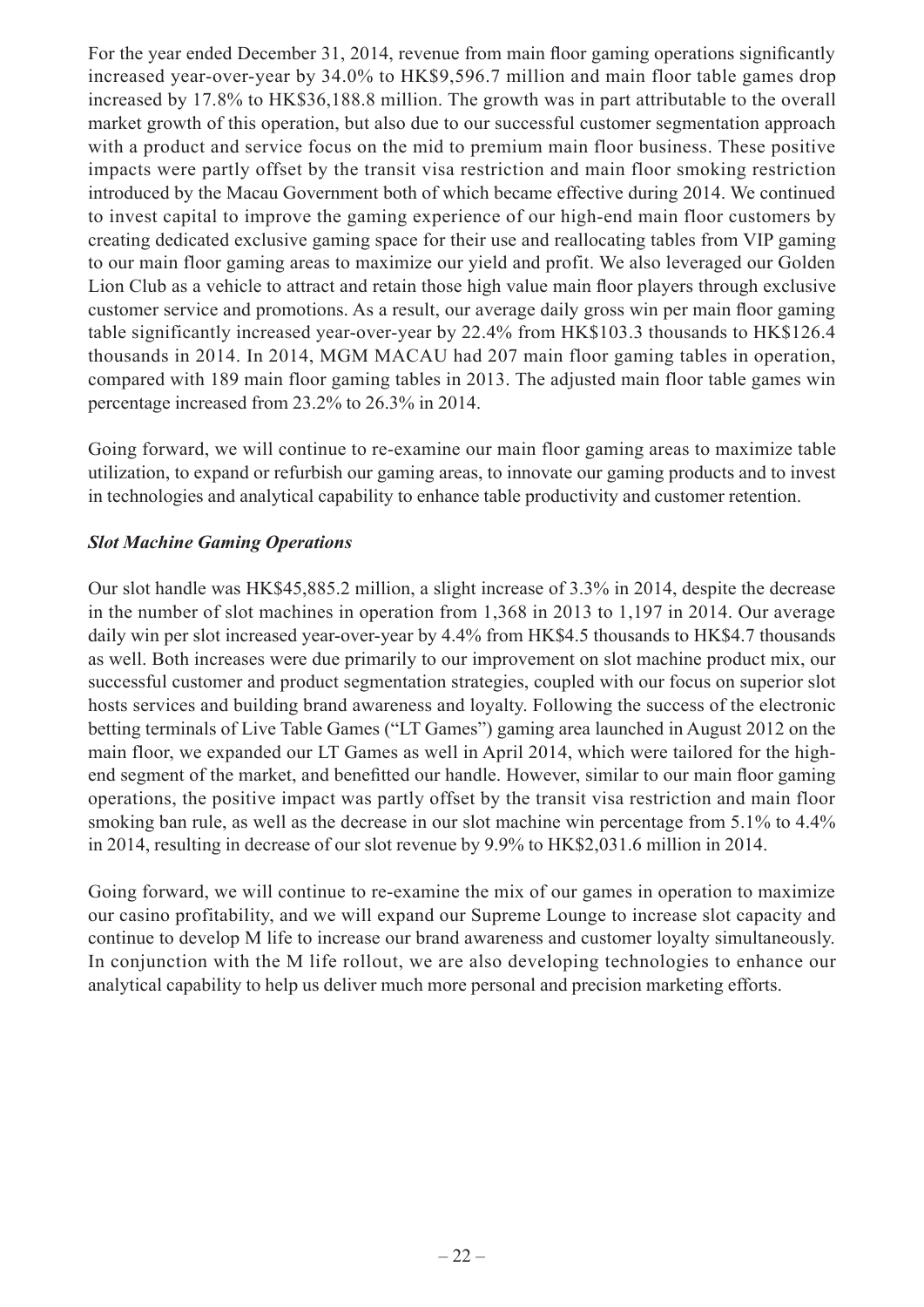For the year ended December 31, 2014, revenue from main floor gaming operations significantly increased year-over-year by 34.0% to HK\$9,596.7 million and main floor table games drop increased by 17.8% to HK\$36,188.8 million. The growth was in part attributable to the overall market growth of this operation, but also due to our successful customer segmentation approach with a product and service focus on the mid to premium main floor business. These positive impacts were partly offset by the transit visa restriction and main floor smoking restriction introduced by the Macau Government both of which became effective during 2014. We continued to invest capital to improve the gaming experience of our high-end main floor customers by creating dedicated exclusive gaming space for their use and reallocating tables from VIP gaming to our main floor gaming areas to maximize our yield and profit. We also leveraged our Golden Lion Club as a vehicle to attract and retain those high value main floor players through exclusive customer service and promotions. As a result, our average daily gross win per main floor gaming table significantly increased year-over-year by 22.4% from HK\$103.3 thousands to HK\$126.4 thousands in 2014. In 2014, MGM MACAU had 207 main floor gaming tables in operation, compared with 189 main floor gaming tables in 2013. The adjusted main floor table games win percentage increased from 23.2% to 26.3% in 2014.

Going forward, we will continue to re-examine our main floor gaming areas to maximize table utilization, to expand or refurbish our gaming areas, to innovate our gaming products and to invest in technologies and analytical capability to enhance table productivity and customer retention.

### *Slot Machine Gaming Operations*

Our slot handle was HK\$45,885.2 million, a slight increase of 3.3% in 2014, despite the decrease in the number of slot machines in operation from 1,368 in 2013 to 1,197 in 2014. Our average daily win per slot increased year-over-year by 4.4% from HK\$4.5 thousands to HK\$4.7 thousands as well. Both increases were due primarily to our improvement on slot machine product mix, our successful customer and product segmentation strategies, coupled with our focus on superior slot hosts services and building brand awareness and loyalty. Following the success of the electronic betting terminals of Live Table Games ("LT Games") gaming area launched in August 2012 on the main floor, we expanded our LT Games as well in April 2014, which were tailored for the highend segment of the market, and benefitted our handle. However, similar to our main floor gaming operations, the positive impact was partly offset by the transit visa restriction and main floor smoking ban rule, as well as the decrease in our slot machine win percentage from 5.1% to 4.4% in 2014, resulting in decrease of our slot revenue by 9.9% to HK\$2,031.6 million in 2014.

Going forward, we will continue to re-examine the mix of our games in operation to maximize our casino profitability, and we will expand our Supreme Lounge to increase slot capacity and continue to develop M life to increase our brand awareness and customer loyalty simultaneously. In conjunction with the M life rollout, we are also developing technologies to enhance our analytical capability to help us deliver much more personal and precision marketing efforts.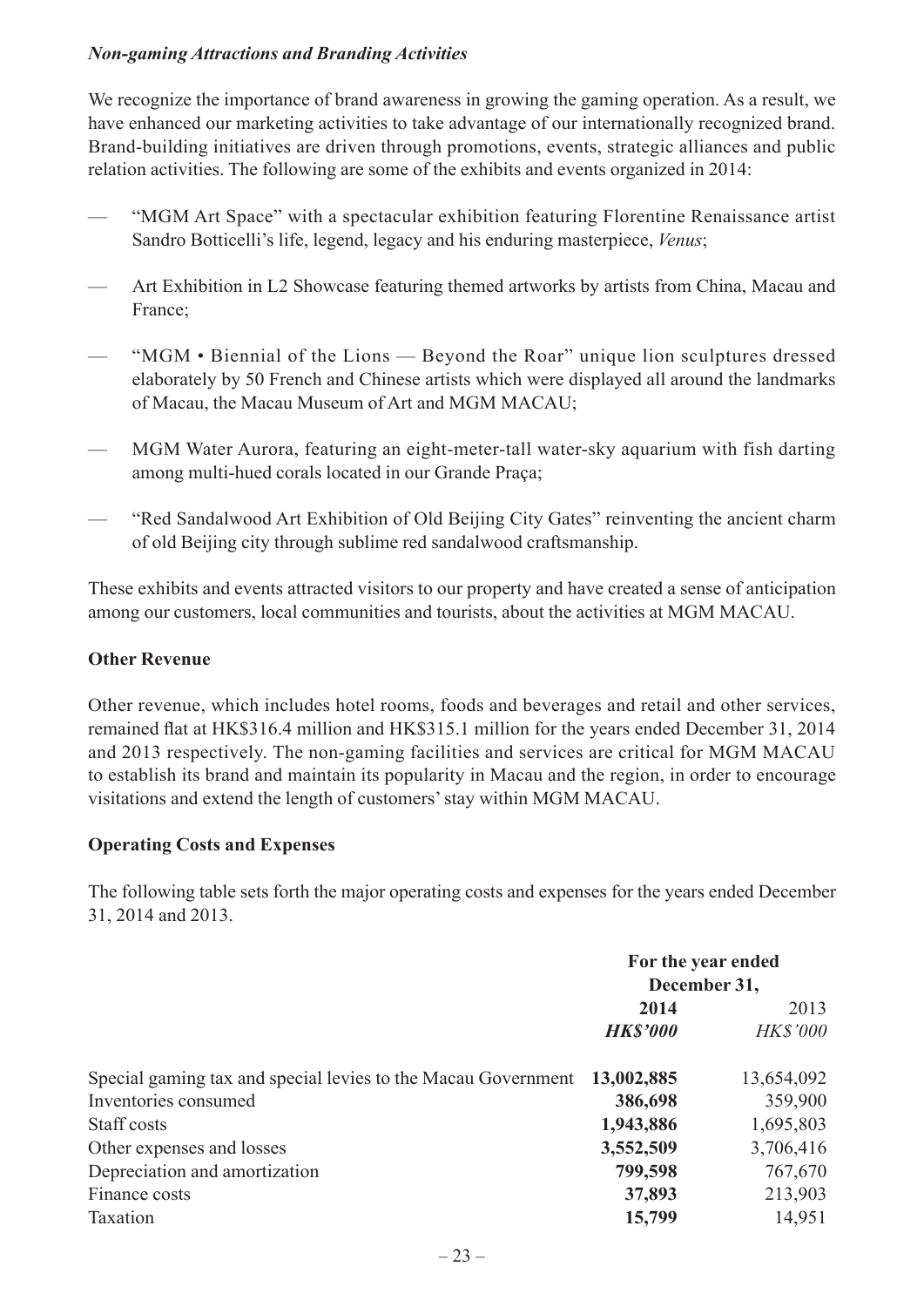### *Non-gaming Attractions and Branding Activities*

We recognize the importance of brand awareness in growing the gaming operation. As a result, we have enhanced our marketing activities to take advantage of our internationally recognized brand. Brand-building initiatives are driven through promotions, events, strategic alliances and public relation activities. The following are some of the exhibits and events organized in 2014:

- "MGM Art Space" with a spectacular exhibition featuring Florentine Renaissance artist Sandro Botticelli's life, legend, legacy and his enduring masterpiece, *Venus*;
- Art Exhibition in L2 Showcase featuring themed artworks by artists from China, Macau and France;
- "MGM Biennial of the Lions Beyond the Roar" unique lion sculptures dressed elaborately by 50 French and Chinese artists which were displayed all around the landmarks of Macau, the Macau Museum of Art and MGM MACAU;
- MGM Water Aurora, featuring an eight-meter-tall water-sky aquarium with fish darting among multi-hued corals located in our Grande Praça;
- "Red Sandalwood Art Exhibition of Old Beijing City Gates" reinventing the ancient charm of old Beijing city through sublime red sandalwood craftsmanship.

These exhibits and events attracted visitors to our property and have created a sense of anticipation among our customers, local communities and tourists, about the activities at MGM MACAU.

### **Other Revenue**

Other revenue, which includes hotel rooms, foods and beverages and retail and other services, remained flat at HK\$316.4 million and HK\$315.1 million for the years ended December 31, 2014 and 2013 respectively. The non-gaming facilities and services are critical for MGM MACAU to establish its brand and maintain its popularity in Macau and the region, in order to encourage visitations and extend the length of customers' stay within MGM MACAU.

### **Operating Costs and Expenses**

The following table sets forth the major operating costs and expenses for the years ended December 31, 2014 and 2013.

|                                                               | For the year ended |                 |
|---------------------------------------------------------------|--------------------|-----------------|
|                                                               | December 31,       |                 |
|                                                               | 2014               | 2013            |
|                                                               | <b>HK\$'000</b>    | <b>HK\$'000</b> |
| Special gaming tax and special levies to the Macau Government | 13,002,885         | 13,654,092      |
| Inventories consumed                                          | 386,698            | 359,900         |
| Staff costs                                                   | 1,943,886          | 1,695,803       |
| Other expenses and losses                                     | 3,552,509          | 3,706,416       |
| Depreciation and amortization                                 | 799,598            | 767,670         |
| Finance costs                                                 | 37,893             | 213,903         |
| Taxation                                                      | 15,799             | 14,951          |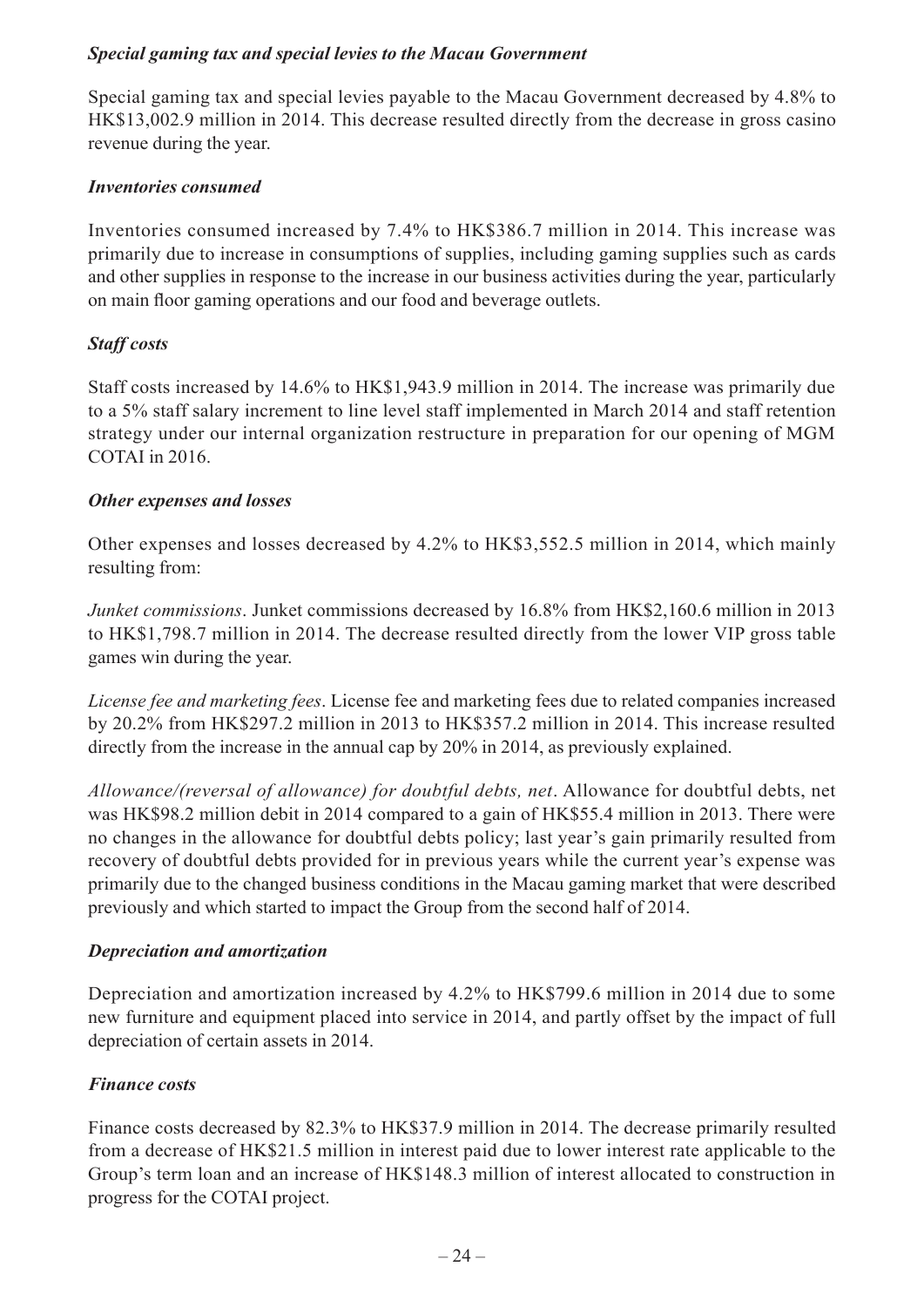### *Special gaming tax and special levies to the Macau Government*

Special gaming tax and special levies payable to the Macau Government decreased by 4.8% to HK\$13,002.9 million in 2014. This decrease resulted directly from the decrease in gross casino revenue during the year.

#### *Inventories consumed*

Inventories consumed increased by 7.4% to HK\$386.7 million in 2014. This increase was primarily due to increase in consumptions of supplies, including gaming supplies such as cards and other supplies in response to the increase in our business activities during the year, particularly on main floor gaming operations and our food and beverage outlets.

### *Staff costs*

Staff costs increased by 14.6% to HK\$1,943.9 million in 2014. The increase was primarily due to a 5% staff salary increment to line level staff implemented in March 2014 and staff retention strategy under our internal organization restructure in preparation for our opening of MGM COTAI in 2016.

#### *Other expenses and losses*

Other expenses and losses decreased by 4.2% to HK\$3,552.5 million in 2014, which mainly resulting from:

*Junket commissions*. Junket commissions decreased by 16.8% from HK\$2,160.6 million in 2013 to HK\$1,798.7 million in 2014. The decrease resulted directly from the lower VIP gross table games win during the year.

*License fee and marketing fees*. License fee and marketing fees due to related companies increased by 20.2% from HK\$297.2 million in 2013 to HK\$357.2 million in 2014. This increase resulted directly from the increase in the annual cap by 20% in 2014, as previously explained.

*Allowance/(reversal of allowance) for doubtful debts, net*. Allowance for doubtful debts, net was HK\$98.2 million debit in 2014 compared to a gain of HK\$55.4 million in 2013. There were no changes in the allowance for doubtful debts policy; last year's gain primarily resulted from recovery of doubtful debts provided for in previous years while the current year's expense was primarily due to the changed business conditions in the Macau gaming market that were described previously and which started to impact the Group from the second half of 2014.

### *Depreciation and amortization*

Depreciation and amortization increased by 4.2% to HK\$799.6 million in 2014 due to some new furniture and equipment placed into service in 2014, and partly offset by the impact of full depreciation of certain assets in 2014.

### *Finance costs*

Finance costs decreased by 82.3% to HK\$37.9 million in 2014. The decrease primarily resulted from a decrease of HK\$21.5 million in interest paid due to lower interest rate applicable to the Group's term loan and an increase of HK\$148.3 million of interest allocated to construction in progress for the COTAI project.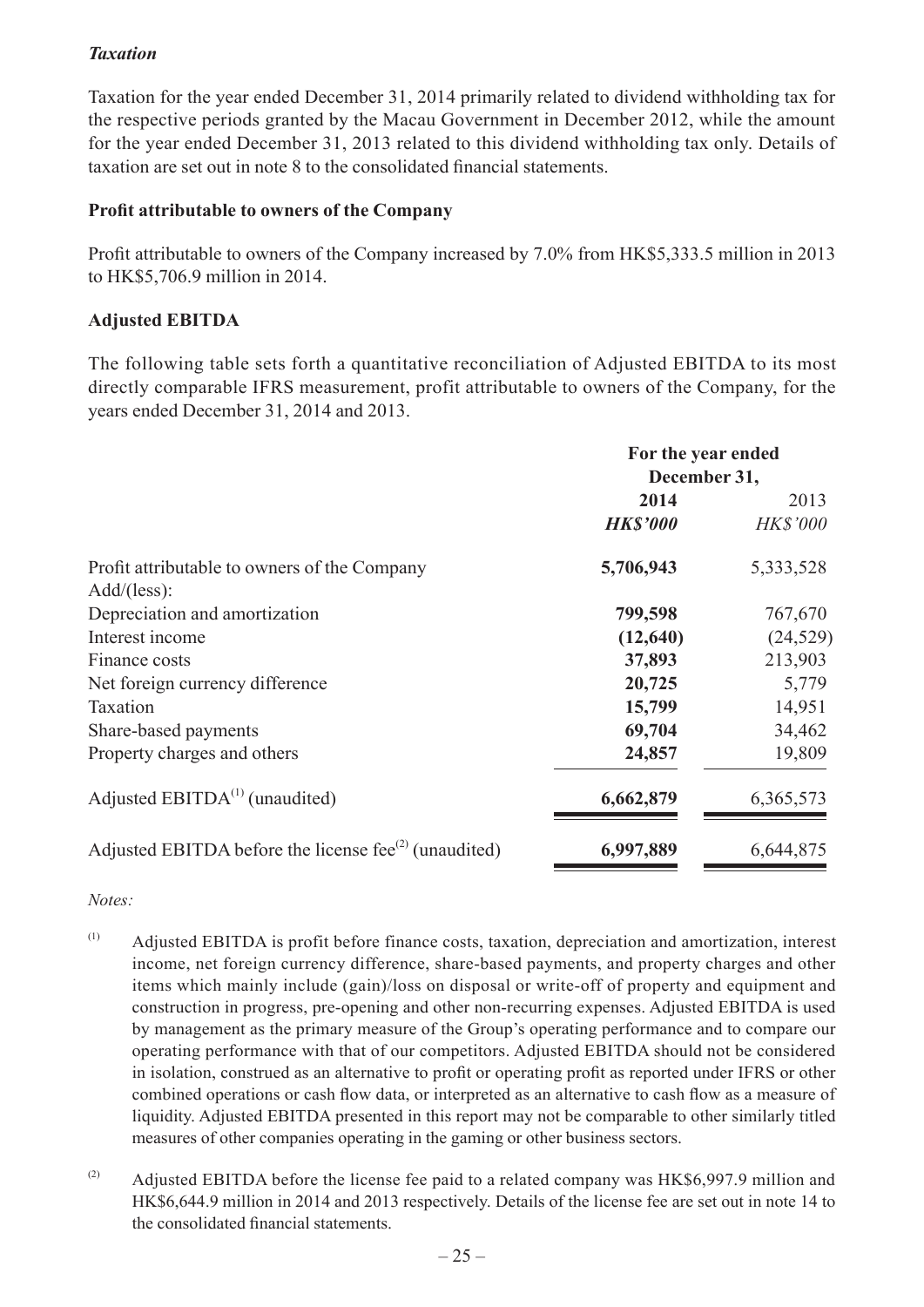### *Taxation*

Taxation for the year ended December 31, 2014 primarily related to dividend withholding tax for the respective periods granted by the Macau Government in December 2012, while the amount for the year ended December 31, 2013 related to this dividend withholding tax only. Details of taxation are set out in note 8 to the consolidated financial statements.

#### **Profit attributable to owners of the Company**

Profit attributable to owners of the Company increased by 7.0% from HK\$5,333.5 million in 2013 to HK\$5,706.9 million in 2014.

#### **Adjusted EBITDA**

The following table sets forth a quantitative reconciliation of Adjusted EBITDA to its most directly comparable IFRS measurement, profit attributable to owners of the Company, for the years ended December 31, 2014 and 2013.

|                                                                                | For the year ended<br>December 31, |                 |
|--------------------------------------------------------------------------------|------------------------------------|-----------------|
|                                                                                | 2014                               | 2013            |
|                                                                                | <b>HK\$'000</b>                    | <b>HK\$'000</b> |
| Profit attributable to owners of the Company                                   | 5,706,943                          | 5, 333, 528     |
| Add/(less):<br>Depreciation and amortization                                   | 799,598                            | 767,670         |
| Interest income                                                                | (12, 640)                          | (24, 529)       |
| Finance costs                                                                  | 37,893                             | 213,903         |
| Net foreign currency difference                                                | 20,725                             | 5,779           |
| Taxation                                                                       | 15,799                             | 14,951          |
| Share-based payments                                                           | 69,704                             | 34,462          |
| Property charges and others                                                    | 24,857                             | 19,809          |
| Adjusted $EBITDA(1)$ (unaudited)                                               | 6,662,879                          | 6,365,573       |
| Adjusted EBITDA before the license fee <sup><math>(2)</math></sup> (unaudited) | 6,997,889                          | 6,644,875       |

*Notes:*

- (1) Adjusted EBITDA is profit before finance costs, taxation, depreciation and amortization, interest income, net foreign currency difference, share-based payments, and property charges and other items which mainly include (gain)/loss on disposal or write-off of property and equipment and construction in progress, pre-opening and other non-recurring expenses. Adjusted EBITDA is used by management as the primary measure of the Group's operating performance and to compare our operating performance with that of our competitors. Adjusted EBITDA should not be considered in isolation, construed as an alternative to profit or operating profit as reported under IFRS or other combined operations or cash flow data, or interpreted as an alternative to cash flow as a measure of liquidity. Adjusted EBITDA presented in this report may not be comparable to other similarly titled measures of other companies operating in the gaming or other business sectors.
- (2) Adjusted EBITDA before the license fee paid to a related company was HK\$6,997.9 million and HK\$6,644.9 million in 2014 and 2013 respectively. Details of the license fee are set out in note 14 to the consolidated financial statements.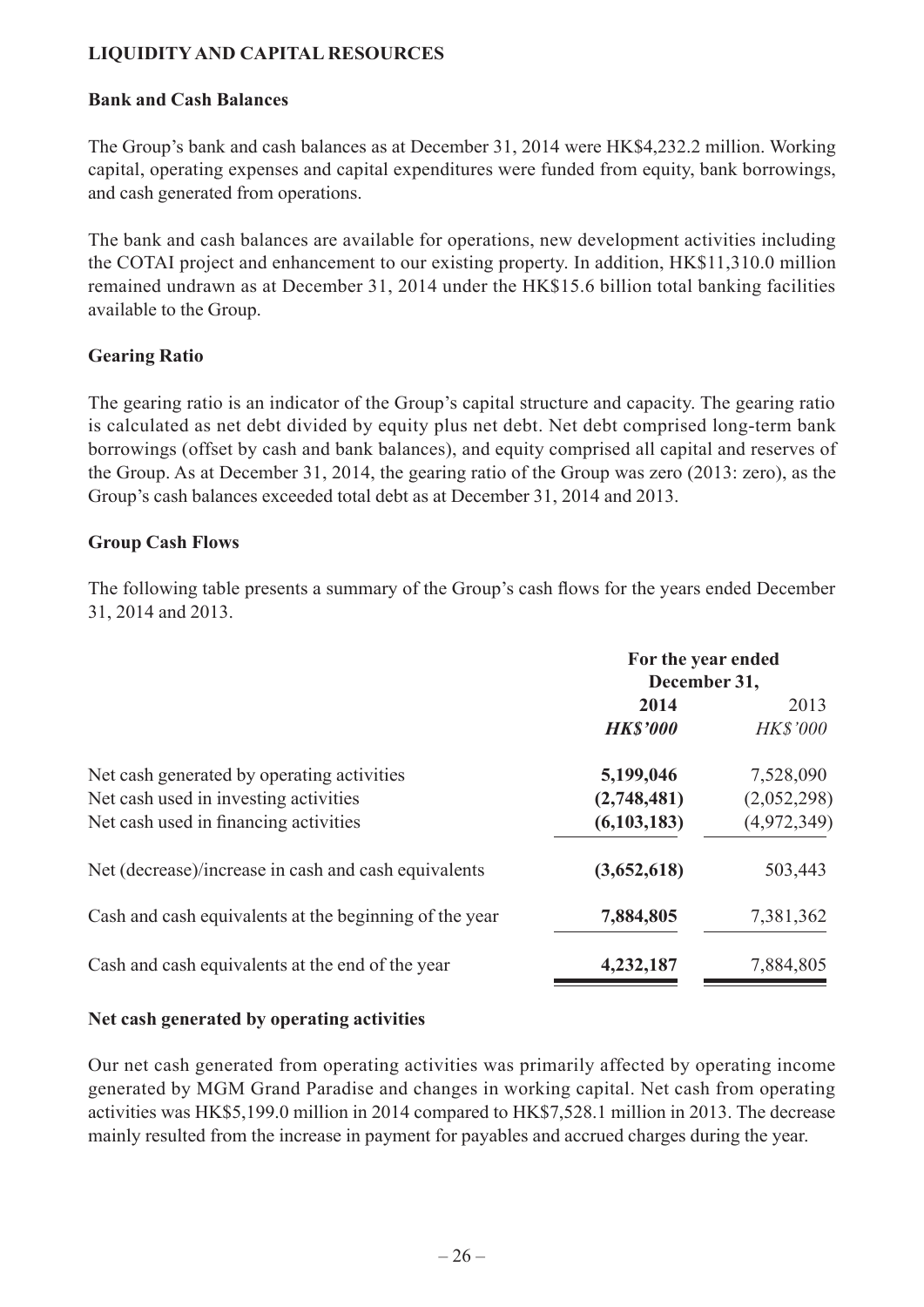# **LIQUIDITY AND CAPITAL RESOURCES**

#### **Bank and Cash Balances**

The Group's bank and cash balances as at December 31, 2014 were HK\$4,232.2 million. Working capital, operating expenses and capital expenditures were funded from equity, bank borrowings, and cash generated from operations.

The bank and cash balances are available for operations, new development activities including the COTAI project and enhancement to our existing property. In addition, HK\$11,310.0 million remained undrawn as at December 31, 2014 under the HK\$15.6 billion total banking facilities available to the Group.

#### **Gearing Ratio**

The gearing ratio is an indicator of the Group's capital structure and capacity. The gearing ratio is calculated as net debt divided by equity plus net debt. Net debt comprised long-term bank borrowings (offset by cash and bank balances), and equity comprised all capital and reserves of the Group. As at December 31, 2014, the gearing ratio of the Group was zero (2013: zero), as the Group's cash balances exceeded total debt as at December 31, 2014 and 2013.

#### **Group Cash Flows**

The following table presents a summary of the Group's cash flows for the years ended December 31, 2014 and 2013.

|                                                        | For the year ended |                 |
|--------------------------------------------------------|--------------------|-----------------|
|                                                        | December 31,       |                 |
|                                                        | 2014<br>2013       |                 |
|                                                        | <b>HK\$'000</b>    | <b>HK\$'000</b> |
| Net cash generated by operating activities             | 5,199,046          | 7,528,090       |
| Net cash used in investing activities                  | (2,748,481)        | (2,052,298)     |
| Net cash used in financing activities                  | (6,103,183)        | (4,972,349)     |
| Net (decrease)/increase in cash and cash equivalents   | (3,652,618)        | 503,443         |
| Cash and cash equivalents at the beginning of the year | 7,884,805          | 7,381,362       |
| Cash and cash equivalents at the end of the year       | 4,232,187          | 7,884,805       |

#### **Net cash generated by operating activities**

Our net cash generated from operating activities was primarily affected by operating income generated by MGM Grand Paradise and changes in working capital. Net cash from operating activities was HK\$5,199.0 million in 2014 compared to HK\$7,528.1 million in 2013. The decrease mainly resulted from the increase in payment for payables and accrued charges during the year.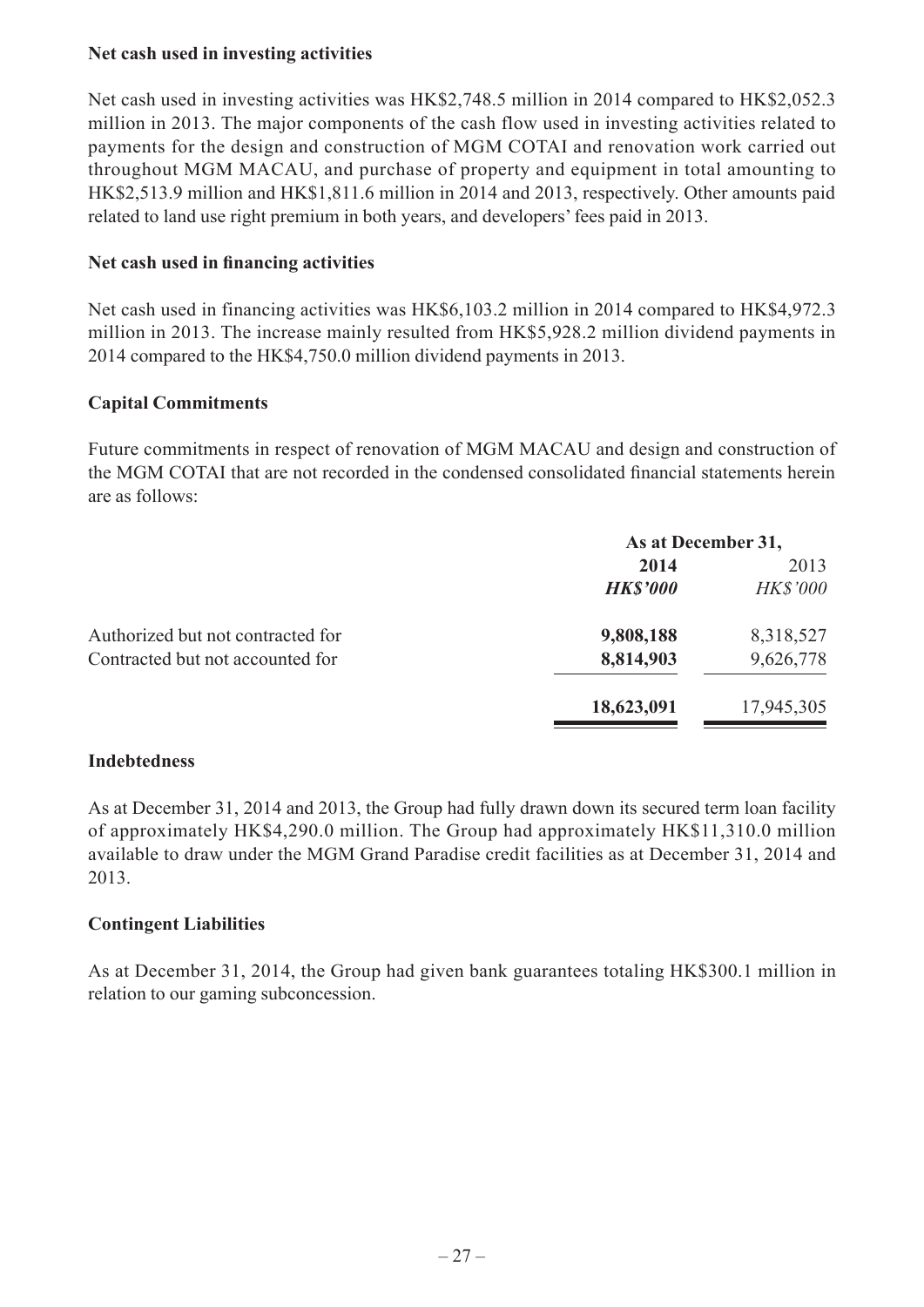### **Net cash used in investing activities**

Net cash used in investing activities was HK\$2,748.5 million in 2014 compared to HK\$2,052.3 million in 2013. The major components of the cash flow used in investing activities related to payments for the design and construction of MGM COTAI and renovation work carried out throughout MGM MACAU, and purchase of property and equipment in total amounting to HK\$2,513.9 million and HK\$1,811.6 million in 2014 and 2013, respectively. Other amounts paid related to land use right premium in both years, and developers' fees paid in 2013.

#### **Net cash used in financing activities**

Net cash used in financing activities was HK\$6,103.2 million in 2014 compared to HK\$4,972.3 million in 2013. The increase mainly resulted from HK\$5,928.2 million dividend payments in 2014 compared to the HK\$4,750.0 million dividend payments in 2013.

### **Capital Commitments**

Future commitments in respect of renovation of MGM MACAU and design and construction of the MGM COTAI that are not recorded in the condensed consolidated financial statements herein are as follows:

|                                   | As at December 31, |                 |
|-----------------------------------|--------------------|-----------------|
|                                   | 2014               | 2013            |
|                                   | <b>HK\$'000</b>    | <b>HK\$'000</b> |
| Authorized but not contracted for | 9,808,188          | 8,318,527       |
| Contracted but not accounted for  | 8,814,903          | 9,626,778       |
|                                   | 18,623,091         | 17,945,305      |

#### **Indebtedness**

As at December 31, 2014 and 2013, the Group had fully drawn down its secured term loan facility of approximately HK\$4,290.0 million. The Group had approximately HK\$11,310.0 million available to draw under the MGM Grand Paradise credit facilities as at December 31, 2014 and 2013.

#### **Contingent Liabilities**

As at December 31, 2014, the Group had given bank guarantees totaling HK\$300.1 million in relation to our gaming subconcession.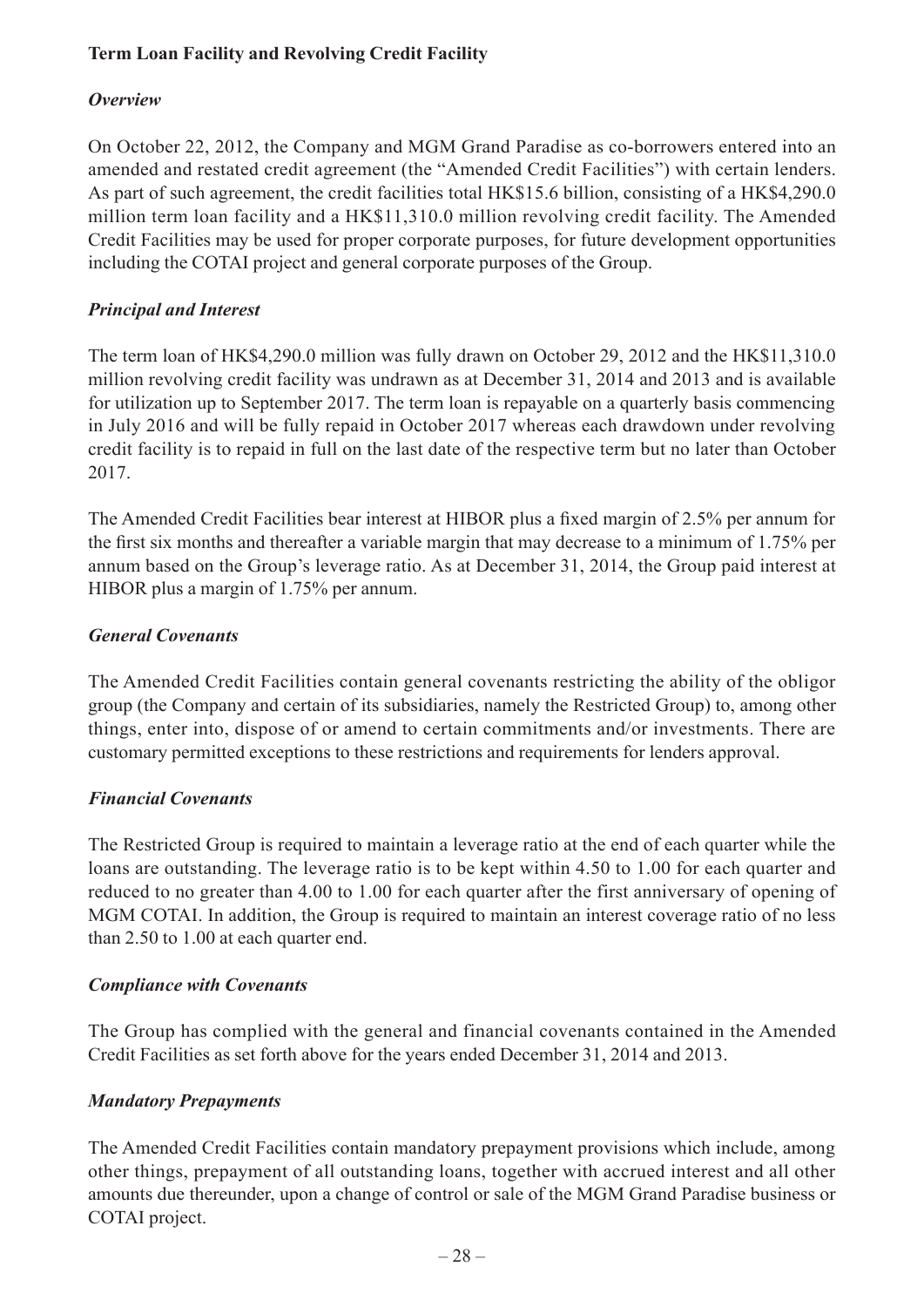# **Term Loan Facility and Revolving Credit Facility**

### *Overview*

On October 22, 2012, the Company and MGM Grand Paradise as co-borrowers entered into an amended and restated credit agreement (the "Amended Credit Facilities") with certain lenders. As part of such agreement, the credit facilities total HK\$15.6 billion, consisting of a HK\$4,290.0 million term loan facility and a HK\$11,310.0 million revolving credit facility. The Amended Credit Facilities may be used for proper corporate purposes, for future development opportunities including the COTAI project and general corporate purposes of the Group.

### *Principal and Interest*

The term loan of HK\$4,290.0 million was fully drawn on October 29, 2012 and the HK\$11,310.0 million revolving credit facility was undrawn as at December 31, 2014 and 2013 and is available for utilization up to September 2017. The term loan is repayable on a quarterly basis commencing in July 2016 and will be fully repaid in October 2017 whereas each drawdown under revolving credit facility is to repaid in full on the last date of the respective term but no later than October 2017.

The Amended Credit Facilities bear interest at HIBOR plus a fixed margin of 2.5% per annum for the first six months and thereafter a variable margin that may decrease to a minimum of 1.75% per annum based on the Group's leverage ratio. As at December 31, 2014, the Group paid interest at HIBOR plus a margin of 1.75% per annum.

### *General Covenants*

The Amended Credit Facilities contain general covenants restricting the ability of the obligor group (the Company and certain of its subsidiaries, namely the Restricted Group) to, among other things, enter into, dispose of or amend to certain commitments and/or investments. There are customary permitted exceptions to these restrictions and requirements for lenders approval.

### *Financial Covenants*

The Restricted Group is required to maintain a leverage ratio at the end of each quarter while the loans are outstanding. The leverage ratio is to be kept within 4.50 to 1.00 for each quarter and reduced to no greater than 4.00 to 1.00 for each quarter after the first anniversary of opening of MGM COTAI. In addition, the Group is required to maintain an interest coverage ratio of no less than 2.50 to 1.00 at each quarter end.

### *Compliance with Covenants*

The Group has complied with the general and financial covenants contained in the Amended Credit Facilities as set forth above for the years ended December 31, 2014 and 2013.

### *Mandatory Prepayments*

The Amended Credit Facilities contain mandatory prepayment provisions which include, among other things, prepayment of all outstanding loans, together with accrued interest and all other amounts due thereunder, upon a change of control or sale of the MGM Grand Paradise business or COTAI project.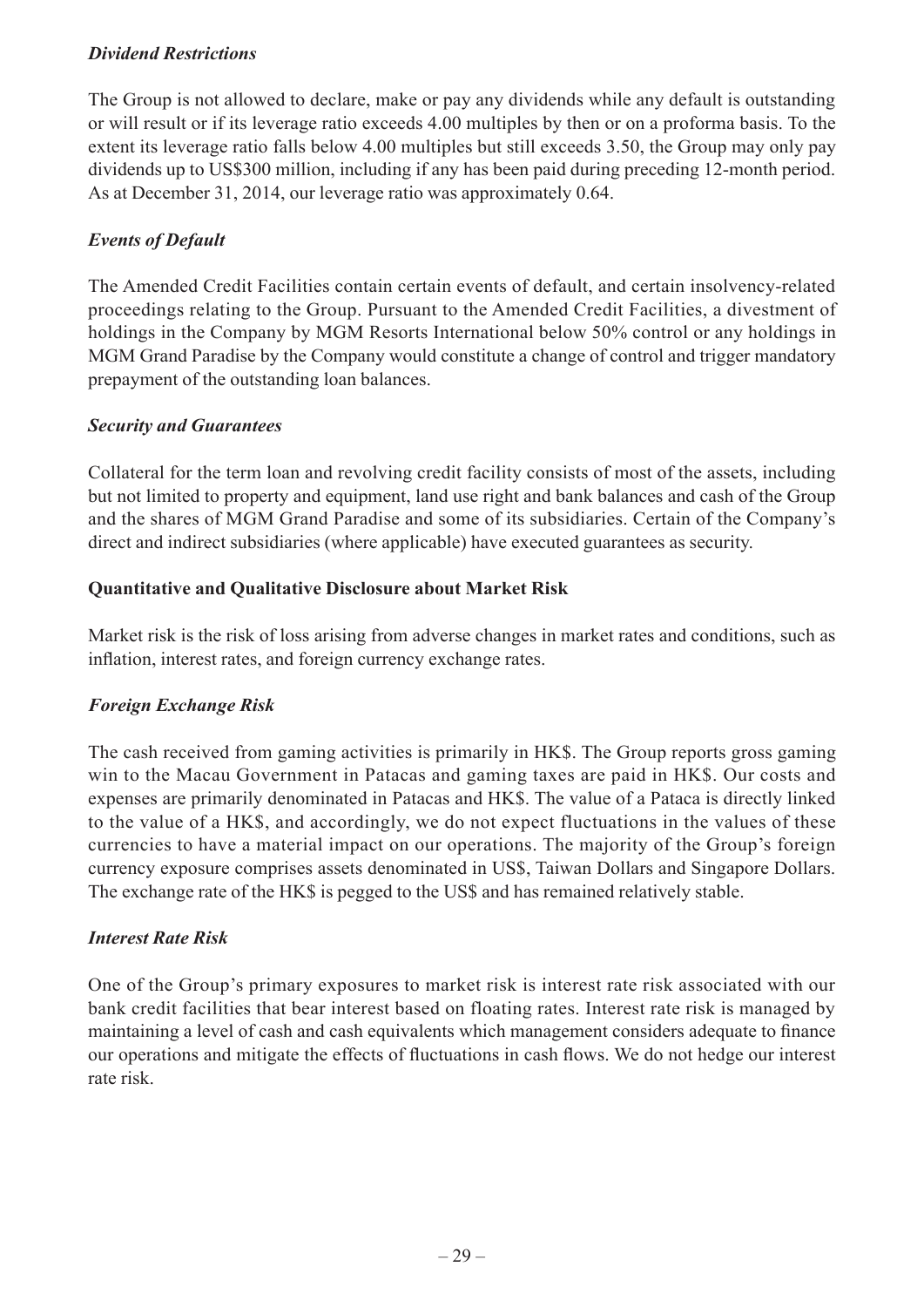### *Dividend Restrictions*

The Group is not allowed to declare, make or pay any dividends while any default is outstanding or will result or if its leverage ratio exceeds 4.00 multiples by then or on a proforma basis. To the extent its leverage ratio falls below 4.00 multiples but still exceeds 3.50, the Group may only pay dividends up to US\$300 million, including if any has been paid during preceding 12-month period. As at December 31, 2014, our leverage ratio was approximately 0.64.

### *Events of Default*

The Amended Credit Facilities contain certain events of default, and certain insolvency-related proceedings relating to the Group. Pursuant to the Amended Credit Facilities, a divestment of holdings in the Company by MGM Resorts International below 50% control or any holdings in MGM Grand Paradise by the Company would constitute a change of control and trigger mandatory prepayment of the outstanding loan balances.

### *Security and Guarantees*

Collateral for the term loan and revolving credit facility consists of most of the assets, including but not limited to property and equipment, land use right and bank balances and cash of the Group and the shares of MGM Grand Paradise and some of its subsidiaries. Certain of the Company's direct and indirect subsidiaries (where applicable) have executed guarantees as security.

#### **Quantitative and Qualitative Disclosure about Market Risk**

Market risk is the risk of loss arising from adverse changes in market rates and conditions, such as inflation, interest rates, and foreign currency exchange rates.

### *Foreign Exchange Risk*

The cash received from gaming activities is primarily in HK\$. The Group reports gross gaming win to the Macau Government in Patacas and gaming taxes are paid in HK\$. Our costs and expenses are primarily denominated in Patacas and HK\$. The value of a Pataca is directly linked to the value of a HK\$, and accordingly, we do not expect fluctuations in the values of these currencies to have a material impact on our operations. The majority of the Group's foreign currency exposure comprises assets denominated in US\$, Taiwan Dollars and Singapore Dollars. The exchange rate of the HK\$ is pegged to the US\$ and has remained relatively stable.

### *Interest Rate Risk*

One of the Group's primary exposures to market risk is interest rate risk associated with our bank credit facilities that bear interest based on floating rates. Interest rate risk is managed by maintaining a level of cash and cash equivalents which management considers adequate to finance our operations and mitigate the effects of fluctuations in cash flows. We do not hedge our interest rate risk.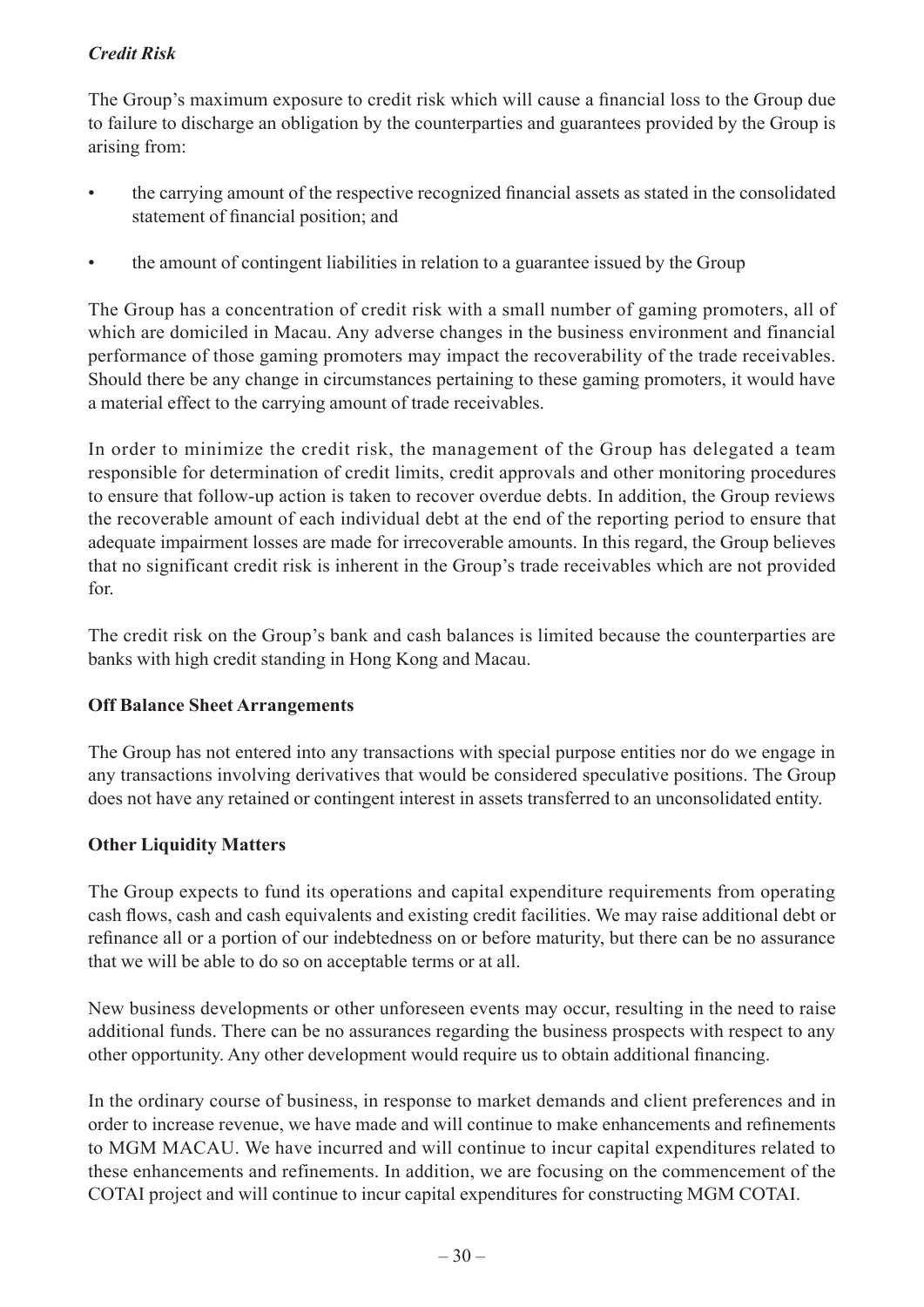# *Credit Risk*

The Group's maximum exposure to credit risk which will cause a financial loss to the Group due to failure to discharge an obligation by the counterparties and guarantees provided by the Group is arising from:

- the carrying amount of the respective recognized financial assets as stated in the consolidated statement of financial position; and
- the amount of contingent liabilities in relation to a guarantee issued by the Group

The Group has a concentration of credit risk with a small number of gaming promoters, all of which are domiciled in Macau. Any adverse changes in the business environment and financial performance of those gaming promoters may impact the recoverability of the trade receivables. Should there be any change in circumstances pertaining to these gaming promoters, it would have a material effect to the carrying amount of trade receivables.

In order to minimize the credit risk, the management of the Group has delegated a team responsible for determination of credit limits, credit approvals and other monitoring procedures to ensure that follow-up action is taken to recover overdue debts. In addition, the Group reviews the recoverable amount of each individual debt at the end of the reporting period to ensure that adequate impairment losses are made for irrecoverable amounts. In this regard, the Group believes that no significant credit risk is inherent in the Group's trade receivables which are not provided for.

The credit risk on the Group's bank and cash balances is limited because the counterparties are banks with high credit standing in Hong Kong and Macau.

### **Off Balance Sheet Arrangements**

The Group has not entered into any transactions with special purpose entities nor do we engage in any transactions involving derivatives that would be considered speculative positions. The Group does not have any retained or contingent interest in assets transferred to an unconsolidated entity.

### **Other Liquidity Matters**

The Group expects to fund its operations and capital expenditure requirements from operating cash flows, cash and cash equivalents and existing credit facilities. We may raise additional debt or refinance all or a portion of our indebtedness on or before maturity, but there can be no assurance that we will be able to do so on acceptable terms or at all.

New business developments or other unforeseen events may occur, resulting in the need to raise additional funds. There can be no assurances regarding the business prospects with respect to any other opportunity. Any other development would require us to obtain additional financing.

In the ordinary course of business, in response to market demands and client preferences and in order to increase revenue, we have made and will continue to make enhancements and refinements to MGM MACAU. We have incurred and will continue to incur capital expenditures related to these enhancements and refinements. In addition, we are focusing on the commencement of the COTAI project and will continue to incur capital expenditures for constructing MGM COTAI.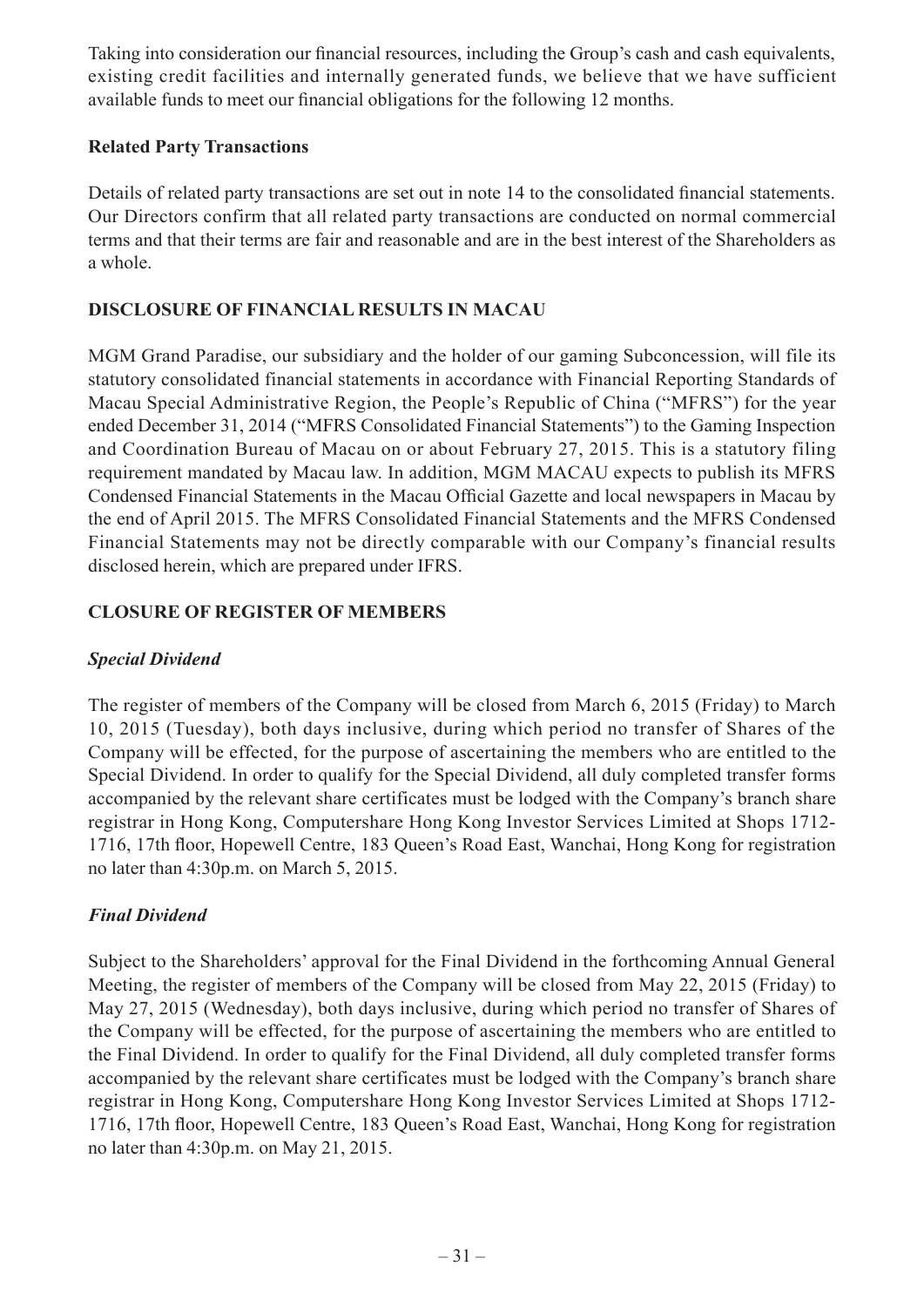Taking into consideration our financial resources, including the Group's cash and cash equivalents, existing credit facilities and internally generated funds, we believe that we have sufficient available funds to meet our financial obligations for the following 12 months.

### **Related Party Transactions**

Details of related party transactions are set out in note 14 to the consolidated financial statements. Our Directors confirm that all related party transactions are conducted on normal commercial terms and that their terms are fair and reasonable and are in the best interest of the Shareholders as a whole.

### **DISCLOSURE OF FINANCIAL RESULTS IN MACAU**

MGM Grand Paradise, our subsidiary and the holder of our gaming Subconcession, will file its statutory consolidated financial statements in accordance with Financial Reporting Standards of Macau Special Administrative Region, the People's Republic of China ("MFRS") for the year ended December 31, 2014 ("MFRS Consolidated Financial Statements") to the Gaming Inspection and Coordination Bureau of Macau on or about February 27, 2015. This is a statutory filing requirement mandated by Macau law. In addition, MGM MACAU expects to publish its MFRS Condensed Financial Statements in the Macau Official Gazette and local newspapers in Macau by the end of April 2015. The MFRS Consolidated Financial Statements and the MFRS Condensed Financial Statements may not be directly comparable with our Company's financial results disclosed herein, which are prepared under IFRS.

### **CLOSURE OF REGISTER OF MEMBERS**

# *Special Dividend*

The register of members of the Company will be closed from March 6, 2015 (Friday) to March 10, 2015 (Tuesday), both days inclusive, during which period no transfer of Shares of the Company will be effected, for the purpose of ascertaining the members who are entitled to the Special Dividend. In order to qualify for the Special Dividend, all duly completed transfer forms accompanied by the relevant share certificates must be lodged with the Company's branch share registrar in Hong Kong, Computershare Hong Kong Investor Services Limited at Shops 1712- 1716, 17th floor, Hopewell Centre, 183 Queen's Road East, Wanchai, Hong Kong for registration no later than 4:30p.m. on March 5, 2015.

# *Final Dividend*

Subject to the Shareholders' approval for the Final Dividend in the forthcoming Annual General Meeting, the register of members of the Company will be closed from May 22, 2015 (Friday) to May 27, 2015 (Wednesday), both days inclusive, during which period no transfer of Shares of the Company will be effected, for the purpose of ascertaining the members who are entitled to the Final Dividend. In order to qualify for the Final Dividend, all duly completed transfer forms accompanied by the relevant share certificates must be lodged with the Company's branch share registrar in Hong Kong, Computershare Hong Kong Investor Services Limited at Shops 1712- 1716, 17th floor, Hopewell Centre, 183 Queen's Road East, Wanchai, Hong Kong for registration no later than 4:30p.m. on May 21, 2015.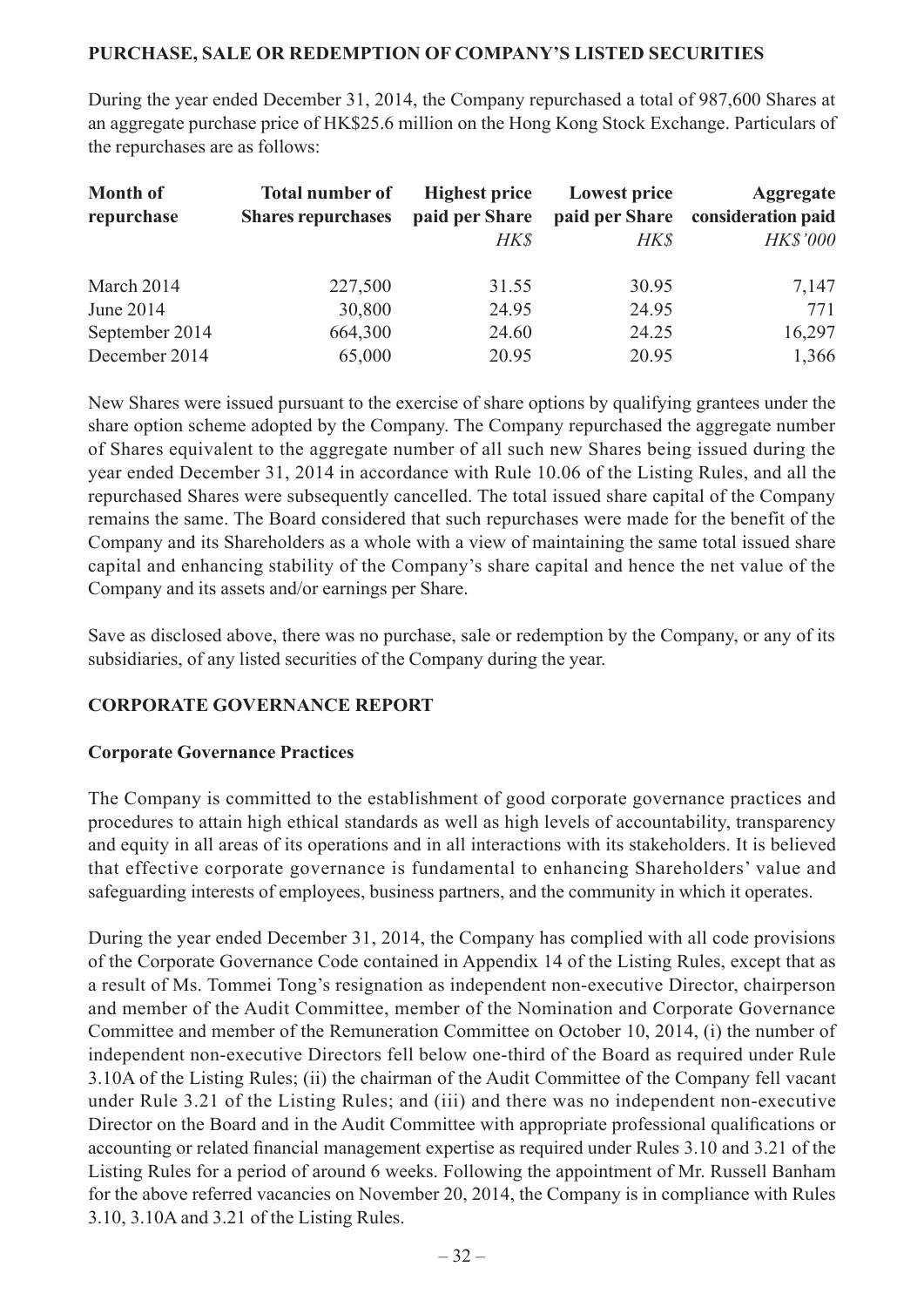#### **PURCHASE, SALE OR REDEMPTION OF COMPANY'S LISTED SECURITIES**

During the year ended December 31, 2014, the Company repurchased a total of 987,600 Shares at an aggregate purchase price of HK\$25.6 million on the Hong Kong Stock Exchange. Particulars of the repurchases are as follows:

| <b>Month of</b><br>repurchase | <b>Total number of</b><br><b>Shares repurchases</b> | <b>Highest price</b><br>paid per Share<br><b>HK\$</b> | <b>Lowest price</b><br>paid per Share<br>HK\$ | <b>Aggregate</b><br>consideration paid<br><b>HK\$'000</b> |
|-------------------------------|-----------------------------------------------------|-------------------------------------------------------|-----------------------------------------------|-----------------------------------------------------------|
| March 2014                    | 227,500                                             | 31.55                                                 | 30.95                                         | 7,147                                                     |
| June 2014                     | 30,800                                              | 24.95                                                 | 24.95                                         | 771                                                       |
| September 2014                | 664,300                                             | 24.60                                                 | 24.25                                         | 16,297                                                    |
| December 2014                 | 65,000                                              | 20.95                                                 | 20.95                                         | 1,366                                                     |

New Shares were issued pursuant to the exercise of share options by qualifying grantees under the share option scheme adopted by the Company. The Company repurchased the aggregate number of Shares equivalent to the aggregate number of all such new Shares being issued during the year ended December 31, 2014 in accordance with Rule 10.06 of the Listing Rules, and all the repurchased Shares were subsequently cancelled. The total issued share capital of the Company remains the same. The Board considered that such repurchases were made for the benefit of the Company and its Shareholders as a whole with a view of maintaining the same total issued share capital and enhancing stability of the Company's share capital and hence the net value of the Company and its assets and/or earnings per Share.

Save as disclosed above, there was no purchase, sale or redemption by the Company, or any of its subsidiaries, of any listed securities of the Company during the year.

### **CORPORATE GOVERNANCE REPORT**

### **Corporate Governance Practices**

The Company is committed to the establishment of good corporate governance practices and procedures to attain high ethical standards as well as high levels of accountability, transparency and equity in all areas of its operations and in all interactions with its stakeholders. It is believed that effective corporate governance is fundamental to enhancing Shareholders' value and safeguarding interests of employees, business partners, and the community in which it operates.

During the year ended December 31, 2014, the Company has complied with all code provisions of the Corporate Governance Code contained in Appendix 14 of the Listing Rules, except that as a result of Ms. Tommei Tong's resignation as independent non-executive Director, chairperson and member of the Audit Committee, member of the Nomination and Corporate Governance Committee and member of the Remuneration Committee on October 10, 2014, (i) the number of independent non-executive Directors fell below one-third of the Board as required under Rule 3.10A of the Listing Rules; (ii) the chairman of the Audit Committee of the Company fell vacant under Rule 3.21 of the Listing Rules; and (iii) and there was no independent non-executive Director on the Board and in the Audit Committee with appropriate professional qualifications or accounting or related financial management expertise as required under Rules 3.10 and 3.21 of the Listing Rules for a period of around 6 weeks. Following the appointment of Mr. Russell Banham for the above referred vacancies on November 20, 2014, the Company is in compliance with Rules 3.10, 3.10A and 3.21 of the Listing Rules.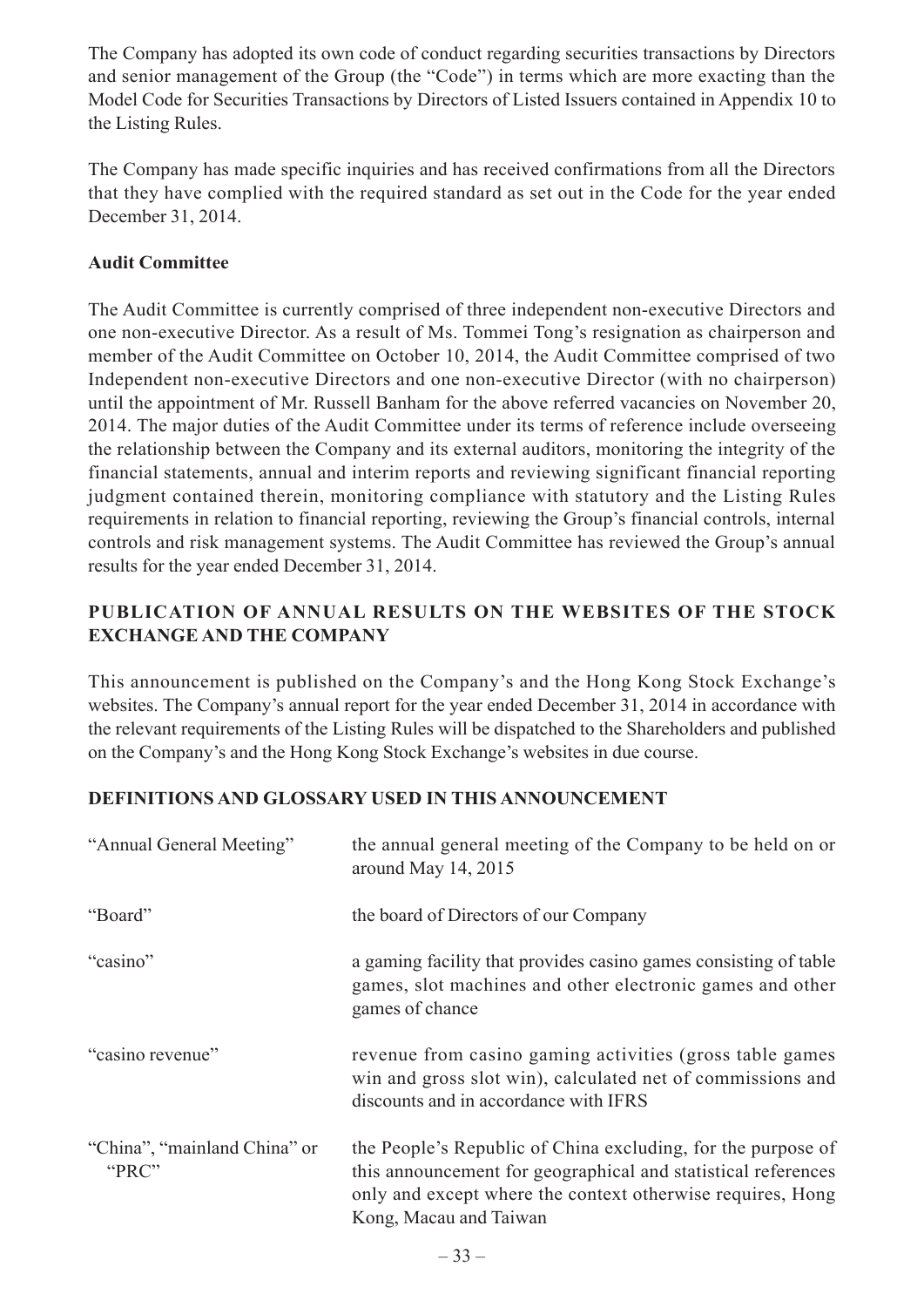The Company has adopted its own code of conduct regarding securities transactions by Directors and senior management of the Group (the "Code") in terms which are more exacting than the Model Code for Securities Transactions by Directors of Listed Issuers contained in Appendix 10 to the Listing Rules.

The Company has made specific inquiries and has received confirmations from all the Directors that they have complied with the required standard as set out in the Code for the year ended December 31, 2014.

### **Audit Committee**

The Audit Committee is currently comprised of three independent non-executive Directors and one non-executive Director. As a result of Ms. Tommei Tong's resignation as chairperson and member of the Audit Committee on October 10, 2014, the Audit Committee comprised of two Independent non-executive Directors and one non-executive Director (with no chairperson) until the appointment of Mr. Russell Banham for the above referred vacancies on November 20, 2014. The major duties of the Audit Committee under its terms of reference include overseeing the relationship between the Company and its external auditors, monitoring the integrity of the financial statements, annual and interim reports and reviewing significant financial reporting judgment contained therein, monitoring compliance with statutory and the Listing Rules requirements in relation to financial reporting, reviewing the Group's financial controls, internal controls and risk management systems. The Audit Committee has reviewed the Group's annual results for the year ended December 31, 2014.

### **PUBLICATION OF ANNUAL RESULTS ON THE WEBSITES OF THE STOCK EXCHANGE AND THE COMPANY**

This announcement is published on the Company's and the Hong Kong Stock Exchange's websites. The Company's annual report for the year ended December 31, 2014 in accordance with the relevant requirements of the Listing Rules will be dispatched to the Shareholders and published on the Company's and the Hong Kong Stock Exchange's websites in due course.

# **DEFINITIONS AND GLOSSARY USED IN THIS ANNOUNCEMENT**

| "Annual General Meeting"              | the annual general meeting of the Company to be held on or<br>around May 14, 2015                                                                                                                                     |
|---------------------------------------|-----------------------------------------------------------------------------------------------------------------------------------------------------------------------------------------------------------------------|
| "Board"                               | the board of Directors of our Company                                                                                                                                                                                 |
| "casino"                              | a gaming facility that provides casino games consisting of table<br>games, slot machines and other electronic games and other<br>games of chance                                                                      |
| "casino revenue"                      | revenue from casino gaming activities (gross table games)<br>win and gross slot win), calculated net of commissions and<br>discounts and in accordance with IFRS                                                      |
| "China", "mainland China" or<br>"PRC" | the People's Republic of China excluding, for the purpose of<br>this announcement for geographical and statistical references<br>only and except where the context otherwise requires, Hong<br>Kong, Macau and Taiwan |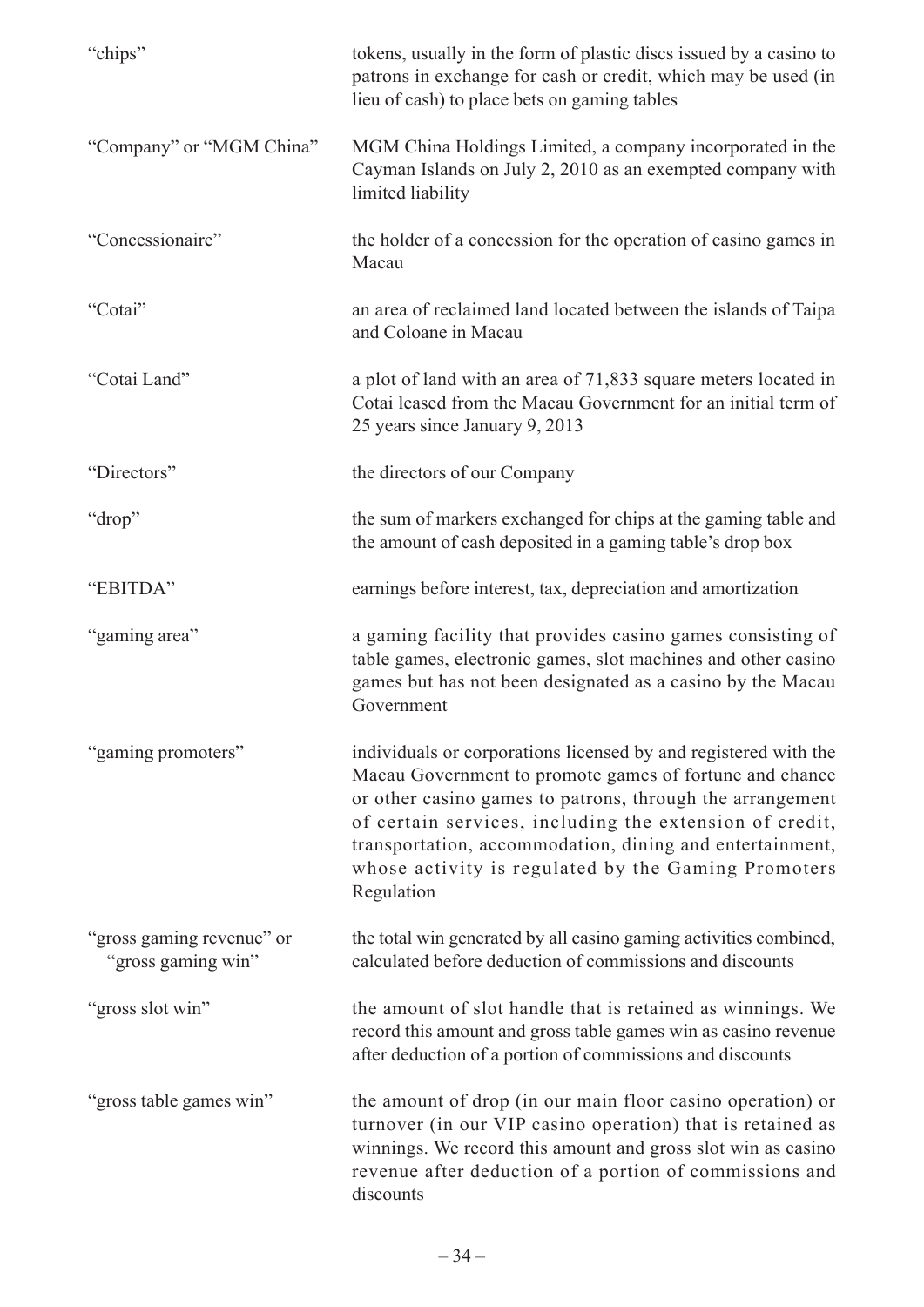| "chips"                                         | tokens, usually in the form of plastic discs issued by a casino to<br>patrons in exchange for cash or credit, which may be used (in<br>lieu of cash) to place bets on gaming tables                                                                                                                                                                                                 |
|-------------------------------------------------|-------------------------------------------------------------------------------------------------------------------------------------------------------------------------------------------------------------------------------------------------------------------------------------------------------------------------------------------------------------------------------------|
| "Company" or "MGM China"                        | MGM China Holdings Limited, a company incorporated in the<br>Cayman Islands on July 2, 2010 as an exempted company with<br>limited liability                                                                                                                                                                                                                                        |
| "Concessionaire"                                | the holder of a concession for the operation of casino games in<br>Macau                                                                                                                                                                                                                                                                                                            |
| "Cotai"                                         | an area of reclaimed land located between the islands of Taipa<br>and Coloane in Macau                                                                                                                                                                                                                                                                                              |
| "Cotai Land"                                    | a plot of land with an area of 71,833 square meters located in<br>Cotai leased from the Macau Government for an initial term of<br>25 years since January 9, 2013                                                                                                                                                                                                                   |
| "Directors"                                     | the directors of our Company                                                                                                                                                                                                                                                                                                                                                        |
| "drop"                                          | the sum of markers exchanged for chips at the gaming table and<br>the amount of cash deposited in a gaming table's drop box                                                                                                                                                                                                                                                         |
| "EBITDA"                                        | earnings before interest, tax, depreciation and amortization                                                                                                                                                                                                                                                                                                                        |
| "gaming area"                                   | a gaming facility that provides casino games consisting of<br>table games, electronic games, slot machines and other casino<br>games but has not been designated as a casino by the Macau<br>Government                                                                                                                                                                             |
| "gaming promoters"                              | individuals or corporations licensed by and registered with the<br>Macau Government to promote games of fortune and chance<br>or other casino games to patrons, through the arrangement<br>of certain services, including the extension of credit,<br>transportation, accommodation, dining and entertainment,<br>whose activity is regulated by the Gaming Promoters<br>Regulation |
| "gross gaming revenue" or<br>"gross gaming win" | the total win generated by all casino gaming activities combined,<br>calculated before deduction of commissions and discounts                                                                                                                                                                                                                                                       |
| "gross slot win"                                | the amount of slot handle that is retained as winnings. We<br>record this amount and gross table games win as casino revenue<br>after deduction of a portion of commissions and discounts                                                                                                                                                                                           |
| "gross table games win"                         | the amount of drop (in our main floor casino operation) or<br>turnover (in our VIP casino operation) that is retained as<br>winnings. We record this amount and gross slot win as casino<br>revenue after deduction of a portion of commissions and<br>discounts                                                                                                                    |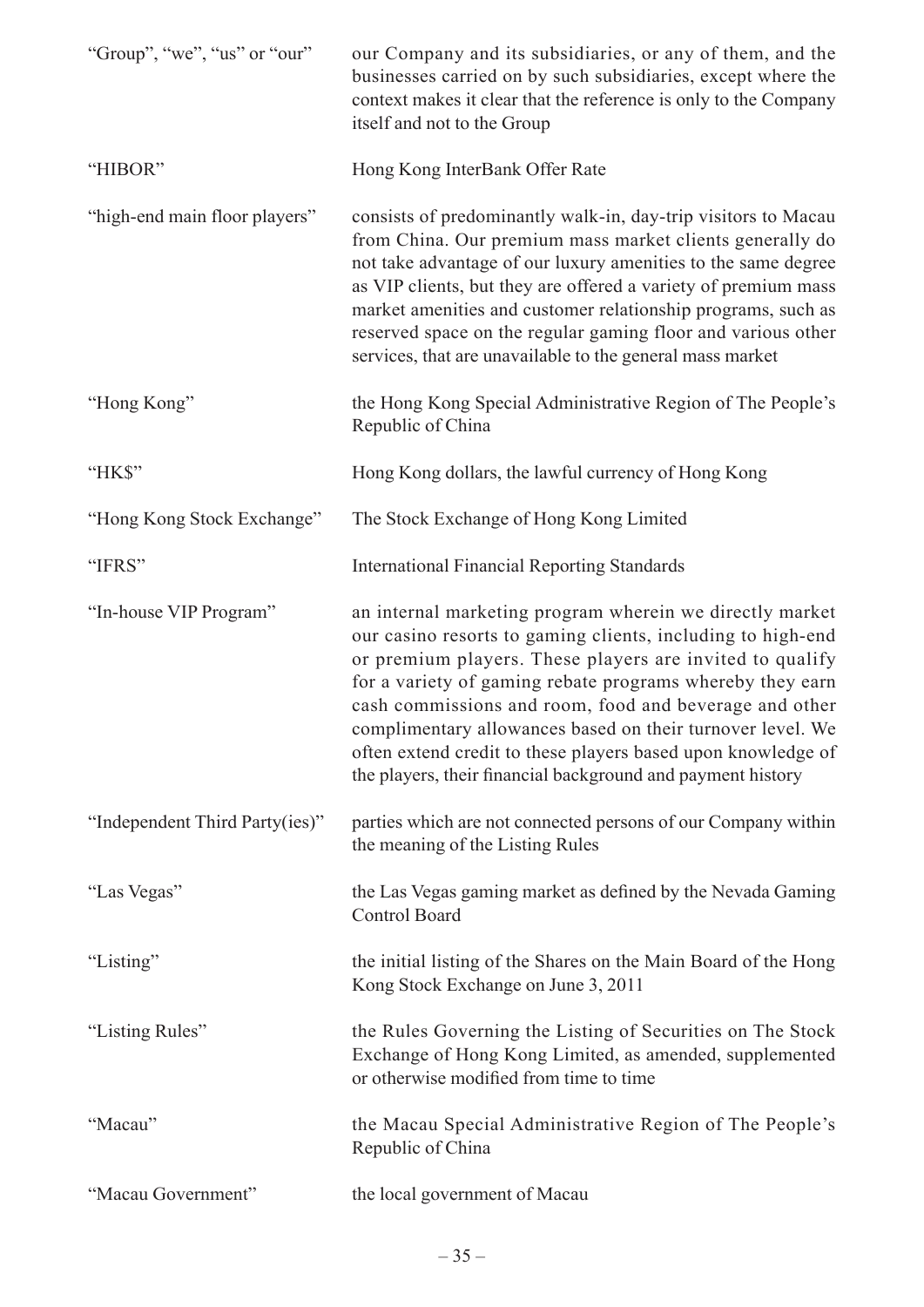| "Group", "we", "us" or "our"   | our Company and its subsidiaries, or any of them, and the<br>businesses carried on by such subsidiaries, except where the<br>context makes it clear that the reference is only to the Company<br>itself and not to the Group                                                                                                                                                                                                                                                                            |
|--------------------------------|---------------------------------------------------------------------------------------------------------------------------------------------------------------------------------------------------------------------------------------------------------------------------------------------------------------------------------------------------------------------------------------------------------------------------------------------------------------------------------------------------------|
| "HIBOR"                        | Hong Kong InterBank Offer Rate                                                                                                                                                                                                                                                                                                                                                                                                                                                                          |
| "high-end main floor players"  | consists of predominantly walk-in, day-trip visitors to Macau<br>from China. Our premium mass market clients generally do<br>not take advantage of our luxury amenities to the same degree<br>as VIP clients, but they are offered a variety of premium mass<br>market amenities and customer relationship programs, such as<br>reserved space on the regular gaming floor and various other<br>services, that are unavailable to the general mass market                                               |
| "Hong Kong"                    | the Hong Kong Special Administrative Region of The People's<br>Republic of China                                                                                                                                                                                                                                                                                                                                                                                                                        |
| "HK\$"                         | Hong Kong dollars, the lawful currency of Hong Kong                                                                                                                                                                                                                                                                                                                                                                                                                                                     |
| "Hong Kong Stock Exchange"     | The Stock Exchange of Hong Kong Limited                                                                                                                                                                                                                                                                                                                                                                                                                                                                 |
| "IFRS"                         | <b>International Financial Reporting Standards</b>                                                                                                                                                                                                                                                                                                                                                                                                                                                      |
| "In-house VIP Program"         | an internal marketing program wherein we directly market<br>our casino resorts to gaming clients, including to high-end<br>or premium players. These players are invited to qualify<br>for a variety of gaming rebate programs whereby they earn<br>cash commissions and room, food and beverage and other<br>complimentary allowances based on their turnover level. We<br>often extend credit to these players based upon knowledge of<br>the players, their financial background and payment history |
| "Independent Third Party(ies)" | parties which are not connected persons of our Company within<br>the meaning of the Listing Rules                                                                                                                                                                                                                                                                                                                                                                                                       |
| "Las Vegas"                    | the Las Vegas gaming market as defined by the Nevada Gaming<br><b>Control Board</b>                                                                                                                                                                                                                                                                                                                                                                                                                     |
| "Listing"                      | the initial listing of the Shares on the Main Board of the Hong<br>Kong Stock Exchange on June 3, 2011                                                                                                                                                                                                                                                                                                                                                                                                  |
| "Listing Rules"                | the Rules Governing the Listing of Securities on The Stock<br>Exchange of Hong Kong Limited, as amended, supplemented<br>or otherwise modified from time to time                                                                                                                                                                                                                                                                                                                                        |
| "Macau"                        | the Macau Special Administrative Region of The People's<br>Republic of China                                                                                                                                                                                                                                                                                                                                                                                                                            |
| "Macau Government"             | the local government of Macau                                                                                                                                                                                                                                                                                                                                                                                                                                                                           |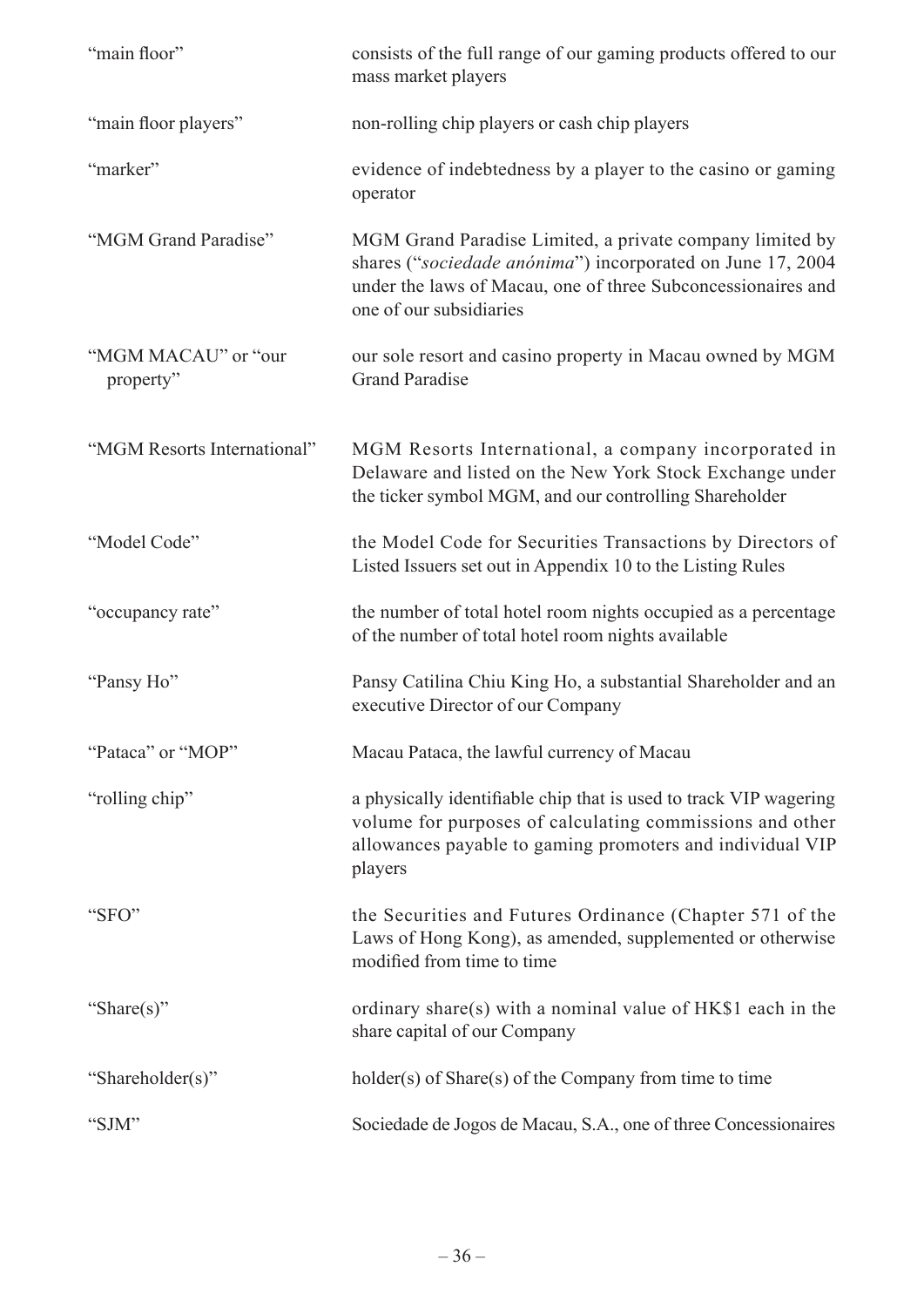| "main floor"                     | consists of the full range of our gaming products offered to our<br>mass market players                                                                                                                           |
|----------------------------------|-------------------------------------------------------------------------------------------------------------------------------------------------------------------------------------------------------------------|
| "main floor players"             | non-rolling chip players or cash chip players                                                                                                                                                                     |
| "marker"                         | evidence of indebtedness by a player to the casino or gaming<br>operator                                                                                                                                          |
| "MGM Grand Paradise"             | MGM Grand Paradise Limited, a private company limited by<br>shares ("sociedade anónima") incorporated on June 17, 2004<br>under the laws of Macau, one of three Subconcessionaires and<br>one of our subsidiaries |
| "MGM MACAU" or "our<br>property" | our sole resort and casino property in Macau owned by MGM<br><b>Grand Paradise</b>                                                                                                                                |
| "MGM Resorts International"      | MGM Resorts International, a company incorporated in<br>Delaware and listed on the New York Stock Exchange under<br>the ticker symbol MGM, and our controlling Shareholder                                        |
| "Model Code"                     | the Model Code for Securities Transactions by Directors of<br>Listed Issuers set out in Appendix 10 to the Listing Rules                                                                                          |
| "occupancy rate"                 | the number of total hotel room nights occupied as a percentage<br>of the number of total hotel room nights available                                                                                              |
| "Pansy Ho"                       | Pansy Catilina Chiu King Ho, a substantial Shareholder and an<br>executive Director of our Company                                                                                                                |
| "Pataca" or "MOP"                | Macau Pataca, the lawful currency of Macau                                                                                                                                                                        |
| "rolling chip"                   | a physically identifiable chip that is used to track VIP wagering<br>volume for purposes of calculating commissions and other<br>allowances payable to gaming promoters and individual VIP<br>players             |
| "SFO"                            | the Securities and Futures Ordinance (Chapter 571 of the<br>Laws of Hong Kong), as amended, supplemented or otherwise<br>modified from time to time                                                               |
| "Share(s)"                       | ordinary share(s) with a nominal value of HK\$1 each in the<br>share capital of our Company                                                                                                                       |
| "Shareholder(s)"                 | holder(s) of Share(s) of the Company from time to time                                                                                                                                                            |
| "SJM"                            | Sociedade de Jogos de Macau, S.A., one of three Concessionaires                                                                                                                                                   |